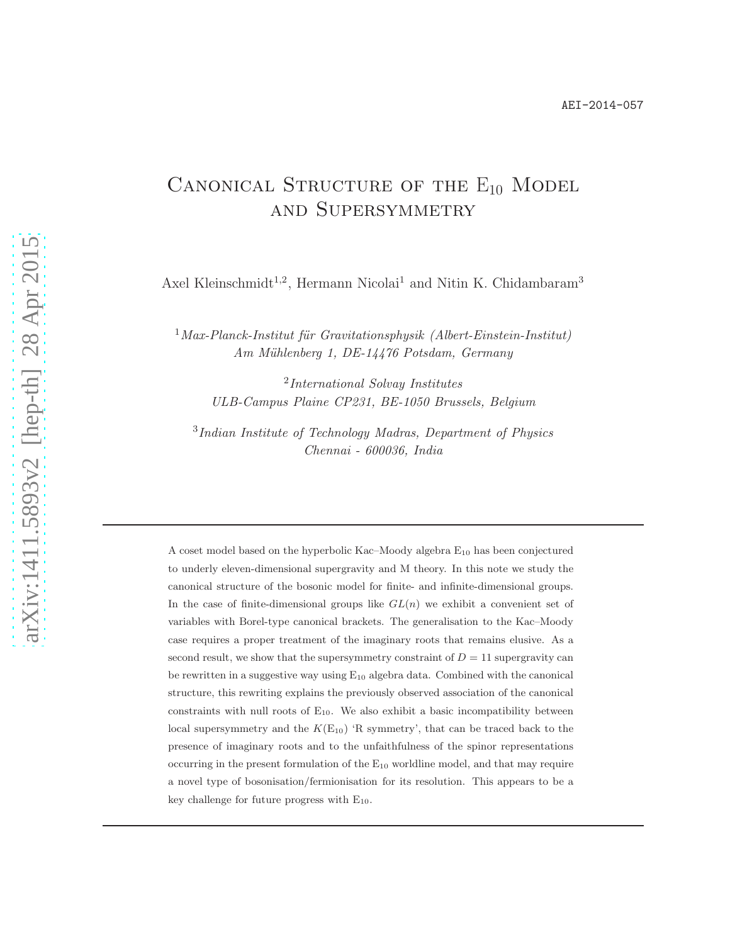# CANONICAL STRUCTURE OF THE  $E_{10}$  MODEL and Supersymmetry

Axel Kleinschmidt<sup>1,2</sup>, Hermann Nicolai<sup>1</sup> and Nitin K. Chidambaram<sup>3</sup>

 $1$ Max-Planck-Institut für Gravitationsphysik (Albert-Einstein-Institut) Am Mühlenberg 1, DE-14476 Potsdam, Germany

2 International Solvay Institutes ULB-Campus Plaine CP231, BE-1050 Brussels, Belgium

3 Indian Institute of Technology Madras, Department of Physics Chennai - 600036, India

A coset model based on the hyperbolic Kac–Moody algebra  $E_{10}$  has been conjectured to underly eleven-dimensional supergravity and M theory. In this note we study the canonical structure of the bosonic model for finite- and infinite-dimensional groups. In the case of finite-dimensional groups like  $GL(n)$  we exhibit a convenient set of variables with Borel-type canonical brackets. The generalisation to the Kac–Moody case requires a proper treatment of the imaginary roots that remains elusive. As a second result, we show that the supersymmetry constraint of  $D = 11$  supergravity can be rewritten in a suggestive way using  $E_{10}$  algebra data. Combined with the canonical structure, this rewriting explains the previously observed association of the canonical constraints with null roots of  $E_{10}$ . We also exhibit a basic incompatibility between local supersymmetry and the  $K(E_{10})$  'R symmetry', that can be traced back to the presence of imaginary roots and to the unfaithfulness of the spinor representations occurring in the present formulation of the  $E_{10}$  worldline model, and that may require a novel type of bosonisation/fermionisation for its resolution. This appears to be a key challenge for future progress with  $E_{10}$ .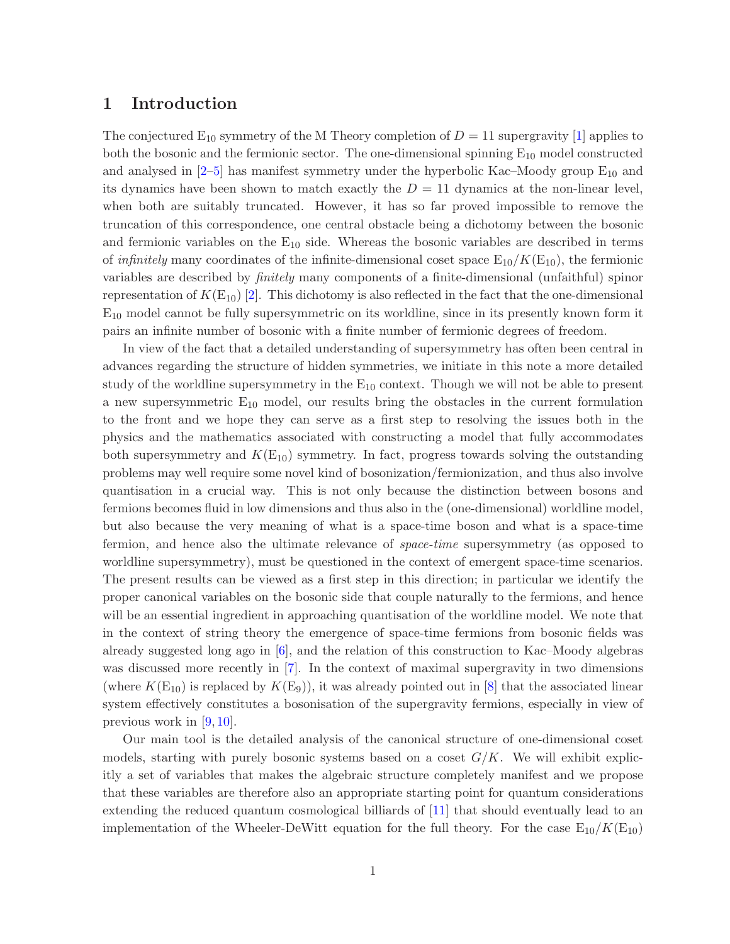# 1 Introduction

The conjectured  $E_{10}$  symmetry of the M Theory completion of  $D = 11$  supergravity [\[1\]](#page-37-0) applies to both the bosonic and the fermionic sector. The one-dimensional spinning  $E_{10}$  model constructed and analysed in  $[2-5]$  $[2-5]$  has manifest symmetry under the hyperbolic Kac–Moody group  $E_{10}$  and its dynamics have been shown to match exactly the  $D = 11$  dynamics at the non-linear level, when both are suitably truncated. However, it has so far proved impossible to remove the truncation of this correspondence, one central obstacle being a dichotomy between the bosonic and fermionic variables on the  $E_{10}$  side. Whereas the bosonic variables are described in terms of *infinitely* many coordinates of the infinite-dimensional coset space  $E_{10}/K(E_{10})$ , the fermionic variables are described by finitely many components of a finite-dimensional (unfaithful) spinor representation of  $K(E_{10})$  [\[2\]](#page-37-1). This dichotomy is also reflected in the fact that the one-dimensional  $E_{10}$  model cannot be fully supersymmetric on its worldline, since in its presently known form it pairs an infinite number of bosonic with a finite number of fermionic degrees of freedom.

In view of the fact that a detailed understanding of supersymmetry has often been central in advances regarding the structure of hidden symmetries, we initiate in this note a more detailed study of the worldline supersymmetry in the  $E_{10}$  context. Though we will not be able to present a new supersymmetric  $E_{10}$  model, our results bring the obstacles in the current formulation to the front and we hope they can serve as a first step to resolving the issues both in the physics and the mathematics associated with constructing a model that fully accommodates both supersymmetry and  $K(E_{10})$  symmetry. In fact, progress towards solving the outstanding problems may well require some novel kind of bosonization/fermionization, and thus also involve quantisation in a crucial way. This is not only because the distinction between bosons and fermions becomes fluid in low dimensions and thus also in the (one-dimensional) worldline model, but also because the very meaning of what is a space-time boson and what is a space-time fermion, and hence also the ultimate relevance of space-time supersymmetry (as opposed to worldline supersymmetry), must be questioned in the context of emergent space-time scenarios. The present results can be viewed as a first step in this direction; in particular we identify the proper canonical variables on the bosonic side that couple naturally to the fermions, and hence will be an essential ingredient in approaching quantisation of the worldline model. We note that in the context of string theory the emergence of space-time fermions from bosonic fields was already suggested long ago in [\[6\]](#page-37-3), and the relation of this construction to Kac–Moody algebras was discussed more recently in [\[7\]](#page-37-4). In the context of maximal supergravity in two dimensions (where  $K(E_{10})$  is replaced by  $K(E_9)$ ), it was already pointed out in [\[8\]](#page-37-5) that the associated linear system effectively constitutes a bosonisation of the supergravity fermions, especially in view of previous work in [\[9,](#page-37-6) [10\]](#page-37-7).

Our main tool is the detailed analysis of the canonical structure of one-dimensional coset models, starting with purely bosonic systems based on a coset  $G/K$ . We will exhibit explicitly a set of variables that makes the algebraic structure completely manifest and we propose that these variables are therefore also an appropriate starting point for quantum considerations extending the reduced quantum cosmological billiards of [\[11\]](#page-37-8) that should eventually lead to an implementation of the Wheeler-DeWitt equation for the full theory. For the case  $E_{10}/K(E_{10})$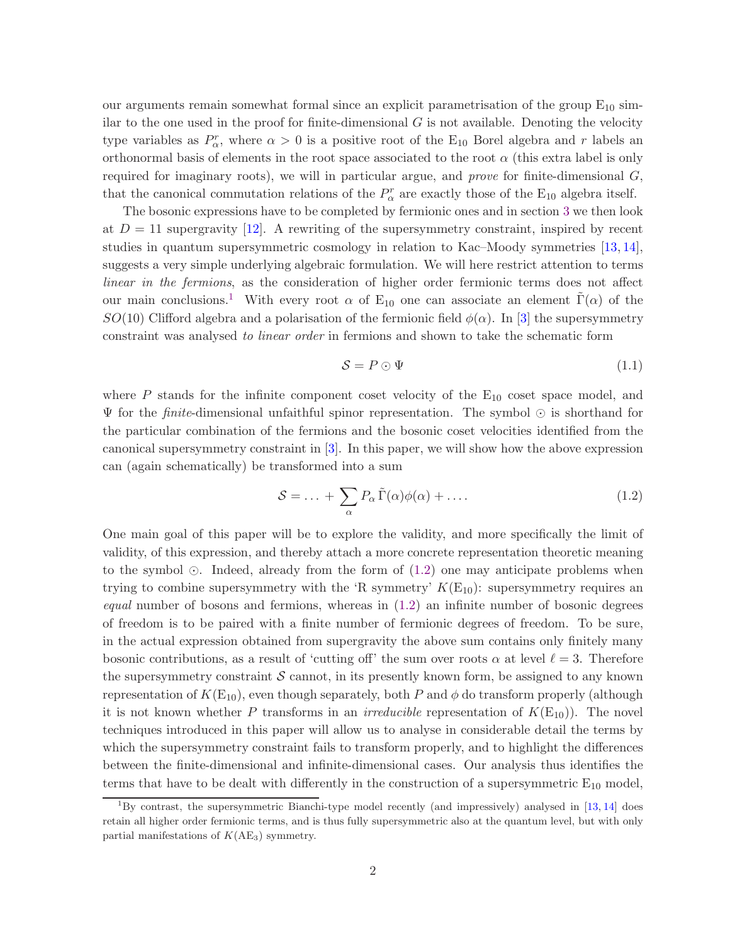our arguments remain somewhat formal since an explicit parametrisation of the group  $E_{10}$  similar to the one used in the proof for finite-dimensional  $G$  is not available. Denoting the velocity type variables as  $P_{\alpha}^{r}$ , where  $\alpha > 0$  is a positive root of the E<sub>10</sub> Borel algebra and r labels an orthonormal basis of elements in the root space associated to the root  $\alpha$  (this extra label is only required for imaginary roots), we will in particular argue, and *prove* for finite-dimensional  $G$ , that the canonical commutation relations of the  $P^r_\alpha$  are exactly those of the E<sub>10</sub> algebra itself.

The bosonic expressions have to be completed by fermionic ones and in section [3](#page-13-0) we then look at  $D = 11$  supergravity [\[12\]](#page-38-0). A rewriting of the supersymmetry constraint, inspired by recent studies in quantum supersymmetric cosmology in relation to Kac–Moody symmetries [\[13,](#page-38-1) [14\]](#page-38-2), suggests a very simple underlying algebraic formulation. We will here restrict attention to terms linear in the fermions, as the consideration of higher order fermionic terms does not affect our main conclusions.<sup>[1](#page-2-0)</sup> With every root  $\alpha$  of E<sub>10</sub> one can associate an element  $\Gamma(\alpha)$  of the SO(10) Clifford algebra and a polarisation of the fermionic field  $\phi(\alpha)$ . In [\[3\]](#page-37-9) the supersymmetry constraint was analysed to linear order in fermions and shown to take the schematic form

<span id="page-2-2"></span><span id="page-2-1"></span>
$$
S = P \odot \Psi \tag{1.1}
$$

where  $P$  stands for the infinite component coset velocity of the  $E_{10}$  coset space model, and  $\Psi$  for the *finite*-dimensional unfaithful spinor representation. The symbol ⊙ is shorthand for the particular combination of the fermions and the bosonic coset velocities identified from the canonical supersymmetry constraint in [\[3\]](#page-37-9). In this paper, we will show how the above expression can (again schematically) be transformed into a sum

$$
S = \dots + \sum_{\alpha} P_{\alpha} \tilde{\Gamma}(\alpha) \phi(\alpha) + \dots
$$
 (1.2)

One main goal of this paper will be to explore the validity, and more specifically the limit of validity, of this expression, and thereby attach a more concrete representation theoretic meaning to the symbol ⊙. Indeed, already from the form of [\(1.2\)](#page-2-1) one may anticipate problems when trying to combine supersymmetry with the 'R symmetry'  $K(E_{10})$ : supersymmetry requires an *equal* number of bosons and fermions, whereas in  $(1.2)$  an infinite number of bosonic degrees of freedom is to be paired with a finite number of fermionic degrees of freedom. To be sure, in the actual expression obtained from supergravity the above sum contains only finitely many bosonic contributions, as a result of 'cutting off' the sum over roots  $\alpha$  at level  $\ell = 3$ . Therefore the supersymmetry constraint  $S$  cannot, in its presently known form, be assigned to any known representation of  $K(E_{10})$ , even though separately, both P and  $\phi$  do transform properly (although it is not known whether P transforms in an *irreducible* representation of  $K(E_{10})$ . The novel techniques introduced in this paper will allow us to analyse in considerable detail the terms by which the supersymmetry constraint fails to transform properly, and to highlight the differences between the finite-dimensional and infinite-dimensional cases. Our analysis thus identifies the terms that have to be dealt with differently in the construction of a supersymmetric  $E_{10}$  model,

<span id="page-2-0"></span><sup>&</sup>lt;sup>1</sup>By contrast, the supersymmetric Bianchi-type model recently (and impressively) analysed in  $[13, 14]$  $[13, 14]$  does retain all higher order fermionic terms, and is thus fully supersymmetric also at the quantum level, but with only partial manifestations of  $K(AE_3)$  symmetry.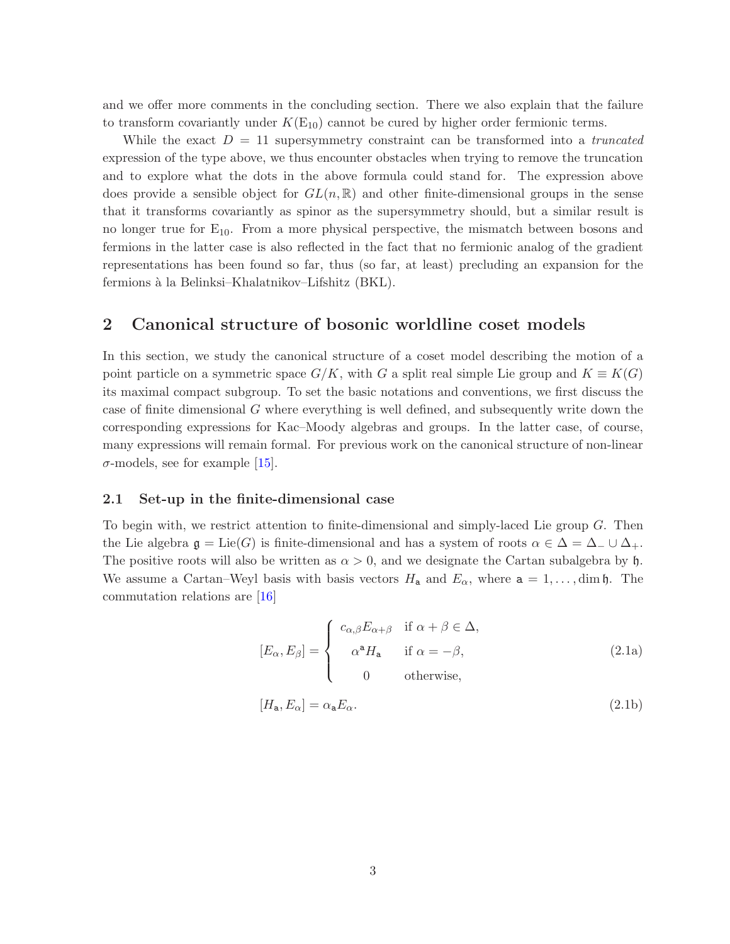and we offer more comments in the concluding section. There we also explain that the failure to transform covariantly under  $K(E_{10})$  cannot be cured by higher order fermionic terms.

While the exact  $D = 11$  supersymmetry constraint can be transformed into a *truncated* expression of the type above, we thus encounter obstacles when trying to remove the truncation and to explore what the dots in the above formula could stand for. The expression above does provide a sensible object for  $GL(n,\mathbb{R})$  and other finite-dimensional groups in the sense that it transforms covariantly as spinor as the supersymmetry should, but a similar result is no longer true for  $E_{10}$ . From a more physical perspective, the mismatch between bosons and fermions in the latter case is also reflected in the fact that no fermionic analog of the gradient representations has been found so far, thus (so far, at least) precluding an expansion for the fermions `a la Belinksi–Khalatnikov–Lifshitz (BKL).

### <span id="page-3-2"></span>2 Canonical structure of bosonic worldline coset models

In this section, we study the canonical structure of a coset model describing the motion of a point particle on a symmetric space  $G/K$ , with G a split real simple Lie group and  $K \equiv K(G)$ its maximal compact subgroup. To set the basic notations and conventions, we first discuss the case of finite dimensional G where everything is well defined, and subsequently write down the corresponding expressions for Kac–Moody algebras and groups. In the latter case, of course, many expressions will remain formal. For previous work on the canonical structure of non-linear  $\sigma$ -models, see for example [\[15\]](#page-38-3).

#### 2.1 Set-up in the finite-dimensional case

To begin with, we restrict attention to finite-dimensional and simply-laced Lie group G. Then the Lie algebra  $\mathfrak{g} = \text{Lie}(G)$  is finite-dimensional and has a system of roots  $\alpha \in \Delta = \Delta_- \cup \Delta_+$ . The positive roots will also be written as  $\alpha > 0$ , and we designate the Cartan subalgebra by h. We assume a Cartan–Weyl basis with basis vectors  $H_a$  and  $E_\alpha$ , where  $a = 1, \ldots, \dim \mathfrak{h}$ . The commutation relations are [\[16\]](#page-38-4)

<span id="page-3-1"></span><span id="page-3-0"></span>
$$
[E_{\alpha}, E_{\beta}] = \begin{cases} c_{\alpha,\beta} E_{\alpha+\beta} & \text{if } \alpha + \beta \in \Delta, \\ \alpha^{\alpha} H_{\mathbf{a}} & \text{if } \alpha = -\beta, \\ 0 & \text{otherwise,} \end{cases}
$$
 (2.1a)

$$
[H_{\mathbf{a}}, E_{\alpha}] = \alpha_{\mathbf{a}} E_{\alpha}.
$$
\n(2.1b)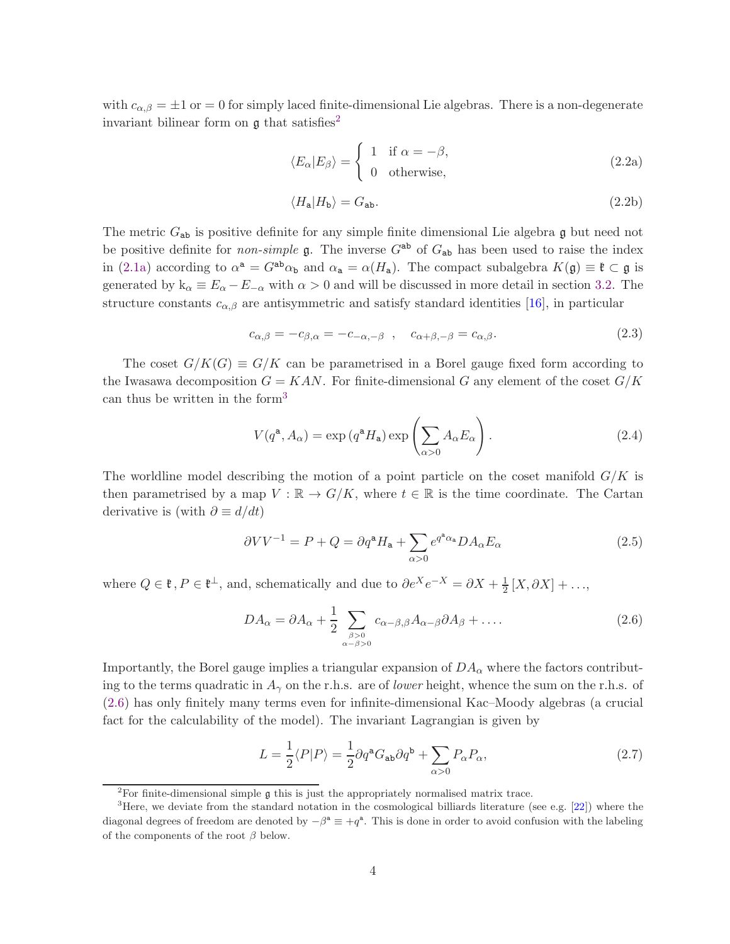with  $c_{\alpha,\beta} = \pm 1$  or = 0 for simply laced finite-dimensional Lie algebras. There is a non-degenerate invariant bilinear form on  $\mathfrak g$  that satisfies<sup>[2](#page-4-0)</sup>

<span id="page-4-4"></span>
$$
\langle E_{\alpha}|E_{\beta}\rangle = \begin{cases} 1 & \text{if } \alpha = -\beta, \\ 0 & \text{otherwise,} \end{cases}
$$
 (2.2a)

$$
\langle H_a | H_b \rangle = G_{ab}.\tag{2.2b}
$$

The metric  $G_{ab}$  is positive definite for any simple finite dimensional Lie algebra g but need not be positive definite for *non-simple* g. The inverse  $G^{ab}$  of  $G_{ab}$  has been used to raise the index in [\(2.1a\)](#page-3-0) according to  $\alpha^a = G^{ab}\alpha_b$  and  $\alpha_a = \alpha(H_a)$ . The compact subalgebra  $K(\mathfrak{g}) \equiv \mathfrak{k} \subset \mathfrak{g}$  is generated by  $k_{\alpha} \equiv E_{\alpha} - E_{-\alpha}$  with  $\alpha > 0$  and will be discussed in more detail in section [3.2.](#page-15-0) The structure constants  $c_{\alpha,\beta}$  are antisymmetric and satisfy standard identities [\[16\]](#page-38-4), in particular

<span id="page-4-7"></span>
$$
c_{\alpha,\beta} = -c_{\beta,\alpha} = -c_{-\alpha,-\beta} \quad , \quad c_{\alpha+\beta,-\beta} = c_{\alpha,\beta}.
$$
 (2.3)

The coset  $G/K(G) \equiv G/K$  can be parametrised in a Borel gauge fixed form according to the Iwasawa decomposition  $G = KAN$ . For finite-dimensional G any element of the coset  $G/K$ can thus be written in the form[3](#page-4-1)

<span id="page-4-3"></span>
$$
V(q^{a}, A_{\alpha}) = \exp(q^{a} H_{a}) \exp\left(\sum_{\alpha > 0} A_{\alpha} E_{\alpha}\right).
$$
 (2.4)

The worldline model describing the motion of a point particle on the coset manifold  $G/K$  is then parametrised by a map  $V : \mathbb{R} \to G/K$ , where  $t \in \mathbb{R}$  is the time coordinate. The Cartan derivative is (with  $\partial \equiv d/dt$ )

<span id="page-4-6"></span>
$$
\partial V V^{-1} = P + Q = \partial q^{\mathbf{a}} H_{\mathbf{a}} + \sum_{\alpha > 0} e^{q^{\mathbf{a}} \alpha_{\mathbf{a}}} D A_{\alpha} E_{\alpha}
$$
 (2.5)

where  $Q \in \mathfrak{k}$ ,  $P \in \mathfrak{k}^{\perp}$ , and, schematically and due to  $\partial e^{X} e^{-X} = \partial X + \frac{1}{2}[X, \partial X] + ...,$ 

<span id="page-4-2"></span>
$$
DA_{\alpha} = \partial A_{\alpha} + \frac{1}{2} \sum_{\substack{\beta > 0 \\ \alpha - \beta > 0}} c_{\alpha - \beta, \beta} A_{\alpha - \beta} \partial A_{\beta} + \dots
$$
 (2.6)

Importantly, the Borel gauge implies a triangular expansion of  $DA_{\alpha}$  where the factors contributing to the terms quadratic in  $A_{\gamma}$  on the r.h.s. are of lower height, whence the sum on the r.h.s. of [\(2.6\)](#page-4-2) has only finitely many terms even for infinite-dimensional Kac–Moody algebras (a crucial fact for the calculability of the model). The invariant Lagrangian is given by

<span id="page-4-5"></span>
$$
L = \frac{1}{2} \langle P|P \rangle = \frac{1}{2} \partial q^{\mathbf{a}} G_{\mathbf{a}\mathbf{b}} \partial q^{\mathbf{b}} + \sum_{\alpha > 0} P_{\alpha} P_{\alpha}, \qquad (2.7)
$$

<span id="page-4-0"></span><sup>&</sup>lt;sup>2</sup>For finite-dimensional simple  $\frak g$  this is just the appropriately normalised matrix trace.

<span id="page-4-1"></span><sup>3</sup>Here, we deviate from the standard notation in the cosmological billiards literature (see e.g. [\[22\]](#page-38-5)) where the diagonal degrees of freedom are denoted by  $-\beta^a \equiv +q^a$ . This is done in order to avoid confusion with the labeling of the components of the root  $\beta$  below.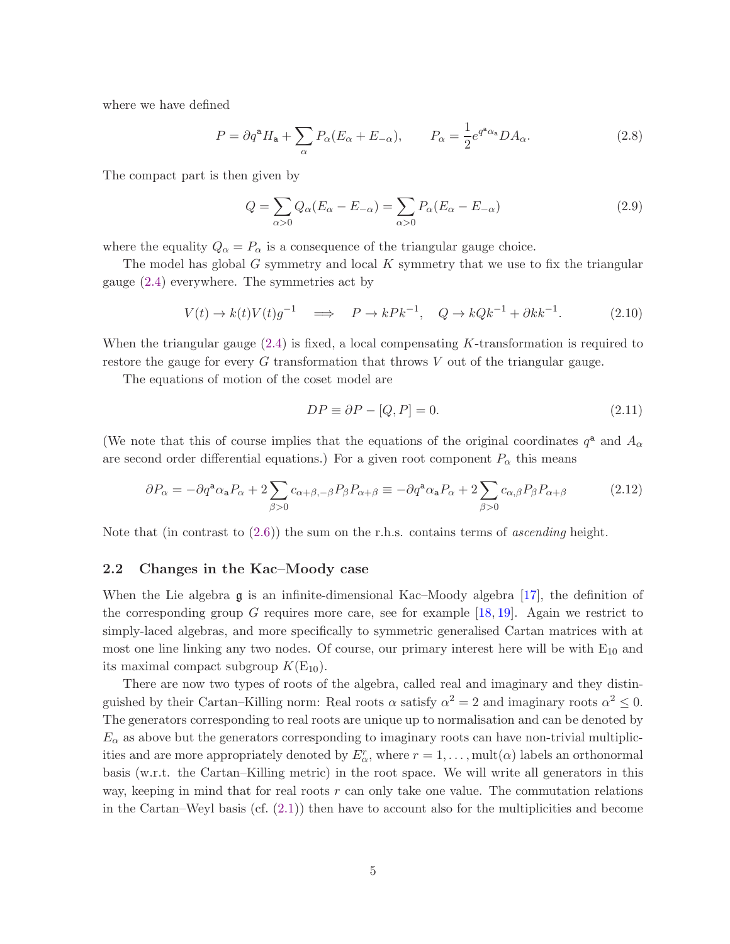where we have defined

$$
P = \partial q^{\mathbf{a}} H_{\mathbf{a}} + \sum_{\alpha} P_{\alpha} (E_{\alpha} + E_{-\alpha}), \qquad P_{\alpha} = \frac{1}{2} e^{q^{\mathbf{a}} \alpha_{\mathbf{a}}} D A_{\alpha}.
$$
 (2.8)

The compact part is then given by

$$
Q = \sum_{\alpha > 0} Q_{\alpha} (E_{\alpha} - E_{-\alpha}) = \sum_{\alpha > 0} P_{\alpha} (E_{\alpha} - E_{-\alpha})
$$
\n(2.9)

where the equality  $Q_{\alpha} = P_{\alpha}$  is a consequence of the triangular gauge choice.

The model has global G symmetry and local  $K$  symmetry that we use to fix the triangular gauge [\(2.4\)](#page-4-3) everywhere. The symmetries act by

$$
V(t) \to k(t)V(t)g^{-1} \quad \Longrightarrow \quad P \to kPk^{-1}, \quad Q \to kQk^{-1} + \partial kk^{-1}.
$$
 (2.10)

When the triangular gauge  $(2.4)$  is fixed, a local compensating K-transformation is required to restore the gauge for every G transformation that throws V out of the triangular gauge.

The equations of motion of the coset model are

<span id="page-5-2"></span><span id="page-5-1"></span><span id="page-5-0"></span>
$$
DP \equiv \partial P - [Q, P] = 0. \tag{2.11}
$$

(We note that this of course implies that the equations of the original coordinates  $q^a$  and  $A_\alpha$ are second order differential equations.) For a given root component  $P_{\alpha}$  this means

$$
\partial P_{\alpha} = -\partial q^{\mathbf{a}} \alpha_{\mathbf{a}} P_{\alpha} + 2 \sum_{\beta > 0} c_{\alpha + \beta, -\beta} P_{\beta} P_{\alpha + \beta} \equiv -\partial q^{\mathbf{a}} \alpha_{\mathbf{a}} P_{\alpha} + 2 \sum_{\beta > 0} c_{\alpha, \beta} P_{\beta} P_{\alpha + \beta}
$$
(2.12)

Note that (in contrast to  $(2.6)$ ) the sum on the r.h.s. contains terms of *ascending* height.

#### 2.2 Changes in the Kac–Moody case

When the Lie algebra  $\mathfrak g$  is an infinite-dimensional Kac–Moody algebra [\[17\]](#page-38-6), the definition of the corresponding group G requires more care, see for example  $[18, 19]$  $[18, 19]$ . Again we restrict to simply-laced algebras, and more specifically to symmetric generalised Cartan matrices with at most one line linking any two nodes. Of course, our primary interest here will be with  $E_{10}$  and its maximal compact subgroup  $K(E_{10})$ .

There are now two types of roots of the algebra, called real and imaginary and they distinguished by their Cartan–Killing norm: Real roots  $\alpha$  satisfy  $\alpha^2 = 2$  and imaginary roots  $\alpha^2 \leq 0$ . The generators corresponding to real roots are unique up to normalisation and can be denoted by  $E_{\alpha}$  as above but the generators corresponding to imaginary roots can have non-trivial multiplicities and are more appropriately denoted by  $E_{\alpha}^r$ , where  $r = 1, \ldots, \text{mult}(\alpha)$  labels an orthonormal basis (w.r.t. the Cartan–Killing metric) in the root space. We will write all generators in this way, keeping in mind that for real roots  $r$  can only take one value. The commutation relations in the Cartan–Weyl basis (cf.  $(2.1)$ ) then have to account also for the multiplicities and become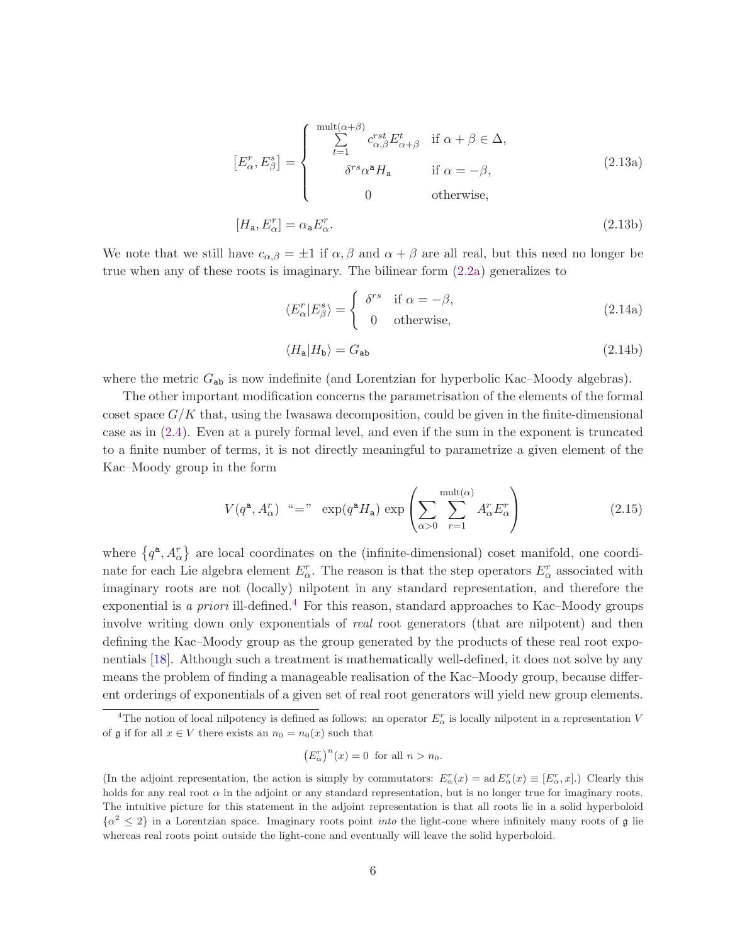<span id="page-6-2"></span>
$$
\begin{bmatrix} E_{\alpha}^{r}, E_{\beta}^{s} \end{bmatrix} = \begin{cases} \begin{array}{c} \sum_{t=1}^{\text{mult}(\alpha+\beta)} c_{\alpha,\beta}^{rst} E_{\alpha+\beta}^{t} & \text{if } \alpha+\beta \in \Delta, \\ \delta^{rs} \alpha^{a} H_{a} & \text{if } \alpha = -\beta, \\ 0 & \text{otherwise,} \end{array} \end{cases} \tag{2.13a}
$$

$$
[H_{\mathbf{a}}, E_{\alpha}^r] = \alpha_{\mathbf{a}} E_{\alpha}^r. \tag{2.13b}
$$

We note that we still have  $c_{\alpha,\beta} = \pm 1$  if  $\alpha, \beta$  and  $\alpha + \beta$  are all real, but this need no longer be true when any of these roots is imaginary. The bilinear form [\(2.2a\)](#page-4-4) generalizes to

<span id="page-6-1"></span>
$$
\langle E_{\alpha}^{r} | E_{\beta}^{s} \rangle = \begin{cases} \delta^{rs} & \text{if } \alpha = -\beta, \\ 0 & \text{otherwise,} \end{cases}
$$
 (2.14a)

$$
\langle H_a | H_b \rangle = G_{ab} \tag{2.14b}
$$

where the metric  $G_{ab}$  is now indefinite (and Lorentzian for hyperbolic Kac–Moody algebras).

The other important modification concerns the parametrisation of the elements of the formal coset space  $G/K$  that, using the Iwasawa decomposition, could be given in the finite-dimensional case as in [\(2.4\)](#page-4-3). Even at a purely formal level, and even if the sum in the exponent is truncated to a finite number of terms, it is not directly meaningful to parametrize a given element of the Kac–Moody group in the form

$$
V(q^{\mathbf{a}}, A_{\alpha}^{r}) \text{ \text{``=''} } \exp(q^{\mathbf{a}} H_{\mathbf{a}}) \exp\left(\sum_{\alpha>0} \sum_{r=1}^{\text{mult}(\alpha)} A_{\alpha}^{r} E_{\alpha}^{r}\right) \tag{2.15}
$$

where  $\{q^{\mathbf{a}}, A_{\alpha}^{r}\}\$  are local coordinates on the (infinite-dimensional) coset manifold, one coordinate for each Lie algebra element  $E_{\alpha}^r$ . The reason is that the step operators  $E_{\alpha}^r$  associated with imaginary roots are not (locally) nilpotent in any standard representation, and therefore the exponential is a priori ill-defined.<sup>[4](#page-6-0)</sup> For this reason, standard approaches to Kac–Moody groups involve writing down only exponentials of *real* root generators (that are nilpotent) and then defining the Kac–Moody group as the group generated by the products of these real root exponentials [\[18\]](#page-38-7). Although such a treatment is mathematically well-defined, it does not solve by any means the problem of finding a manageable realisation of the Kac–Moody group, because different orderings of exponentials of a given set of real root generators will yield new group elements.

$$
(E_{\alpha}^r)^n(x) = 0 \text{ for all } n > n_0.
$$

<span id="page-6-0"></span><sup>&</sup>lt;sup>4</sup>The notion of local nilpotency is defined as follows: an operator  $E_{\alpha}^r$  is locally nilpotent in a representation V of  $\mathfrak g$  if for all  $x \in V$  there exists an  $n_0 = n_0(x)$  such that

<sup>(</sup>In the adjoint representation, the action is simply by commutators:  $E^r_\alpha(x) = \text{ad } E^r_\alpha(x) \equiv [E^r_\alpha, x]$ .) Clearly this holds for any real root  $\alpha$  in the adjoint or any standard representation, but is no longer true for imaginary roots. The intuitive picture for this statement in the adjoint representation is that all roots lie in a solid hyperboloid  $\{\alpha^2 \leq 2\}$  in a Lorentzian space. Imaginary roots point *into* the light-cone where infinitely many roots of g lie whereas real roots point outside the light-cone and eventually will leave the solid hyperboloid.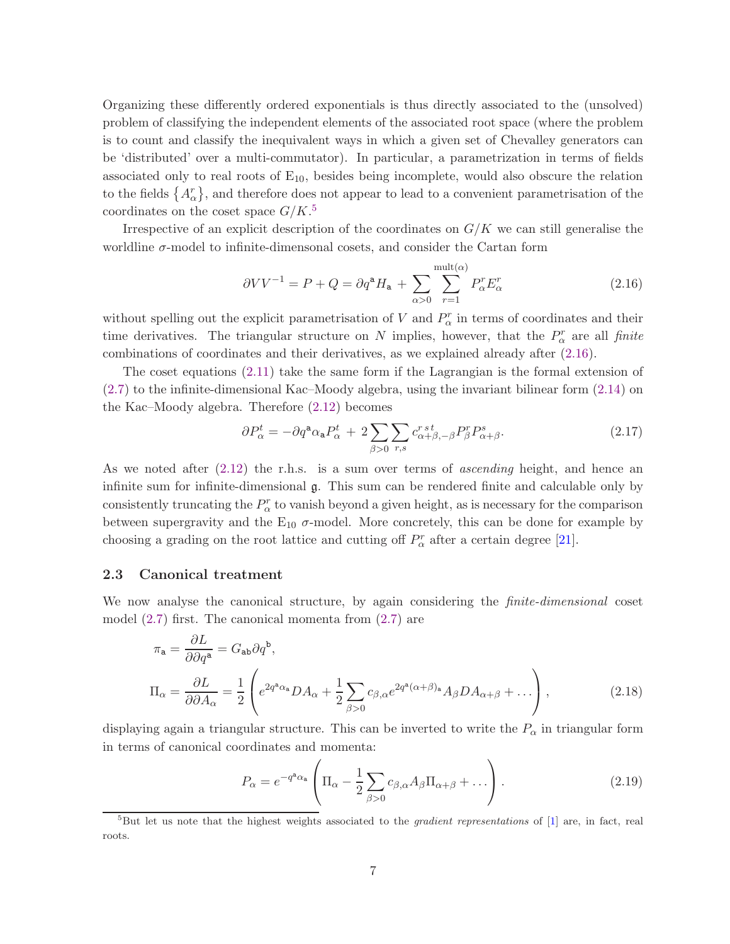Organizing these differently ordered exponentials is thus directly associated to the (unsolved) problem of classifying the independent elements of the associated root space (where the problem is to count and classify the inequivalent ways in which a given set of Chevalley generators can be 'distributed' over a multi-commutator). In particular, a parametrization in terms of fields associated only to real roots of  $E_{10}$ , besides being incomplete, would also obscure the relation to the fields  $\{A_{\alpha}^{r}\}$ , and therefore does not appear to lead to a convenient parametrisation of the coordinates on the coset space  $G/K$ <sup>[5](#page-7-0)</sup>

Irrespective of an explicit description of the coordinates on  $G/K$  we can still generalise the worldline  $\sigma$ -model to infinite-dimensonal cosets, and consider the Cartan form

<span id="page-7-1"></span>
$$
\partial V V^{-1} = P + Q = \partial q^{\mathbf{a}} H_{\mathbf{a}} + \sum_{\alpha > 0} \sum_{r=1}^{\text{mult}(\alpha)} P_{\alpha}^r E_{\alpha}^r \tag{2.16}
$$

without spelling out the explicit parametrisation of V and  $P_{\alpha}^{r}$  in terms of coordinates and their time derivatives. The triangular structure on N implies, however, that the  $P^r_\alpha$  are all finite combinations of coordinates and their derivatives, as we explained already after [\(2.16\)](#page-7-1).

The coset equations [\(2.11\)](#page-5-0) take the same form if the Lagrangian is the formal extension of [\(2.7\)](#page-4-5) to the infinite-dimensional Kac–Moody algebra, using the invariant bilinear form [\(2.14\)](#page-6-1) on the Kac–Moody algebra. Therefore [\(2.12\)](#page-5-1) becomes

<span id="page-7-2"></span>
$$
\partial P_{\alpha}^{t} = -\partial q^{\mathbf{a}} \alpha_{\mathbf{a}} P_{\alpha}^{t} + 2 \sum_{\beta > 0} \sum_{r,s} c_{\alpha+\beta,-\beta}^{r \, s} P_{\beta}^{r} P_{\alpha+\beta}^{s}.
$$
\n(2.17)

As we noted after [\(2.12\)](#page-5-1) the r.h.s. is a sum over terms of ascending height, and hence an infinite sum for infinite-dimensional g. This sum can be rendered finite and calculable only by consistently truncating the  $P^r_{\alpha}$  to vanish beyond a given height, as is necessary for the comparison between supergravity and the  $E_{10}$   $\sigma$ -model. More concretely, this can be done for example by choosing a grading on the root lattice and cutting off  $P^r_\alpha$  after a certain degree [\[21\]](#page-38-9).

#### 2.3 Canonical treatment

We now analyse the canonical structure, by again considering the *finite-dimensional* coset model [\(2.7\)](#page-4-5) first. The canonical momenta from [\(2.7\)](#page-4-5) are

$$
\pi_{\mathbf{a}} = \frac{\partial L}{\partial \partial q^{\mathbf{a}}} = G_{\mathbf{a}\mathbf{b}} \partial q^{\mathbf{b}},
$$
  
\n
$$
\Pi_{\alpha} = \frac{\partial L}{\partial \partial A_{\alpha}} = \frac{1}{2} \left( e^{2q^{\mathbf{a}} \alpha_{\mathbf{a}}} DA_{\alpha} + \frac{1}{2} \sum_{\beta > 0} c_{\beta, \alpha} e^{2q^{\mathbf{a}} (\alpha + \beta)_{\mathbf{a}}} A_{\beta} DA_{\alpha + \beta} + \dots \right),
$$
\n(2.18)

displaying again a triangular structure. This can be inverted to write the  $P_{\alpha}$  in triangular form in terms of canonical coordinates and momenta:

<span id="page-7-3"></span>
$$
P_{\alpha} = e^{-q^{\mathbf{a}}\alpha_{\mathbf{a}}} \left( \Pi_{\alpha} - \frac{1}{2} \sum_{\beta > 0} c_{\beta,\alpha} A_{\beta} \Pi_{\alpha+\beta} + \dots \right). \tag{2.19}
$$

<span id="page-7-0"></span> ${}^{5}$ But let us note that the highest weights associated to the *gradient representations* of  $[1]$  are, in fact, real roots.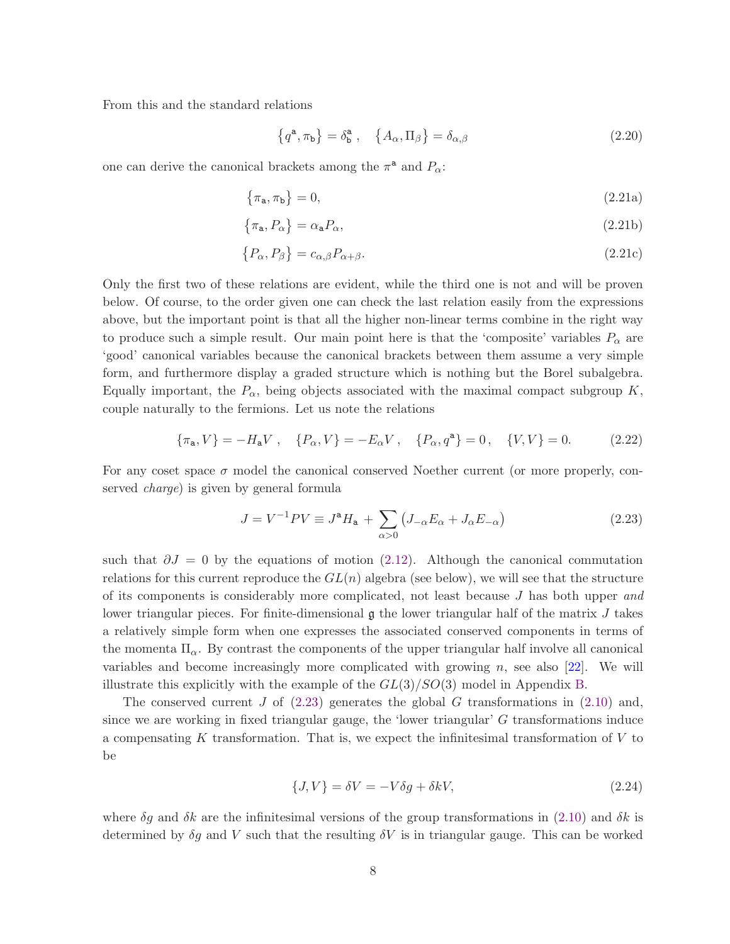From this and the standard relations

<span id="page-8-4"></span><span id="page-8-3"></span><span id="page-8-2"></span><span id="page-8-1"></span>
$$
\left\{q^{\mathbf{a}}, \pi_{\mathbf{b}}\right\} = \delta_{\mathbf{b}}^{\mathbf{a}}, \quad \left\{A_{\alpha}, \Pi_{\beta}\right\} = \delta_{\alpha, \beta} \tag{2.20}
$$

one can derive the canonical brackets among the  $\pi^{\mathbf{a}}$  and  $P_{\alpha}$ :

$$
\{\pi_{\mathbf{a}}, \pi_{\mathbf{b}}\} = 0,\tag{2.21a}
$$

$$
\{\pi_{\mathbf{a}}, P_{\alpha}\} = \alpha_{\mathbf{a}} P_{\alpha},\tag{2.21b}
$$

$$
\{P_{\alpha}, P_{\beta}\} = c_{\alpha,\beta} P_{\alpha+\beta}.
$$
\n(2.21c)

Only the first two of these relations are evident, while the third one is not and will be proven below. Of course, to the order given one can check the last relation easily from the expressions above, but the important point is that all the higher non-linear terms combine in the right way to produce such a simple result. Our main point here is that the 'composite' variables  $P_{\alpha}$  are 'good' canonical variables because the canonical brackets between them assume a very simple form, and furthermore display a graded structure which is nothing but the Borel subalgebra. Equally important, the  $P_{\alpha}$ , being objects associated with the maximal compact subgroup K, couple naturally to the fermions. Let us note the relations

$$
\{\pi_{\mathbf{a}}, V\} = -H_{\mathbf{a}}V \ , \quad \{P_{\alpha}, V\} = -E_{\alpha}V \ , \quad \{P_{\alpha}, q^{\mathbf{a}}\} = 0 \ , \quad \{V, V\} = 0. \tag{2.22}
$$

For any coset space  $\sigma$  model the canonical conserved Noether current (or more properly, conserved charge) is given by general formula

<span id="page-8-0"></span>
$$
J = V^{-1}PV \equiv J^{\mathbf{a}}H_{\mathbf{a}} + \sum_{\alpha > 0} \left( J_{-\alpha} E_{\alpha} + J_{\alpha} E_{-\alpha} \right) \tag{2.23}
$$

such that  $\partial J = 0$  by the equations of motion [\(2.12\)](#page-5-1). Although the canonical commutation relations for this current reproduce the  $GL(n)$  algebra (see below), we will see that the structure of its components is considerably more complicated, not least because  $J$  has both upper and lower triangular pieces. For finite-dimensional  $\mathfrak g$  the lower triangular half of the matrix  $J$  takes a relatively simple form when one expresses the associated conserved components in terms of the momenta  $\Pi_{\alpha}$ . By contrast the components of the upper triangular half involve all canonical variables and become increasingly more complicated with growing  $n$ , see also [\[22\]](#page-38-5). We will illustrate this explicitly with the example of the  $GL(3)/SO(3)$  model in Appendix [B.](#page-34-0)

The conserved current J of  $(2.23)$  generates the global G transformations in  $(2.10)$  and, since we are working in fixed triangular gauge, the 'lower triangular'  $G$  transformations induce a compensating K transformation. That is, we expect the infinitesimal transformation of V to be

$$
\{J, V\} = \delta V = -V\delta g + \delta kV,\tag{2.24}
$$

where  $\delta g$  and  $\delta k$  are the infinitesimal versions of the group transformations in [\(2.10\)](#page-5-2) and  $\delta k$  is determined by  $\delta g$  and V such that the resulting  $\delta V$  is in triangular gauge. This can be worked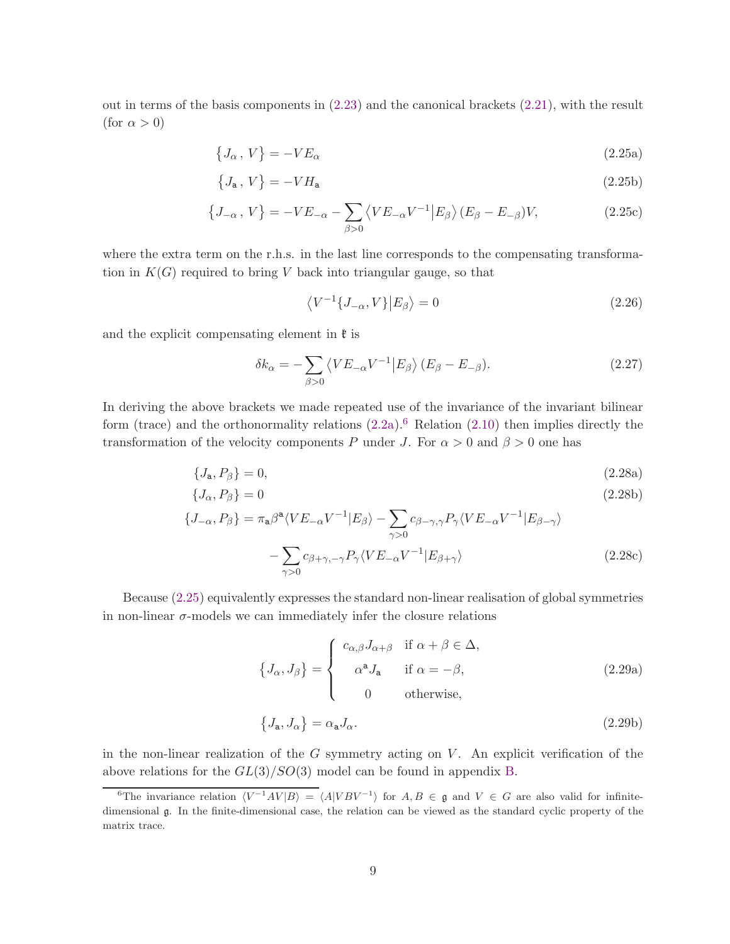out in terms of the basis components in [\(2.23\)](#page-8-0) and the canonical brackets [\(2.21\)](#page-8-1), with the result (for  $\alpha > 0$ )

<span id="page-9-1"></span>
$$
\{J_{\alpha}\,,\,V\} = -VE_{\alpha}\tag{2.25a}
$$

$$
\{J_{\mathbf{a}},\,V\}=-VH_{\mathbf{a}}\tag{2.25b}
$$

$$
\left\{J_{-\alpha}, V\right\} = -VE_{-\alpha} - \sum_{\beta > 0} \left\langle VE_{-\alpha} V^{-1} \middle| E_{\beta} \right\rangle (E_{\beta} - E_{-\beta}) V, \tag{2.25c}
$$

where the extra term on the r.h.s. in the last line corresponds to the compensating transformation in  $K(G)$  required to bring V back into triangular gauge, so that

$$
\langle V^{-1}\{J_{-\alpha}, V\}|E_{\beta}\rangle = 0\tag{2.26}
$$

and the explicit compensating element in  $\mathfrak k$  is

$$
\delta k_{\alpha} = -\sum_{\beta > 0} \left\langle VE_{-\alpha} V^{-1} \middle| E_{\beta} \right\rangle (E_{\beta} - E_{-\beta}). \tag{2.27}
$$

In deriving the above brackets we made repeated use of the invariance of the invariant bilinear form (trace) and the orthonormality relations  $(2.2a)$ .<sup>[6](#page-9-0)</sup> Relation  $(2.10)$  then implies directly the transformation of the velocity components P under J. For  $\alpha > 0$  and  $\beta > 0$  one has

$$
\{J_{\mathbf{a}},P_{\beta}\}=0,\tag{2.28a}
$$

$$
\{J_{\alpha},P_{\beta}\}=0\tag{2.28b}
$$

$$
\{J_{-\alpha}, P_{\beta}\} = \pi_{\mathbf{a}}\beta^{\mathbf{a}} \langle VE_{-\alpha} V^{-1} | E_{\beta} \rangle - \sum_{\gamma > 0} c_{\beta - \gamma, \gamma} P_{\gamma} \langle VE_{-\alpha} V^{-1} | E_{\beta - \gamma} \rangle
$$

$$
- \sum_{\gamma > 0} c_{\beta + \gamma, -\gamma} P_{\gamma} \langle VE_{-\alpha} V^{-1} | E_{\beta + \gamma} \rangle \tag{2.28c}
$$

Because [\(2.25\)](#page-9-1) equivalently expresses the standard non-linear realisation of global symmetries in non-linear  $\sigma$ -models we can immediately infer the closure relations

$$
\{J_{\alpha}, J_{\beta}\} = \begin{cases} c_{\alpha,\beta} J_{\alpha+\beta} & \text{if } \alpha + \beta \in \Delta, \\ \alpha^{\mathbf{a}} J_{\mathbf{a}} & \text{if } \alpha = -\beta, \\ 0 & \text{otherwise,} \end{cases}
$$
 (2.29a)

$$
\{J_{\mathbf{a}}, J_{\alpha}\} = \alpha_{\mathbf{a}} J_{\alpha}.\tag{2.29b}
$$

in the non-linear realization of the  $G$  symmetry acting on  $V$ . An explicit verification of the above relations for the  $GL(3)/SO(3)$  model can be found in appendix [B.](#page-34-0)

<span id="page-9-0"></span><sup>&</sup>lt;sup>6</sup>The invariance relation  $\langle V^{-1}AV|B \rangle = \langle A|VBV^{-1} \rangle$  for  $A, B \in \mathfrak{g}$  and  $V \in G$  are also valid for infinitedimensional g. In the finite-dimensional case, the relation can be viewed as the standard cyclic property of the matrix trace.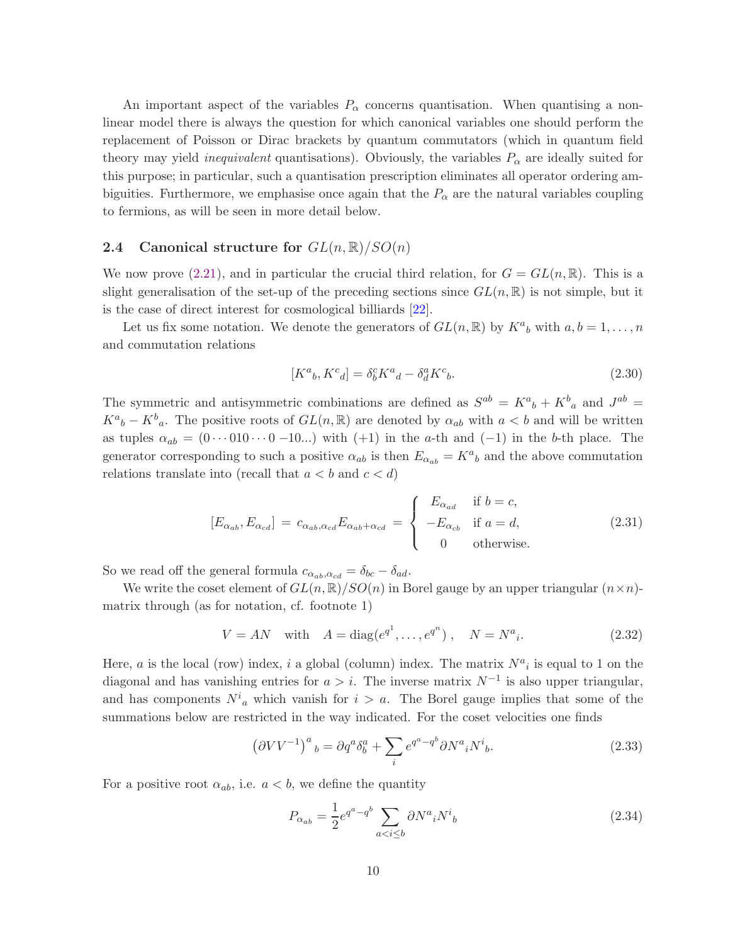An important aspect of the variables  $P_{\alpha}$  concerns quantisation. When quantising a nonlinear model there is always the question for which canonical variables one should perform the replacement of Poisson or Dirac brackets by quantum commutators (which in quantum field theory may yield *inequivalent* quantisations). Obviously, the variables  $P_{\alpha}$  are ideally suited for this purpose; in particular, such a quantisation prescription eliminates all operator ordering ambiguities. Furthermore, we emphasise once again that the  $P_{\alpha}$  are the natural variables coupling to fermions, as will be seen in more detail below.

#### <span id="page-10-0"></span>**2.4** Canonical structure for  $GL(n,\mathbb{R})/SO(n)$

We now prove [\(2.21\)](#page-8-1), and in particular the crucial third relation, for  $G = GL(n, \mathbb{R})$ . This is a slight generalisation of the set-up of the preceding sections since  $GL(n,\mathbb{R})$  is not simple, but it is the case of direct interest for cosmological billiards [\[22\]](#page-38-5).

Let us fix some notation. We denote the generators of  $GL(n,\mathbb{R})$  by  $K^a{}_b$  with  $a,b=1,\ldots,n$ and commutation relations

$$
[K^a{}_b, K^c{}_d] = \delta^c_b K^a{}_d - \delta^a_d K^c{}_b. \tag{2.30}
$$

The symmetric and antisymmetric combinations are defined as  $S^{ab} = K^a{}_b + K^b{}_a$  and  $J^{ab} =$  $K^a{}_b - K^b{}_a$ . The positive roots of  $GL(n, \mathbb{R})$  are denoted by  $\alpha_{ab}$  with  $a < b$  and will be written as tuples  $\alpha_{ab} = (0 \cdots 010 \cdots 0 - 10 ...)$  with  $(+1)$  in the a-th and  $(-1)$  in the b-th place. The generator corresponding to such a positive  $\alpha_{ab}$  is then  $E_{\alpha_{ab}} = K^a{}_b$  and the above commutation relations translate into (recall that  $a < b$  and  $c < d$ )

$$
[E_{\alpha_{ab}}, E_{\alpha_{cd}}] = c_{\alpha_{ab}, \alpha_{cd}} E_{\alpha_{ab} + \alpha_{cd}} = \begin{cases} E_{\alpha_{ad}} & \text{if } b = c, \\ -E_{\alpha_{cb}} & \text{if } a = d, \\ 0 & \text{otherwise.} \end{cases}
$$
 (2.31)

So we read off the general formula  $c_{\alpha_{ab},\alpha_{cd}} = \delta_{bc} - \delta_{ad}$ .

We write the coset element of  $GL(n,\mathbb{R})/SO(n)$  in Borel gauge by an upper triangular  $(n \times n)$ matrix through (as for notation, cf. footnote 1)

$$
V = AN
$$
 with  $A = diag(e^{q^1}, ..., e^{q^n})$ ,  $N = N^a{}_i$ . (2.32)

Here, a is the local (row) index, i a global (column) index. The matrix  $N^a{}_i$  is equal to 1 on the diagonal and has vanishing entries for  $a > i$ . The inverse matrix  $N^{-1}$  is also upper triangular, and has components  $N^i{}_a$  which vanish for  $i > a$ . The Borel gauge implies that some of the summations below are restricted in the way indicated. For the coset velocities one finds

$$
\left(\partial VV^{-1}\right)^{a}{}_{b} = \partial q^{a}\delta^{a}_{b} + \sum_{i} e^{q^{a}-q^{b}} \partial N^{a}{}_{i}N^{i}{}_{b}.
$$
\n(2.33)

For a positive root  $\alpha_{ab}$ , i.e.  $a < b$ , we define the quantity

$$
P_{\alpha_{ab}} = \frac{1}{2} e^{q^a - q^b} \sum_{a < i \le b} \partial N^a{}_i N^i{}_b \tag{2.34}
$$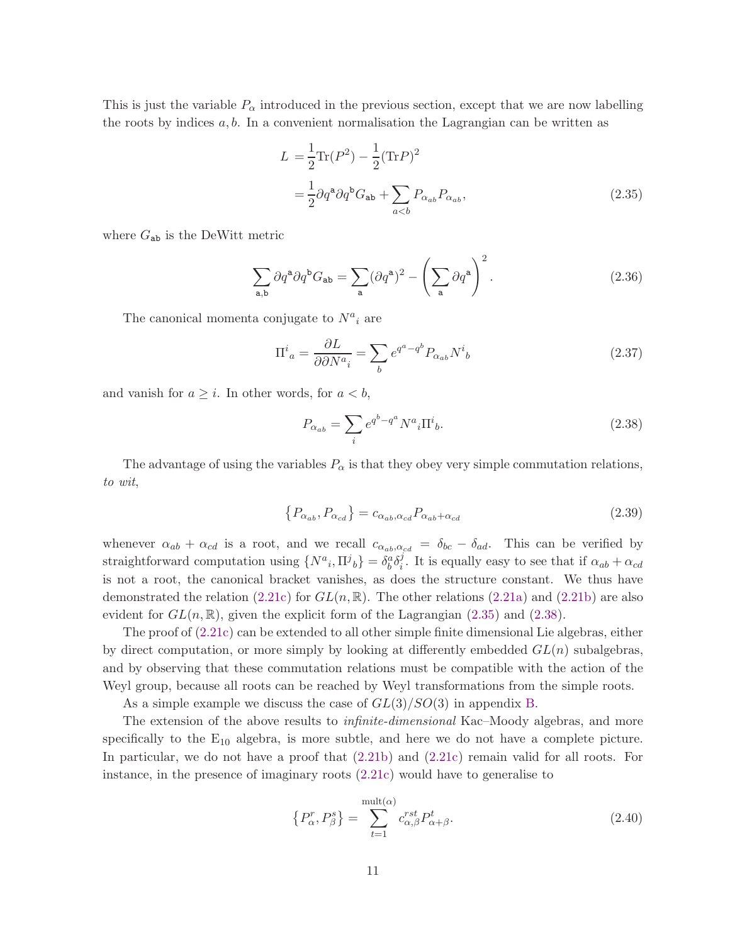This is just the variable  $P_{\alpha}$  introduced in the previous section, except that we are now labelling the roots by indices  $a, b$ . In a convenient normalisation the Lagrangian can be written as

<span id="page-11-0"></span>
$$
L = \frac{1}{2} \text{Tr}(P^2) - \frac{1}{2} (\text{Tr} P)^2
$$

$$
= \frac{1}{2} \partial q^a \partial q^b G_{ab} + \sum_{a
$$

where  $G_{ab}$  is the DeWitt metric

$$
\sum_{\mathbf{a},\mathbf{b}} \partial q^{\mathbf{a}} \partial q^{\mathbf{b}} G_{\mathbf{a}\mathbf{b}} = \sum_{\mathbf{a}} (\partial q^{\mathbf{a}})^2 - \left(\sum_{\mathbf{a}} \partial q^{\mathbf{a}}\right)^2.
$$
 (2.36)

The canonical momenta conjugate to  $N^a{}_i$  are

$$
\Pi^i{}_a = \frac{\partial L}{\partial \partial N^a{}_i} = \sum_b e^{q^a - q^b} P_{\alpha_{ab}} N^i{}_b \tag{2.37}
$$

and vanish for  $a \geq i$ . In other words, for  $a < b$ ,

<span id="page-11-1"></span>
$$
P_{\alpha_{ab}} = \sum_{i} e^{q^b - q^a} N^a{}_i \Pi^i{}_b. \tag{2.38}
$$

The advantage of using the variables  $P_{\alpha}$  is that they obey very simple commutation relations, to wit,

$$
\{P_{\alpha_{ab}}, P_{\alpha_{cd}}\} = c_{\alpha_{ab}, \alpha_{cd}} P_{\alpha_{ab} + \alpha_{cd}} \tag{2.39}
$$

whenever  $\alpha_{ab} + \alpha_{cd}$  is a root, and we recall  $c_{\alpha_{ab},\alpha_{cd}} = \delta_{bc} - \delta_{ad}$ . This can be verified by straightforward computation using  $\{N^a{}_i, \Pi^j{}_b\} = \delta^a_b \delta^j_i$ <sup>*i*</sup>. It is equally easy to see that if  $\alpha_{ab} + \alpha_{cd}$ is not a root, the canonical bracket vanishes, as does the structure constant. We thus have demonstrated the relation  $(2.21c)$  for  $GL(n,\mathbb{R})$ . The other relations  $(2.21a)$  and  $(2.21b)$  are also evident for  $GL(n,\mathbb{R})$ , given the explicit form of the Lagrangian [\(2.35\)](#page-11-0) and [\(2.38\)](#page-11-1).

The proof of [\(2.21c\)](#page-8-2) can be extended to all other simple finite dimensional Lie algebras, either by direct computation, or more simply by looking at differently embedded  $GL(n)$  subalgebras. and by observing that these commutation relations must be compatible with the action of the Weyl group, because all roots can be reached by Weyl transformations from the simple roots.

As a simple example we discuss the case of  $GL(3)/SO(3)$  in appendix [B.](#page-34-0)

The extension of the above results to *infinite-dimensional* Kac–Moody algebras, and more specifically to the  $E_{10}$  algebra, is more subtle, and here we do not have a complete picture. In particular, we do not have a proof that  $(2.21b)$  and  $(2.21c)$  remain valid for all roots. For instance, in the presence of imaginary roots [\(2.21c\)](#page-8-2) would have to generalise to

$$
\left\{P_{\alpha}^{r}, P_{\beta}^{s}\right\} = \sum_{t=1}^{\text{mult}(\alpha)} c_{\alpha,\beta}^{rst} P_{\alpha+\beta}^{t}.
$$
\n(2.40)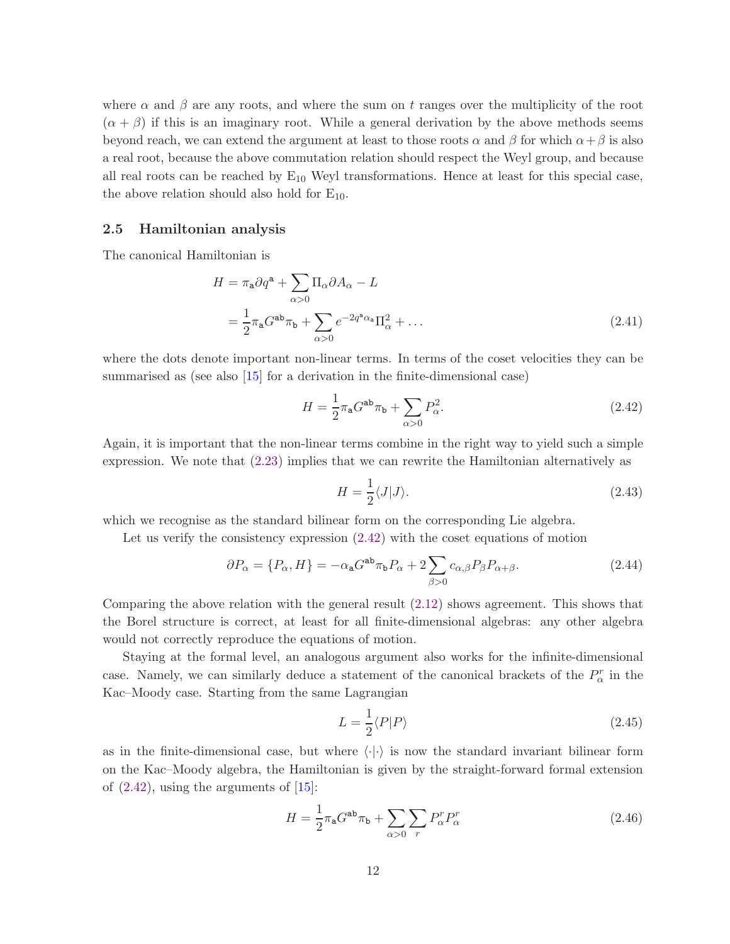where  $\alpha$  and  $\beta$  are any roots, and where the sum on t ranges over the multiplicity of the root  $(\alpha + \beta)$  if this is an imaginary root. While a general derivation by the above methods seems beyond reach, we can extend the argument at least to those roots  $\alpha$  and  $\beta$  for which  $\alpha + \beta$  is also a real root, because the above commutation relation should respect the Weyl group, and because all real roots can be reached by  $E_{10}$  Weyl transformations. Hence at least for this special case, the above relation should also hold for  $E_{10}$ .

#### 2.5 Hamiltonian analysis

The canonical Hamiltonian is

$$
H = \pi_{\mathbf{a}} \partial q^{\mathbf{a}} + \sum_{\alpha > 0} \Pi_{\alpha} \partial A_{\alpha} - L
$$
  
=  $\frac{1}{2} \pi_{\mathbf{a}} G^{\mathbf{a}\mathbf{b}} \pi_{\mathbf{b}} + \sum_{\alpha > 0} e^{-2q^{\mathbf{a}} \alpha_{\mathbf{a}}} \Pi_{\alpha}^{2} + \dots$  (2.41)

where the dots denote important non-linear terms. In terms of the coset velocities they can be summarised as (see also [\[15\]](#page-38-3) for a derivation in the finite-dimensional case)

$$
H = \frac{1}{2}\pi_{\mathsf{a}}G^{\mathsf{ab}}\pi_{\mathsf{b}} + \sum_{\alpha>0} P_{\alpha}^2.
$$
 (2.42)

Again, it is important that the non-linear terms combine in the right way to yield such a simple expression. We note that [\(2.23\)](#page-8-0) implies that we can rewrite the Hamiltonian alternatively as

<span id="page-12-1"></span><span id="page-12-0"></span>
$$
H = \frac{1}{2} \langle J | J \rangle. \tag{2.43}
$$

which we recognise as the standard bilinear form on the corresponding Lie algebra.

Let us verify the consistency expression [\(2.42\)](#page-12-0) with the coset equations of motion

$$
\partial P_{\alpha} = \{P_{\alpha}, H\} = -\alpha_{\mathbf{a}} G^{\mathbf{a}\mathbf{b}} \pi_{\mathbf{b}} P_{\alpha} + 2 \sum_{\beta > 0} c_{\alpha,\beta} P_{\beta} P_{\alpha + \beta}.
$$
 (2.44)

Comparing the above relation with the general result [\(2.12\)](#page-5-1) shows agreement. This shows that the Borel structure is correct, at least for all finite-dimensional algebras: any other algebra would not correctly reproduce the equations of motion.

Staying at the formal level, an analogous argument also works for the infinite-dimensional case. Namely, we can similarly deduce a statement of the canonical brackets of the  $P^r_\alpha$  in the Kac–Moody case. Starting from the same Lagrangian

$$
L = \frac{1}{2} \langle P|P\rangle \tag{2.45}
$$

as in the finite-dimensional case, but where  $\langle \cdot | \cdot \rangle$  is now the standard invariant bilinear form on the Kac–Moody algebra, the Hamiltonian is given by the straight-forward formal extension of  $(2.42)$ , using the arguments of  $[15]$ :

$$
H = \frac{1}{2}\pi_{\mathbf{a}}G^{\mathbf{a}\mathbf{b}}\pi_{\mathbf{b}} + \sum_{\alpha>0} \sum_{r} P_{\alpha}^{r} P_{\alpha}^{r}
$$
 (2.46)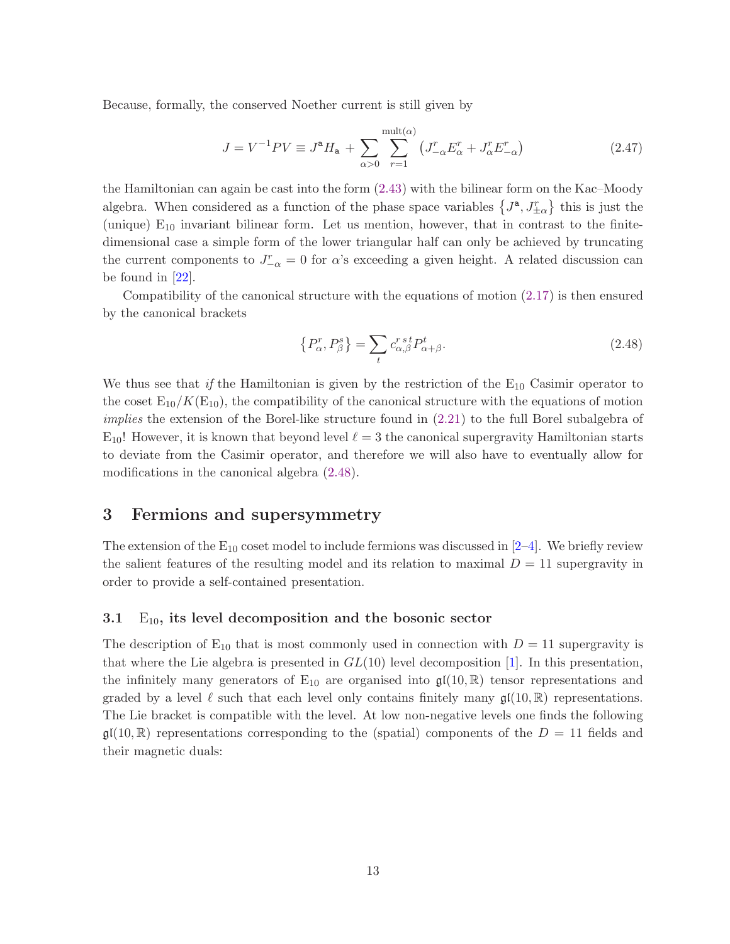Because, formally, the conserved Noether current is still given by

$$
J = V^{-1}PV \equiv J^{\mathbf{a}}H_{\mathbf{a}} + \sum_{\alpha>0} \sum_{r=1}^{\text{mult}(\alpha)} \left( J_{-\alpha}^{r} E_{\alpha}^{r} + J_{\alpha}^{r} E_{-\alpha}^{r} \right) \tag{2.47}
$$

the Hamiltonian can again be cast into the form [\(2.43\)](#page-12-1) with the bilinear form on the Kac–Moody algebra. When considered as a function of the phase space variables  $\{J^a, J^r_{\pm \alpha}\}\$ this is just the (unique)  $E_{10}$  invariant bilinear form. Let us mention, however, that in contrast to the finitedimensional case a simple form of the lower triangular half can only be achieved by truncating the current components to  $J_{-\alpha}^r = 0$  for  $\alpha$ 's exceeding a given height. A related discussion can be found in [\[22\]](#page-38-5).

Compatibility of the canonical structure with the equations of motion [\(2.17\)](#page-7-2) is then ensured by the canonical brackets

<span id="page-13-1"></span>
$$
\{P_{\alpha}^r, P_{\beta}^s\} = \sum_t c_{\alpha,\beta}^{rst} P_{\alpha+\beta}^t.
$$
\n(2.48)

We thus see that if the Hamiltonian is given by the restriction of the  $E_{10}$  Casimir operator to the coset  $E_{10}/K(E_{10})$ , the compatibility of the canonical structure with the equations of motion implies the extension of the Borel-like structure found in [\(2.21\)](#page-8-1) to the full Borel subalgebra of  $E_{10}$ ! However, it is known that beyond level  $\ell = 3$  the canonical supergravity Hamiltonian starts to deviate from the Casimir operator, and therefore we will also have to eventually allow for modifications in the canonical algebra [\(2.48\)](#page-13-1).

### <span id="page-13-0"></span>3 Fermions and supersymmetry

The extension of the  $E_{10}$  coset model to include fermions was discussed in  $[2-4]$  $[2-4]$ . We briefly review the salient features of the resulting model and its relation to maximal  $D = 11$  supergravity in order to provide a self-contained presentation.

#### 3.1  $E_{10}$ , its level decomposition and the bosonic sector

The description of  $E_{10}$  that is most commonly used in connection with  $D = 11$  supergravity is that where the Lie algebra is presented in  $GL(10)$  level decomposition [\[1\]](#page-37-0). In this presentation, the infinitely many generators of  $E_{10}$  are organised into  $\mathfrak{gl}(10,\mathbb{R})$  tensor representations and graded by a level  $\ell$  such that each level only contains finitely many  $\mathfrak{gl}(10,\mathbb{R})$  representations. The Lie bracket is compatible with the level. At low non-negative levels one finds the following  $\mathfrak{gl}(10,\mathbb{R})$  representations corresponding to the (spatial) components of the  $D = 11$  fields and their magnetic duals: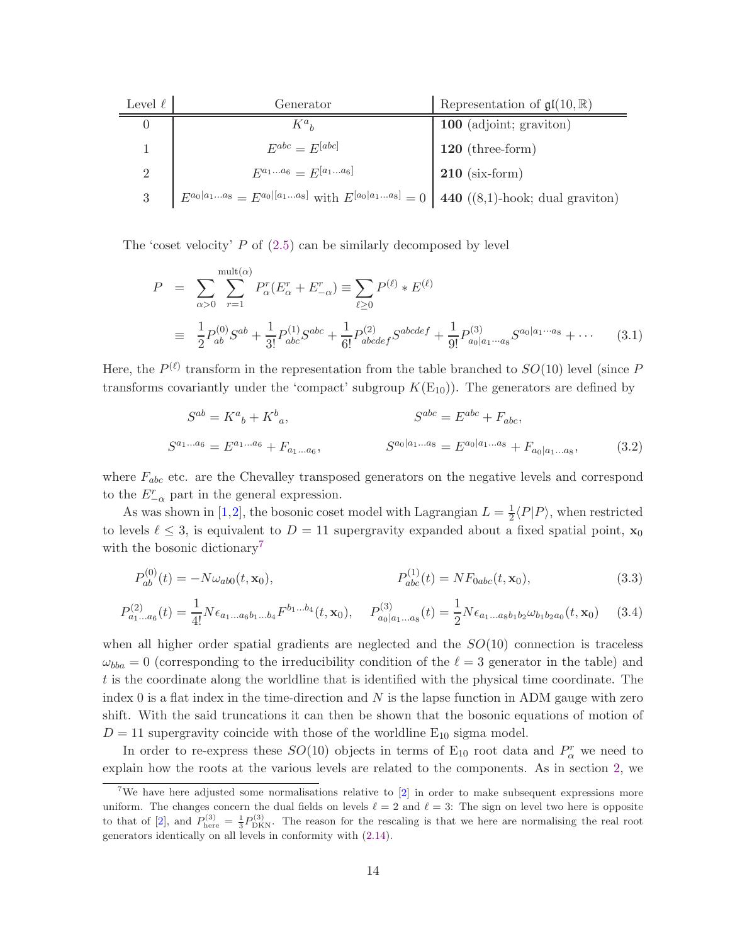| Level $\ell$ | Generator                                                                                         | Representation of $\mathfrak{gl}(10,\mathbb{R})$ |
|--------------|---------------------------------------------------------------------------------------------------|--------------------------------------------------|
|              | $K^a{}_b$                                                                                         | 100 (adjoint; graviton)                          |
|              | $E^{abc} = E^{[abc]}$                                                                             | $120$ (three-form)                               |
| $\Omega$     | $E^{a_1a_6} = E^{[a_1a_6]}$                                                                       | $210$ (six-form)                                 |
| 3            | $E^{a_0 a_1a_8} = E^{a_0 [a_1a_8]}$ with $E^{[a_0 a_1a_8]} = 0$   440 ((8,1)-hook; dual graviton) |                                                  |

The 'coset velocity'  $P$  of  $(2.5)$  can be similarly decomposed by level

$$
P = \sum_{\alpha>0} \sum_{r=1}^{\text{mult}(\alpha)} P_{\alpha}^r (E_{\alpha}^r + E_{-\alpha}^r) \equiv \sum_{\ell \ge 0} P^{(\ell)} * E^{(\ell)}
$$
  

$$
\equiv \frac{1}{2} P_{ab}^{(0)} S^{ab} + \frac{1}{3!} P_{abc}^{(1)} S^{abc} + \frac{1}{6!} P_{abcdef}^{(2)} S^{abcdef} + \frac{1}{9!} P_{a_0|a_1 \cdots a_8}^{(3)} S^{a_0|a_1 \cdots a_8} + \cdots \qquad (3.1)
$$

Here, the  $P^{(\ell)}$  transform in the representation from the table branched to  $SO(10)$  level (since P transforms covariantly under the 'compact' subgroup  $K(E_{10})$ . The generators are defined by

<span id="page-14-1"></span>
$$
S^{ab} = K^{a}{}_{b} + K^{b}{}_{a},
$$
  
\n
$$
S^{abc} = E^{abc} + F_{abc},
$$
  
\n
$$
S^{a_{1}...a_{6}} = E^{a_{1}...a_{6}} + F_{a_{1}...a_{6}},
$$
  
\n
$$
S^{a_{0}|a_{1}...a_{8}} = E^{a_{0}|a_{1}...a_{8}} + F_{a_{0}|a_{1}...a_{8}},
$$
  
\n(3.2)

where  $F_{abc}$  etc. are the Chevalley transposed generators on the negative levels and correspond to the  $E_{-\alpha}^r$  part in the general expression.

As was shown in [\[1,](#page-37-0)[2\]](#page-37-1), the bosonic coset model with Lagrangian  $L = \frac{1}{2}$  $\frac{1}{2}\langle P|P\rangle$ , when restricted to levels  $\ell \leq 3$ , is equivalent to  $D = 11$  supergravity expanded about a fixed spatial point,  $\mathbf{x}_0$ with the bosonic dictionary<sup>[7](#page-14-0)</sup>

$$
P_{ab}^{(0)}(t) = -N\omega_{ab0}(t, \mathbf{x}_0), \qquad P_{abc}^{(1)}(t) = NF_{0abc}(t, \mathbf{x}_0), \qquad (3.3)
$$

$$
P_{a_1...a_6}^{(2)}(t) = \frac{1}{4!} N \epsilon_{a_1...a_6 b_1...b_4} F^{b_1...b_4}(t, \mathbf{x}_0), \quad P_{a_0|a_1...a_8}^{(3)}(t) = \frac{1}{2} N \epsilon_{a_1...a_8 b_1 b_2} \omega_{b_1 b_2 a_0}(t, \mathbf{x}_0)
$$
(3.4)

when all higher order spatial gradients are neglected and the  $SO(10)$  connection is traceless  $\omega_{bba} = 0$  (corresponding to the irreducibility condition of the  $\ell = 3$  generator in the table) and t is the coordinate along the worldline that is identified with the physical time coordinate. The index 0 is a flat index in the time-direction and  $N$  is the lapse function in ADM gauge with zero shift. With the said truncations it can then be shown that the bosonic equations of motion of  $D = 11$  supergravity coincide with those of the worldline  $E_{10}$  sigma model.

In order to re-express these  $SO(10)$  objects in terms of  $E_{10}$  root data and  $P_{\alpha}^{r}$  we need to explain how the roots at the various levels are related to the components. As in section [2,](#page-3-2) we

<span id="page-14-0"></span><sup>&</sup>lt;sup>7</sup>We have here adjusted some normalisations relative to  $[2]$  in order to make subsequent expressions more uniform. The changes concern the dual fields on levels  $\ell = 2$  and  $\ell = 3$ : The sign on level two here is opposite to that of [\[2\]](#page-37-1), and  $P_{\text{here}}^{(3)} = \frac{1}{3}P_{\text{DKN}}^{(3)}$ . The reason for the rescaling is that we here are normalising the real root generators identically on all levels in conformity with [\(2.14\)](#page-6-1).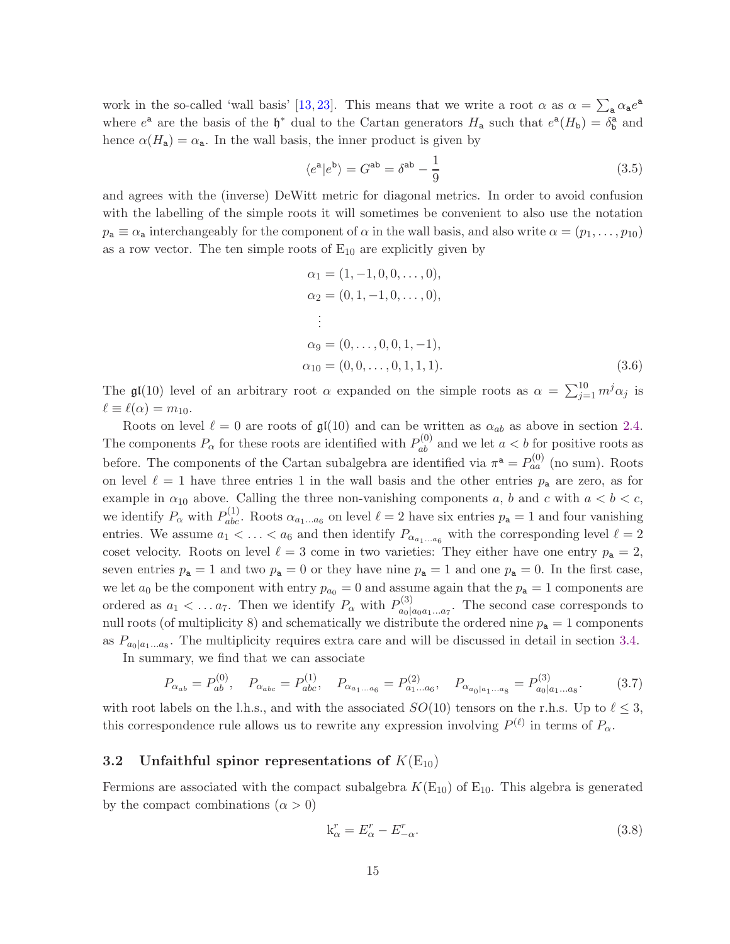work in the so-called 'wall basis' [\[13,](#page-38-1) [23\]](#page-38-10). This means that we write a root  $\alpha$  as  $\alpha = \sum_{a} \alpha_a e^a$ where  $e^a$  are the basis of the  $\mathfrak{h}^*$  dual to the Cartan generators  $H_a$  such that  $e^a(H_b) = \delta_b^a$  and hence  $\alpha(H_a) = \alpha_a$ . In the wall basis, the inner product is given by

<span id="page-15-2"></span>
$$
\langle e^{\mathbf{a}} | e^{\mathbf{b}} \rangle = G^{\mathbf{ab}} = \delta^{\mathbf{ab}} - \frac{1}{9}
$$
\n(3.5)

and agrees with the (inverse) DeWitt metric for diagonal metrics. In order to avoid confusion with the labelling of the simple roots it will sometimes be convenient to also use the notation  $p_a \equiv \alpha_a$  interchangeably for the component of  $\alpha$  in the wall basis, and also write  $\alpha = (p_1, \ldots, p_{10})$ as a row vector. The ten simple roots of  $E_{10}$  are explicitly given by

$$
\alpha_1 = (1, -1, 0, 0, \dots, 0),
$$
  
\n
$$
\alpha_2 = (0, 1, -1, 0, \dots, 0),
$$
  
\n
$$
\vdots
$$
  
\n
$$
\alpha_9 = (0, \dots, 0, 0, 1, -1),
$$
  
\n
$$
\alpha_{10} = (0, 0, \dots, 0, 1, 1, 1).
$$
  
\n(3.6)

The  $\mathfrak{gl}(10)$  level of an arbitrary root  $\alpha$  expanded on the simple roots as  $\alpha = \sum_{j=1}^{10} m^j \alpha_j$  is  $\ell \equiv \ell(\alpha) = m_{10}.$ 

Roots on level  $\ell = 0$  are roots of  $\mathfrak{gl}(10)$  and can be written as  $\alpha_{ab}$  as above in section [2.4.](#page-10-0) The components  $P_{\alpha}$  for these roots are identified with  $P_{ab}^{(0)}$  and we let  $a < b$  for positive roots as before. The components of the Cartan subalgebra are identified via  $\pi^a = P_{aa}^{(0)}$  (no sum). Roots on level  $\ell = 1$  have three entries 1 in the wall basis and the other entries  $p_a$  are zero, as for example in  $\alpha_{10}$  above. Calling the three non-vanishing components a, b and c with  $a < b < c$ , we identify  $P_{\alpha}$  with  $P_{abc}^{(1)}$ . Roots  $\alpha_{a_1...a_6}$  on level  $\ell = 2$  have six entries  $p_a = 1$  and four vanishing entries. We assume  $a_1 < \ldots < a_6$  and then identify  $P_{\alpha_{a_1...a_6}}$  with the corresponding level  $\ell = 2$ coset velocity. Roots on level  $\ell = 3$  come in two varieties: They either have one entry  $p_a = 2$ , seven entries  $p_a = 1$  and two  $p_a = 0$  or they have nine  $p_a = 1$  and one  $p_a = 0$ . In the first case, we let  $a_0$  be the component with entry  $p_{a_0} = 0$  and assume again that the  $p_a = 1$  components are ordered as  $a_1 < \ldots a_7$ . Then we identify  $P_\alpha$  with  $P_{a}^{(3)}$  $a_0|a_0a_1...a_7$ . The second case corresponds to null roots (of multiplicity 8) and schematically we distribute the ordered nine  $p_a = 1$  components as  $P_{a_0|a_1...a_8}$ . The multiplicity requires extra care and will be discussed in detail in section [3.4.](#page-21-0)

In summary, we find that we can associate

$$
P_{\alpha_{ab}} = P_{ab}^{(0)}, \quad P_{\alpha_{abc}} = P_{abc}^{(1)}, \quad P_{\alpha_{a_1...a_6}} = P_{a_1...a_6}^{(2)}, \quad P_{\alpha_{a_0|a_1...a_8}} = P_{a_0|a_1...a_8}^{(3)}.
$$
 (3.7)

with root labels on the l.h.s., and with the associated  $SO(10)$  tensors on the r.h.s. Up to  $\ell \leq 3$ , this correspondence rule allows us to rewrite any expression involving  $P^{(\ell)}$  in terms of  $P_{\alpha}$ .

#### <span id="page-15-0"></span>3.2 Unfaithful spinor representations of  $K(E_{10})$

Fermions are associated with the compact subalgebra  $K(E_{10})$  of  $E_{10}$ . This algebra is generated by the compact combinations  $(\alpha > 0)$ 

<span id="page-15-3"></span><span id="page-15-1"></span>
$$
k_{\alpha}^r = E_{\alpha}^r - E_{-\alpha}^r. \tag{3.8}
$$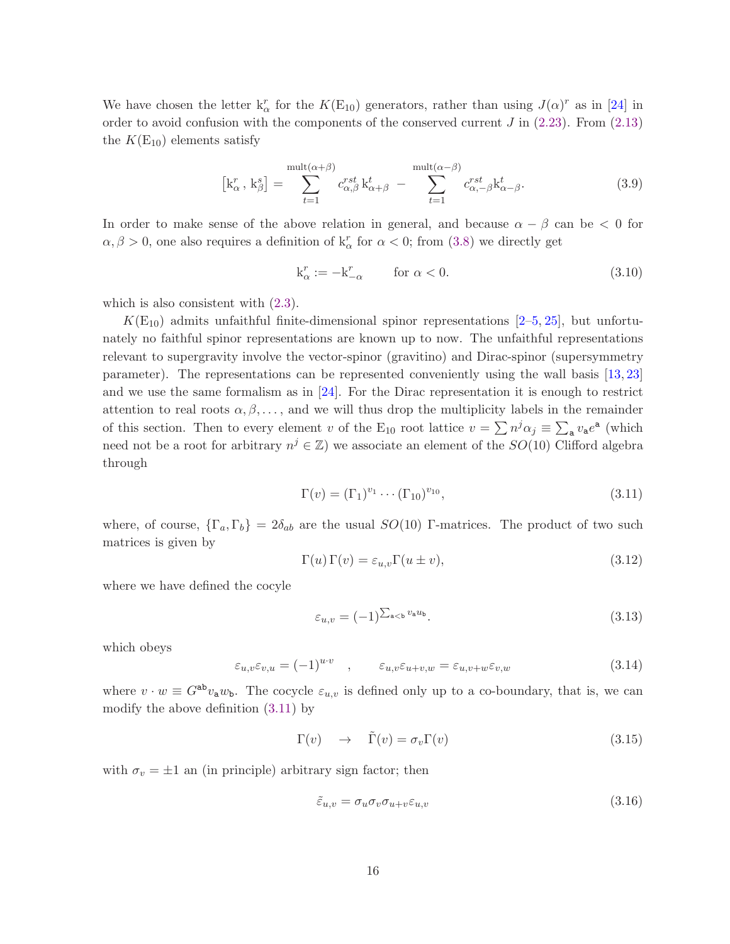We have chosen the letter  $k_{\alpha}^{r}$  for the  $K(E_{10})$  generators, rather than using  $J(\alpha)^{r}$  as in [\[24\]](#page-38-11) in order to avoid confusion with the components of the conserved current  $J$  in  $(2.23)$ . From  $(2.13)$ the  $K(E_{10})$  elements satisfy

$$
\begin{bmatrix} \mathbf{k}_{\alpha}^r, \mathbf{k}_{\beta}^s \end{bmatrix} = \sum_{t=1}^{\text{mult}(\alpha+\beta)} c_{\alpha,\beta}^{rst} \mathbf{k}_{\alpha+\beta}^t - \sum_{t=1}^{\text{mult}(\alpha-\beta)} c_{\alpha,-\beta}^{rst} \mathbf{k}_{\alpha-\beta}^t. \tag{3.9}
$$

In order to make sense of the above relation in general, and because  $\alpha - \beta$  can be  $\lt 0$  for  $\alpha, \beta > 0$ , one also requires a definition of  $k^r_\alpha$  for  $\alpha < 0$ ; from [\(3.8\)](#page-15-1) we directly get

<span id="page-16-4"></span><span id="page-16-2"></span>
$$
k_{\alpha}^{r} := -k_{-\alpha}^{r} \qquad \text{for } \alpha < 0. \tag{3.10}
$$

which is also consistent with  $(2.3)$ .

 $K(E_{10})$  admits unfaithful finite-dimensional spinor representations [\[2–](#page-37-1)[5,](#page-37-2) [25\]](#page-38-12), but unfortunately no faithful spinor representations are known up to now. The unfaithful representations relevant to supergravity involve the vector-spinor (gravitino) and Dirac-spinor (supersymmetry parameter). The representations can be represented conveniently using the wall basis [\[13,](#page-38-1) [23\]](#page-38-10) and we use the same formalism as in [\[24\]](#page-38-11). For the Dirac representation it is enough to restrict attention to real roots  $\alpha, \beta, \ldots$ , and we will thus drop the multiplicity labels in the remainder of this section. Then to every element v of the E<sub>10</sub> root lattice  $v = \sum n^j \alpha_j \equiv \sum_a v_a e^a$  (which need not be a root for arbitrary  $n^j \in \mathbb{Z}$ ) we associate an element of the  $SO(10)$  Clifford algebra through

<span id="page-16-0"></span>
$$
\Gamma(v) = (\Gamma_1)^{v_1} \cdots (\Gamma_{10})^{v_{10}}, \tag{3.11}
$$

where, of course,  $\{\Gamma_a, \Gamma_b\} = 2\delta_{ab}$  are the usual  $SO(10)$  Γ-matrices. The product of two such matrices is given by

<span id="page-16-3"></span>
$$
\Gamma(u)\,\Gamma(v) = \varepsilon_{u,v}\Gamma(u \pm v),\tag{3.12}
$$

where we have defined the cocyle

$$
\varepsilon_{u,v} = (-1)^{\sum_{\mathbf{a} < \mathbf{b}} v_{\mathbf{a}} w_{\mathbf{b}}}.\tag{3.13}
$$

which obeys

<span id="page-16-1"></span>
$$
\varepsilon_{u,v}\varepsilon_{v,u} = (-1)^{u\cdot v} \quad , \qquad \varepsilon_{u,v}\varepsilon_{u+v,w} = \varepsilon_{u,v+w}\varepsilon_{v,w} \tag{3.14}
$$

where  $v \cdot w \equiv G^{ab}v_a w_b$ . The cocycle  $\varepsilon_{u,v}$  is defined only up to a co-boundary, that is, we can modify the above definition [\(3.11\)](#page-16-0) by

<span id="page-16-5"></span>
$$
\Gamma(v) \quad \to \quad \tilde{\Gamma}(v) = \sigma_v \Gamma(v) \tag{3.15}
$$

with  $\sigma_v = \pm 1$  an (in principle) arbitrary sign factor; then

$$
\tilde{\varepsilon}_{u,v} = \sigma_u \sigma_v \sigma_{u+v} \varepsilon_{u,v} \tag{3.16}
$$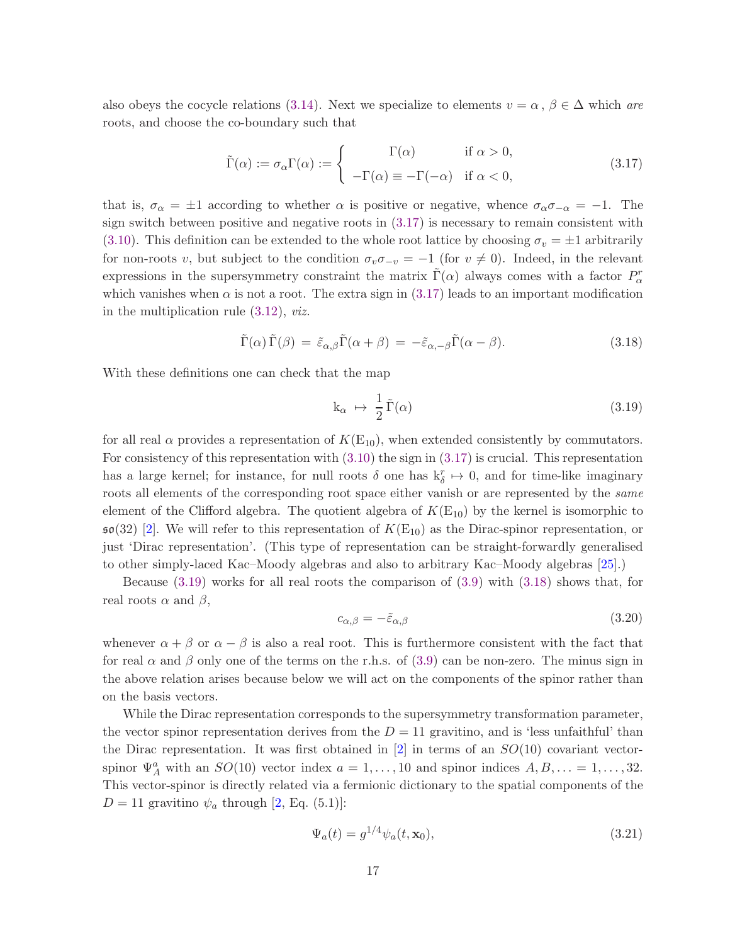also obeys the cocycle relations [\(3.14\)](#page-16-1). Next we specialize to elements  $v = \alpha, \beta \in \Delta$  which are roots, and choose the co-boundary such that

<span id="page-17-0"></span>
$$
\tilde{\Gamma}(\alpha) := \sigma_{\alpha} \Gamma(\alpha) := \begin{cases}\n\Gamma(\alpha) & \text{if } \alpha > 0, \\
-\Gamma(\alpha) \equiv -\Gamma(-\alpha) & \text{if } \alpha < 0,\n\end{cases}
$$
\n(3.17)

that is,  $\sigma_{\alpha} = \pm 1$  according to whether  $\alpha$  is positive or negative, whence  $\sigma_{\alpha}\sigma_{-\alpha} = -1$ . The sign switch between positive and negative roots in [\(3.17\)](#page-17-0) is necessary to remain consistent with [\(3.10\)](#page-16-2). This definition can be extended to the whole root lattice by choosing  $\sigma_v = \pm 1$  arbitrarily for non-roots v, but subject to the condition  $\sigma_v \sigma_{-v} = -1$  (for  $v \neq 0$ ). Indeed, in the relevant expressions in the supersymmetry constraint the matrix  $\tilde{\Gamma}(\alpha)$  always comes with a factor  $P^r_{\alpha}$ which vanishes when  $\alpha$  is not a root. The extra sign in [\(3.17\)](#page-17-0) leads to an important modification in the multiplication rule [\(3.12\)](#page-16-3), viz.

<span id="page-17-2"></span>
$$
\tilde{\Gamma}(\alpha)\tilde{\Gamma}(\beta) = \tilde{\varepsilon}_{\alpha,\beta}\tilde{\Gamma}(\alpha+\beta) = -\tilde{\varepsilon}_{\alpha,-\beta}\tilde{\Gamma}(\alpha-\beta). \tag{3.18}
$$

With these definitions one can check that the map

<span id="page-17-1"></span>
$$
k_{\alpha} \ \mapsto \ \frac{1}{2} \, \tilde{\Gamma}(\alpha) \tag{3.19}
$$

for all real  $\alpha$  provides a representation of  $K(E_{10})$ , when extended consistently by commutators. For consistency of this representation with [\(3.10\)](#page-16-2) the sign in [\(3.17\)](#page-17-0) is crucial. This representation has a large kernel; for instance, for null roots  $\delta$  one has  $k_{\delta}^{r} \mapsto 0$ , and for time-like imaginary roots all elements of the corresponding root space either vanish or are represented by the *same* element of the Clifford algebra. The quotient algebra of  $K(E_{10})$  by the kernel is isomorphic to  $\mathfrak{so}(32)$  [\[2\]](#page-37-1). We will refer to this representation of  $K(E_{10})$  as the Dirac-spinor representation, or just 'Dirac representation'. (This type of representation can be straight-forwardly generalised to other simply-laced Kac–Moody algebras and also to arbitrary Kac–Moody algebras [\[25\]](#page-38-12).)

Because  $(3.19)$  works for all real roots the comparison of  $(3.9)$  with  $(3.18)$  shows that, for real roots  $\alpha$  and  $\beta$ ,

$$
c_{\alpha,\beta} = -\tilde{\varepsilon}_{\alpha,\beta} \tag{3.20}
$$

whenever  $\alpha + \beta$  or  $\alpha - \beta$  is also a real root. This is furthermore consistent with the fact that for real  $\alpha$  and  $\beta$  only one of the terms on the r.h.s. of [\(3.9\)](#page-16-4) can be non-zero. The minus sign in the above relation arises because below we will act on the components of the spinor rather than on the basis vectors.

While the Dirac representation corresponds to the supersymmetry transformation parameter, the vector spinor representation derives from the  $D = 11$  gravitino, and is 'less unfaithful' than the Dirac representation. It was first obtained in  $[2]$  in terms of an  $SO(10)$  covariant vectorspinor  $\Psi_A^a$  with an  $SO(10)$  vector index  $a = 1, ..., 10$  and spinor indices  $A, B, ... = 1, ..., 32$ . This vector-spinor is directly related via a fermionic dictionary to the spatial components of the  $D = 11$  gravitino  $\psi_a$  through [\[2,](#page-37-1) Eq. (5.1)]:

<span id="page-17-3"></span>
$$
\Psi_a(t) = g^{1/4} \psi_a(t, \mathbf{x}_0),\tag{3.21}
$$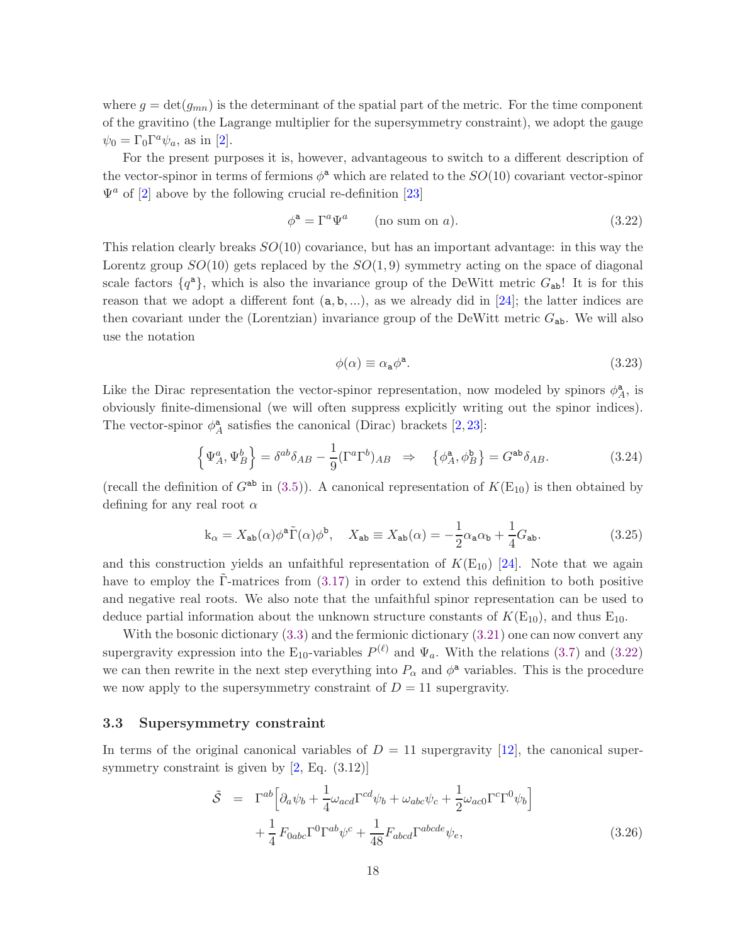where  $g = det(g_{mn})$  is the determinant of the spatial part of the metric. For the time component of the gravitino (the Lagrange multiplier for the supersymmetry constraint), we adopt the gauge  $\psi_0 = \Gamma_0 \Gamma^a \psi_a$ , as in [\[2\]](#page-37-1).

For the present purposes it is, however, advantageous to switch to a different description of the vector-spinor in terms of fermions  $\phi^a$  which are related to the  $SO(10)$  covariant vector-spinor  $\Psi^a$  of [\[2\]](#page-37-1) above by the following crucial re-definition [\[23\]](#page-38-10)

$$
\phi^{\mathbf{a}} = \Gamma^a \Psi^a \qquad \text{(no sum on } a\text{)}.
$$
\n(3.22)

This relation clearly breaks  $SO(10)$  covariance, but has an important advantage: in this way the Lorentz group  $SO(10)$  gets replaced by the  $SO(1, 9)$  symmetry acting on the space of diagonal scale factors  $\{q^{\mathsf{a}}\}$ , which is also the invariance group of the DeWitt metric  $G_{\mathsf{ab}}$ ! It is for this reason that we adopt a different font  $(a, b, \ldots)$ , as we already did in [\[24\]](#page-38-11); the latter indices are then covariant under the (Lorentzian) invariance group of the DeWitt metric  $G_{ab}$ . We will also use the notation

<span id="page-18-2"></span><span id="page-18-0"></span>
$$
\phi(\alpha) \equiv \alpha_{\mathbf{a}} \phi^{\mathbf{a}}.\tag{3.23}
$$

Like the Dirac representation the vector-spinor representation, now modeled by spinors  $\phi^{\mathsf{a}}_{\lambda}$  $_A^a$ , is obviously finite-dimensional (we will often suppress explicitly writing out the spinor indices). The vector-spinor  $\phi^{\mathbf{a}}_{\lambda}$  $_A^a$  satisfies the canonical (Dirac) brackets [\[2,](#page-37-1) [23\]](#page-38-10):

$$
\left\{\Psi_A^a, \Psi_B^b\right\} = \delta^{ab}\delta_{AB} - \frac{1}{9}(\Gamma^a \Gamma^b)_{AB} \Rightarrow \left\{\phi_A^a, \phi_B^b\right\} = G^{ab}\delta_{AB}.
$$
 (3.24)

(recall the definition of  $G^{ab}$  in [\(3.5\)](#page-15-2)). A canonical representation of  $K(E_{10})$  is then obtained by defining for any real root  $\alpha$ 

$$
k_{\alpha} = X_{ab}(\alpha)\phi^{a}\tilde{\Gamma}(\alpha)\phi^{b}, \quad X_{ab} \equiv X_{ab}(\alpha) = -\frac{1}{2}\alpha_{a}\alpha_{b} + \frac{1}{4}G_{ab}.
$$
 (3.25)

and this construction yields an unfaithful representation of  $K(E_{10})$  [\[24\]](#page-38-11). Note that we again have to employ the Γ-matrices from  $(3.17)$  $(3.17)$  in order to extend this definition to both positive and negative real roots. We also note that the unfaithful spinor representation can be used to deduce partial information about the unknown structure constants of  $K(E_{10})$ , and thus  $E_{10}$ .

With the bosonic dictionary  $(3.3)$  and the fermionic dictionary  $(3.21)$  one can now convert any supergravity expression into the  $E_{10}$ -variables  $P^{(\ell)}$  and  $\Psi_a$ . With the relations [\(3.7\)](#page-15-3) and [\(3.22\)](#page-18-0) we can then rewrite in the next step everything into  $P_{\alpha}$  and  $\phi^{\mathbf{a}}$  variables. This is the procedure we now apply to the supersymmetry constraint of  $D = 11$  supergravity.

#### 3.3 Supersymmetry constraint

In terms of the original canonical variables of  $D = 11$  supergravity [\[12\]](#page-38-0), the canonical supersymmetry constraint is given by  $[2, Eq. (3.12)]$ 

<span id="page-18-1"></span>
$$
\tilde{S} = \Gamma^{ab} \Big[ \partial_a \psi_b + \frac{1}{4} \omega_{acd} \Gamma^{cd} \psi_b + \omega_{abc} \psi_c + \frac{1}{2} \omega_{ac0} \Gamma^c \Gamma^0 \psi_b \Big] + \frac{1}{4} F_{0abc} \Gamma^0 \Gamma^{ab} \psi^c + \frac{1}{48} F_{abcd} \Gamma^{abcde} \psi_e,
$$
\n(3.26)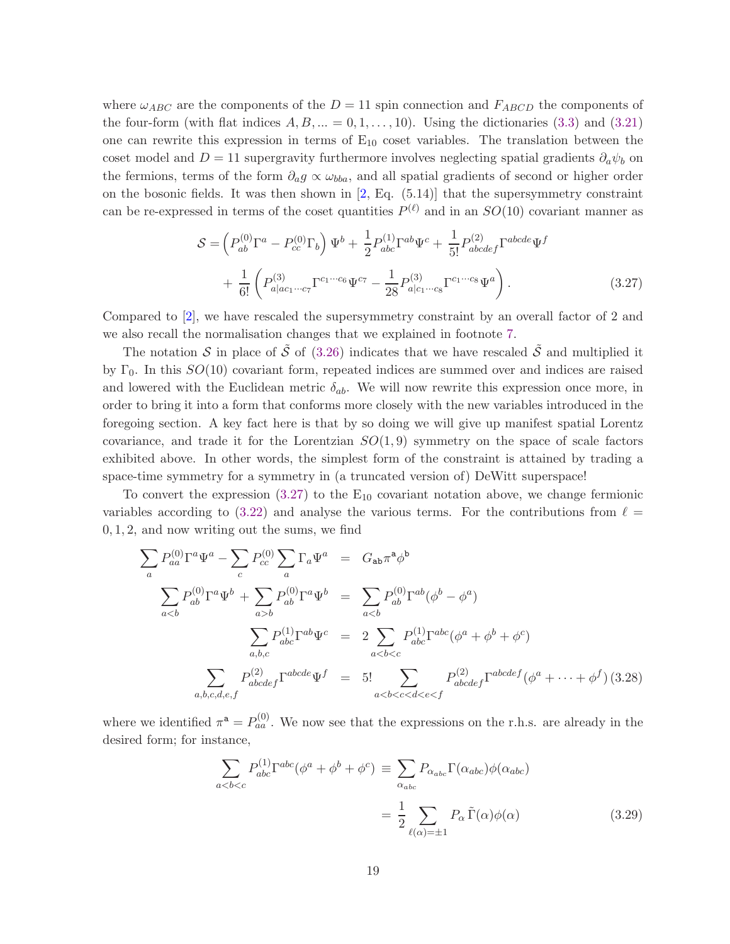where  $\omega_{ABC}$  are the components of the  $D = 11$  spin connection and  $F_{ABCD}$  the components of the four-form (with flat indices  $A, B, \ldots = 0, 1, \ldots, 10$ ). Using the dictionaries [\(3.3\)](#page-14-1) and [\(3.21\)](#page-17-3) one can rewrite this expression in terms of  $E_{10}$  coset variables. The translation between the coset model and D = 11 supergravity furthermore involves neglecting spatial gradients  $\partial_a \psi_b$  on the fermions, terms of the form  $\partial_a g \propto \omega_{bba}$ , and all spatial gradients of second or higher order on the bosonic fields. It was then shown in  $[2, Eq. (5.14)]$  that the supersymmetry constraint can be re-expressed in terms of the coset quantities  $P^{(\ell)}$  and in an  $SO(10)$  covariant manner as

<span id="page-19-0"></span>
$$
S = \left(P_{ab}^{(0)}\Gamma^{a} - P_{cc}^{(0)}\Gamma_{b}\right)\Psi^{b} + \frac{1}{2}P_{abc}^{(1)}\Gamma^{ab}\Psi^{c} + \frac{1}{5!}P_{abcdef}^{(2)}\Gamma^{abcde}\Psi^{f} + \frac{1}{6!}\left(P_{a|ac_1\cdots c_7}^{(3)}\Gamma^{c_1\cdots c_6}\Psi^{c_7} - \frac{1}{28}P_{a|c_1\cdots c_8}^{(3)}\Gamma^{c_1\cdots c_8}\Psi^{a}\right).
$$
\n(3.27)

Compared to [\[2\]](#page-37-1), we have rescaled the supersymmetry constraint by an overall factor of 2 and we also recall the normalisation changes that we explained in footnote [7.](#page-14-0)

The notation S in place of  $\tilde{S}$  of [\(3.26\)](#page-18-1) indicates that we have rescaled  $\tilde{S}$  and multiplied it by  $\Gamma_0$ . In this  $SO(10)$  covariant form, repeated indices are summed over and indices are raised and lowered with the Euclidean metric  $\delta_{ab}$ . We will now rewrite this expression once more, in order to bring it into a form that conforms more closely with the new variables introduced in the foregoing section. A key fact here is that by so doing we will give up manifest spatial Lorentz covariance, and trade it for the Lorentzian  $SO(1,9)$  symmetry on the space of scale factors exhibited above. In other words, the simplest form of the constraint is attained by trading a space-time symmetry for a symmetry in (a truncated version of) DeWitt superspace!

To convert the expression  $(3.27)$  to the  $E_{10}$  covariant notation above, we change fermionic variables according to [\(3.22\)](#page-18-0) and analyse the various terms. For the contributions from  $\ell =$ 0, 1, 2, and now writing out the sums, we find

$$
\sum_{a} P_{aa}^{(0)} \Gamma^{a} \Psi^{a} - \sum_{c} P_{cc}^{(0)} \sum_{a} \Gamma_{a} \Psi^{a} = G_{ab} \pi^{a} \phi^{b}
$$
\n
$$
\sum_{ab} P_{ab}^{(0)} \Gamma^{a} \Psi^{b} = \sum_{a\n
$$
\sum_{a,b,c} P_{abc}^{(1)} \Gamma^{ab} \Psi^{c} = 2 \sum_{a\n
$$
\sum_{a,b,c,d,e,f} P_{abcdef}^{(2)} \Gamma^{abcde} \Psi^{f} = 5! \sum_{a
$$
$$
$$

where we identified  $\pi^a = P_{aa}^{(0)}$ . We now see that the expressions on the r.h.s. are already in the desired form; for instance,

<span id="page-19-1"></span>
$$
\sum_{a
$$
= \frac{1}{2} \sum_{\ell(\alpha) = \pm 1} P_{\alpha} \tilde{\Gamma}(\alpha) \phi(\alpha) \tag{3.29}
$$
$$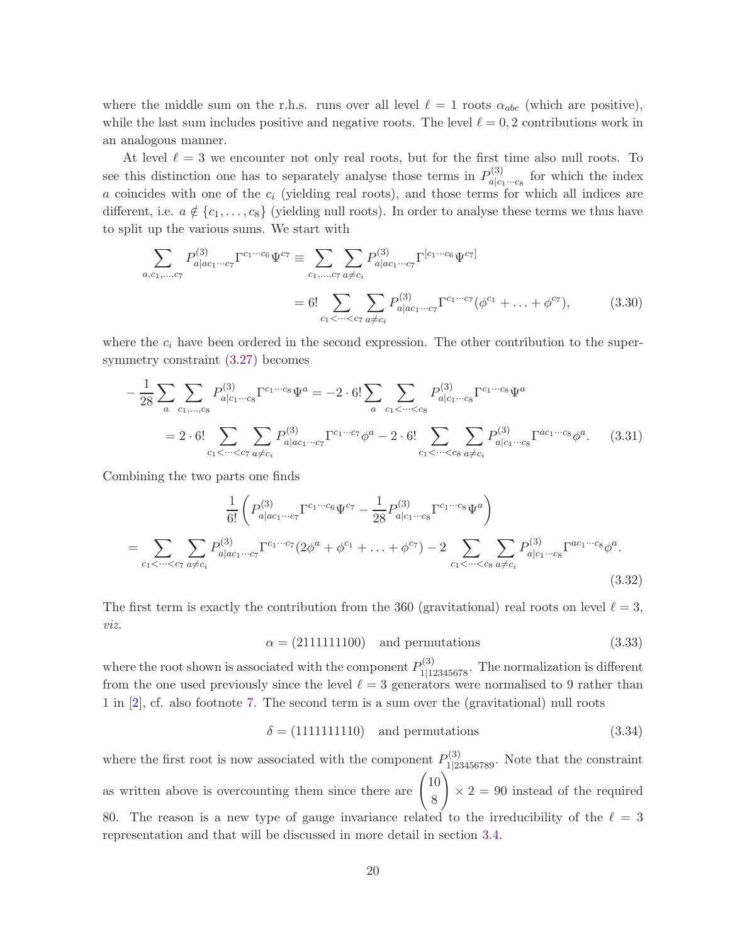where the middle sum on the r.h.s. runs over all level  $\ell = 1$  roots  $\alpha_{abc}$  (which are positive), while the last sum includes positive and negative roots. The level  $\ell = 0, 2$  contributions work in an analogous manner.

At level  $\ell = 3$  we encounter not only real roots, but for the first time also null roots. To see this distinction one has to separately analyse those terms in  $P_{abc}^{(3)}$  $a|c_1 \cdots c_8$  for which the index  $a$  coincides with one of the  $c_i$  (yielding real roots), and those terms for which all indices are different, i.e.  $a \notin \{c_1, \ldots, c_8\}$  (yielding null roots). In order to analyse these terms we thus have to split up the various sums. We start with

$$
\sum_{a,c_1,\dots,c_7} P_{a|ac_1\cdots c_7}^{(3)} \Gamma^{c_1\cdots c_6} \Psi^{c_7} \equiv \sum_{c_1,\dots,c_7} \sum_{a \neq c_i} P_{a|ac_1\cdots c_7}^{(3)} \Gamma^{[c_1\cdots c_6} \Psi^{c_7]}
$$
  
= 6! \sum\_{c\_1 < \dots < c\_7} \sum\_{a \neq c\_i} P\_{a|ac\_1\cdots c\_7}^{(3)} \Gamma^{c\_1\cdots c\_7} (\phi^{c\_1} + \dots + \phi^{c\_7}), \tag{3.30}

where the  $c_i$  have been ordered in the second expression. The other contribution to the supersymmetry constraint [\(3.27\)](#page-19-0) becomes

$$
-\frac{1}{28} \sum_{a} \sum_{c_1, \dots, c_8} P_{a|c_1 \cdots c_8}^{(3)} \Gamma^{c_1 \cdots c_8} \Psi^a = -2 \cdot 6! \sum_{a} \sum_{c_1 < \dots < c_8} P_{a|c_1 \cdots c_8}^{(3)} \Gamma^{c_1 \cdots c_8} \Psi^a
$$

$$
= 2 \cdot 6! \sum_{c_1 < \dots < c_7} \sum_{a \neq c_i} P_{a|ac_1 \cdots c_7}^{(3)} \Gamma^{c_1 \cdots c_7} \phi^a - 2 \cdot 6! \sum_{c_1 < \dots < c_8} \sum_{a \neq c_i} P_{a|c_1 \cdots c_8}^{(3)} \Gamma^{ac_1 \cdots c_8} \phi^a.
$$
(3.31)

Combining the two parts one finds

$$
\frac{1}{6!} \left( P_{a|ac_1 \cdots c_7}^{(3)} \Gamma^{c_1 \cdots c_6} \Psi^{c_7} - \frac{1}{28} P_{a|c_1 \cdots c_8}^{(3)} \Gamma^{c_1 \cdots c_8} \Psi^{a} \right)
$$
\n
$$
= \sum_{c_1 < \dots < c_7} \sum_{a \neq c_i} P_{a|ac_1 \cdots c_7}^{(3)} \Gamma^{c_1 \cdots c_7} (2\phi^a + \phi^{c_1} + \dots + \phi^{c_7}) - 2 \sum_{c_1 < \dots < c_8} \sum_{a \neq c_i} P_{a|c_1 \cdots c_8}^{(3)} \Gamma^{ac_1 \cdots c_8} \phi^a.
$$
\n(3.32)

The first term is exactly the contribution from the 360 (gravitational) real roots on level  $\ell = 3$ , viz.

 $\alpha = (2111111100)$  and permutations (3.33)

where the root shown is associated with the component  $P_{1|12345678}^{(3)}$ . The normalization is different from the one used previously since the level  $\ell = 3$  generators were normalised to 9 rather than 1 in [\[2\]](#page-37-1), cf. also footnote [7.](#page-14-0) The second term is a sum over the (gravitational) null roots

<span id="page-20-0"></span>
$$
\delta = (1111111110) \quad \text{and permutations} \tag{3.34}
$$

where the first root is now associated with the component  $P_{1|23456789}^{(3)}$ . Note that the constraint as written above is overcounting them since there are  $\begin{pmatrix} 10 \\ 0 \end{pmatrix}$ 8  $\setminus$  $\times$  2 = 90 instead of the required 80. The reason is a new type of gauge invariance related to the irreducibility of the  $\ell = 3$ representation and that will be discussed in more detail in section [3.4.](#page-21-0)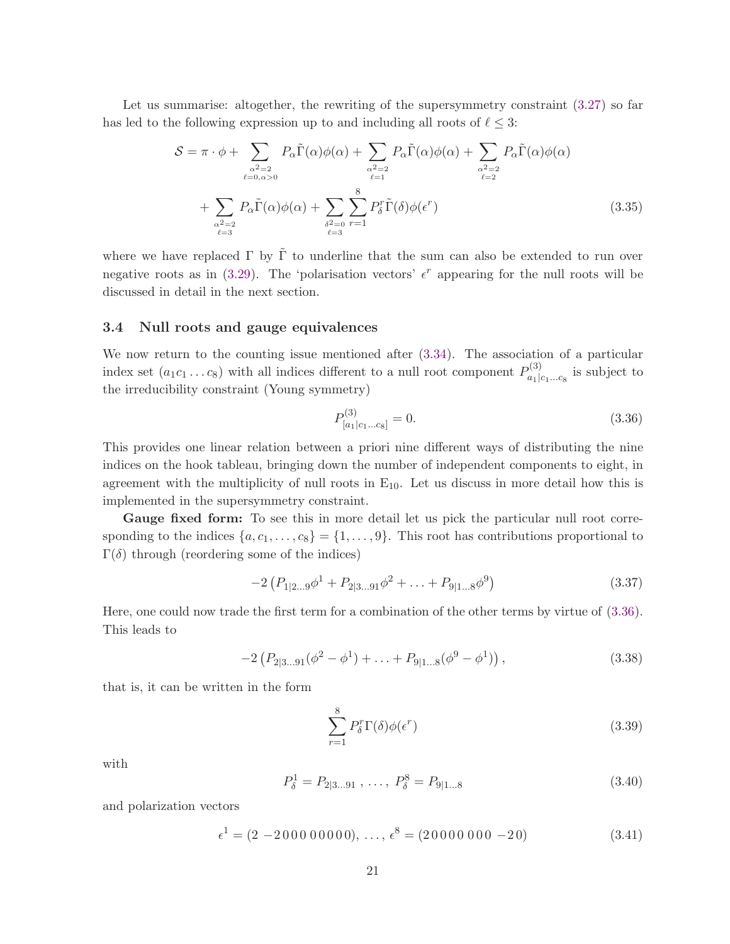Let us summarise: altogether, the rewriting of the supersymmetry constraint  $(3.27)$  so far has led to the following expression up to and including all roots of  $\ell \leq 3$ :

$$
S = \pi \cdot \phi + \sum_{\substack{\alpha^2 = 2 \\ \ell = 0, \alpha > 0}} P_{\alpha} \tilde{\Gamma}(\alpha) \phi(\alpha) + \sum_{\substack{\alpha^2 = 2 \\ \ell = 1}} P_{\alpha} \tilde{\Gamma}(\alpha) \phi(\alpha) + \sum_{\substack{\alpha^2 = 2 \\ \ell = 2}} P_{\alpha} \tilde{\Gamma}(\alpha) \phi(\alpha)
$$
  
+ 
$$
\sum_{\substack{\alpha^2 = 2 \\ \ell = 3}} P_{\alpha} \tilde{\Gamma}(\alpha) \phi(\alpha) + \sum_{\substack{\delta^2 = 0 \\ \ell = 3}} \sum_{r = 1}^8 P_{\delta}^r \tilde{\Gamma}(\delta) \phi(\epsilon^r)
$$
(3.35)

where we have replaced  $\Gamma$  by  $\tilde{\Gamma}$  to underline that the sum can also be extended to run over negative roots as in  $(3.29)$ . The 'polarisation vectors'  $\epsilon^r$  appearing for the null roots will be discussed in detail in the next section.

#### <span id="page-21-0"></span>3.4 Null roots and gauge equivalences

We now return to the counting issue mentioned after  $(3.34)$ . The association of a particular index set  $(a_1c_1 \ldots c_8)$  with all indices different to a null root component  $P_{a_1|a_2|}^{(3)}$  $a_1|c_1...c_8$  is subject to the irreducibility constraint (Young symmetry)

<span id="page-21-2"></span><span id="page-21-1"></span>
$$
P_{[a_1|c_1...c_8]}^{(3)} = 0.
$$
\n(3.36)

This provides one linear relation between a priori nine different ways of distributing the nine indices on the hook tableau, bringing down the number of independent components to eight, in agreement with the multiplicity of null roots in  $E_{10}$ . Let us discuss in more detail how this is implemented in the supersymmetry constraint.

Gauge fixed form: To see this in more detail let us pick the particular null root corresponding to the indices  $\{a, c_1, \ldots, c_8\} = \{1, \ldots, 9\}$ . This root has contributions proportional to Γ(δ) through (reordering some of the indices)

$$
-2\left(P_{1|2\ldots9}\phi^1 + P_{2|3\ldots91}\phi^2 + \ldots + P_{9|1\ldots8}\phi^9\right) \tag{3.37}
$$

Here, one could now trade the first term for a combination of the other terms by virtue of [\(3.36\)](#page-21-1). This leads to

$$
-2\left(P_{2|3\ldots91}(\phi^2-\phi^1)+\ldots+P_{9|1\ldots8}(\phi^9-\phi^1)\right),\tag{3.38}
$$

that is, it can be written in the form

$$
\sum_{r=1}^{8} P_{\delta}^{r} \Gamma(\delta) \phi(\epsilon^{r}) \tag{3.39}
$$

with

$$
P_{\delta}^{1} = P_{2|3...91} , \dots, P_{\delta}^{8} = P_{9|1...8}
$$
 (3.40)

and polarization vectors

$$
\epsilon^1 = (2 - 200000000), \dots, \epsilon^8 = (20000000 - 20)
$$
 (3.41)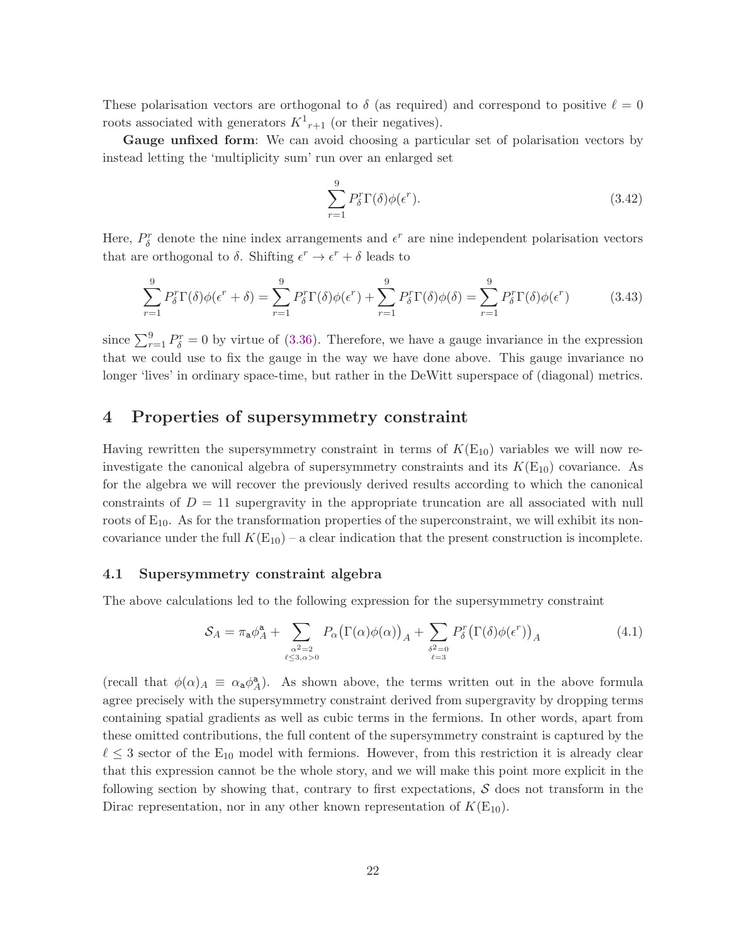These polarisation vectors are orthogonal to  $\delta$  (as required) and correspond to positive  $\ell = 0$ roots associated with generators  $K^1_{r+1}$  (or their negatives).

Gauge unfixed form: We can avoid choosing a particular set of polarisation vectors by instead letting the 'multiplicity sum' run over an enlarged set

$$
\sum_{r=1}^{9} P_{\delta}^{r} \Gamma(\delta) \phi(\epsilon^{r}). \tag{3.42}
$$

Here,  $P_{\delta}^{r}$  denote the nine index arrangements and  $\epsilon^{r}$  are nine independent polarisation vectors that are orthogonal to  $\delta$ . Shifting  $\epsilon^r \to \epsilon^r + \delta$  leads to

$$
\sum_{r=1}^{9} P_{\delta}^{r} \Gamma(\delta) \phi(\epsilon^{r} + \delta) = \sum_{r=1}^{9} P_{\delta}^{r} \Gamma(\delta) \phi(\epsilon^{r}) + \sum_{r=1}^{9} P_{\delta}^{r} \Gamma(\delta) \phi(\delta) = \sum_{r=1}^{9} P_{\delta}^{r} \Gamma(\delta) \phi(\epsilon^{r})
$$
(3.43)

since  $\sum_{r=1}^{9} P_{\delta}^{r} = 0$  by virtue of [\(3.36\)](#page-21-1). Therefore, we have a gauge invariance in the expression that we could use to fix the gauge in the way we have done above. This gauge invariance no longer 'lives' in ordinary space-time, but rather in the DeWitt superspace of (diagonal) metrics.

# 4 Properties of supersymmetry constraint

Having rewritten the supersymmetry constraint in terms of  $K(E_{10})$  variables we will now reinvestigate the canonical algebra of supersymmetry constraints and its  $K(E_{10})$  covariance. As for the algebra we will recover the previously derived results according to which the canonical constraints of  $D = 11$  supergravity in the appropriate truncation are all associated with null roots of  $E_{10}$ . As for the transformation properties of the superconstraint, we will exhibit its noncovariance under the full  $K(E_{10})$  – a clear indication that the present construction is incomplete.

#### 4.1 Supersymmetry constraint algebra

The above calculations led to the following expression for the supersymmetry constraint

<span id="page-22-0"></span>
$$
S_A = \pi_a \phi_A^a + \sum_{\substack{\alpha^2 = 2 \\ \ell \le 3, \alpha > 0}} P_\alpha(\Gamma(\alpha)\phi(\alpha))_A + \sum_{\substack{\delta^2 = 0 \\ \ell = 3}} P_\delta^r(\Gamma(\delta)\phi(\epsilon^r))_A
$$
(4.1)

(recall that  $\phi(\alpha)_A \equiv \alpha_a \phi_A^a$  $A_A^{\mathbf{a}}$ . As shown above, the terms written out in the above formula agree precisely with the supersymmetry constraint derived from supergravity by dropping terms containing spatial gradients as well as cubic terms in the fermions. In other words, apart from these omitted contributions, the full content of the supersymmetry constraint is captured by the  $\ell \leq 3$  sector of the E<sub>10</sub> model with fermions. However, from this restriction it is already clear that this expression cannot be the whole story, and we will make this point more explicit in the following section by showing that, contrary to first expectations,  $S$  does not transform in the Dirac representation, nor in any other known representation of  $K(E_{10})$ .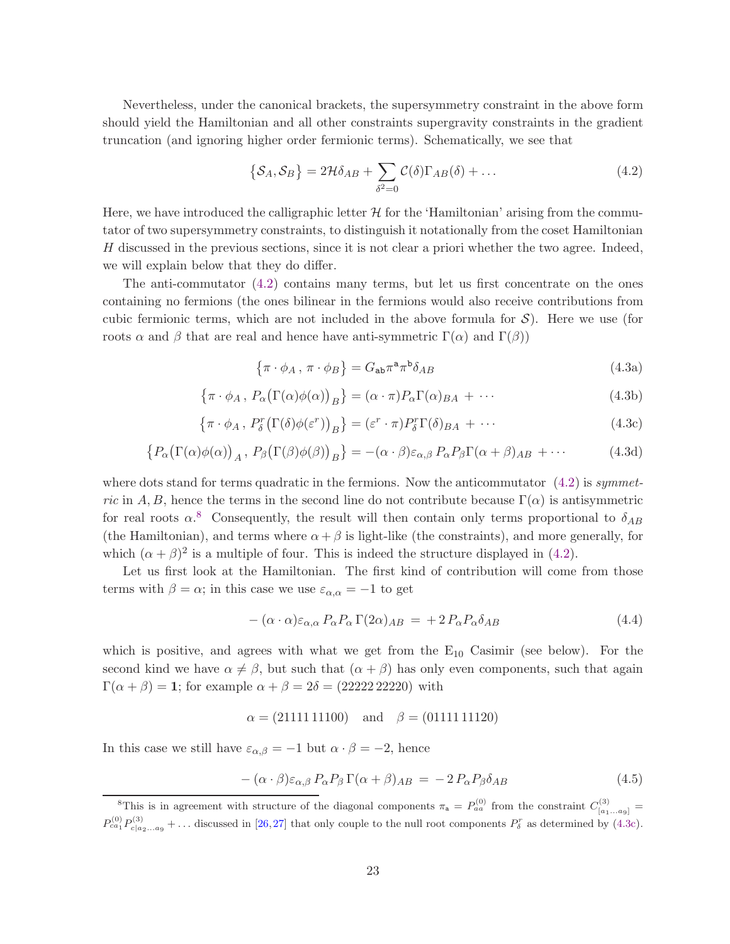Nevertheless, under the canonical brackets, the supersymmetry constraint in the above form should yield the Hamiltonian and all other constraints supergravity constraints in the gradient truncation (and ignoring higher order fermionic terms). Schematically, we see that

<span id="page-23-0"></span>
$$
\{S_A, S_B\} = 2\mathcal{H}\delta_{AB} + \sum_{\delta^2=0} \mathcal{C}(\delta) \Gamma_{AB}(\delta) + \dots \tag{4.2}
$$

Here, we have introduced the calligraphic letter  $\mathcal H$  for the 'Hamiltonian' arising from the commutator of two supersymmetry constraints, to distinguish it notationally from the coset Hamiltonian H discussed in the previous sections, since it is not clear a priori whether the two agree. Indeed, we will explain below that they do differ.

The anti-commutator [\(4.2\)](#page-23-0) contains many terms, but let us first concentrate on the ones containing no fermions (the ones bilinear in the fermions would also receive contributions from cubic fermionic terms, which are not included in the above formula for  $S$ ). Here we use (for roots  $\alpha$  and  $\beta$  that are real and hence have anti-symmetric  $\Gamma(\alpha)$  and  $\Gamma(\beta)$ )

<span id="page-23-2"></span>
$$
\{\pi \cdot \phi_A, \pi \cdot \phi_B\} = G_{ab}\pi^a \pi^b \delta_{AB}
$$
\n(4.3a)

$$
\{\pi \cdot \phi_A, P_\alpha(\Gamma(\alpha)\phi(\alpha))_B\} = (\alpha \cdot \pi)P_\alpha \Gamma(\alpha)_{BA} + \cdots
$$
\n(4.3b)

$$
\{\pi \cdot \phi_A, P_\delta^r(\Gamma(\delta)\phi(\varepsilon^r))_B\} = (\varepsilon^r \cdot \pi) P_\delta^r \Gamma(\delta)_{BA} + \cdots
$$
\n(4.3c)

$$
\{P_{\alpha}(\Gamma(\alpha)\phi(\alpha))_{A}, P_{\beta}(\Gamma(\beta)\phi(\beta))_{B}\} = -(\alpha \cdot \beta)\varepsilon_{\alpha,\beta} P_{\alpha} P_{\beta} \Gamma(\alpha+\beta)_{AB} + \cdots
$$
 (4.3d)

where dots stand for terms quadratic in the fermions. Now the anticommutator  $(4.2)$  is symmetric in A, B, hence the terms in the second line do not contribute because  $\Gamma(\alpha)$  is antisymmetric for real roots  $\alpha$ <sup>[8](#page-23-1)</sup>. Consequently, the result will then contain only terms proportional to  $\delta_{AB}$ (the Hamiltonian), and terms where  $\alpha + \beta$  is light-like (the constraints), and more generally, for which  $(\alpha + \beta)^2$  is a multiple of four. This is indeed the structure displayed in [\(4.2\)](#page-23-0).

Let us first look at the Hamiltonian. The first kind of contribution will come from those terms with  $\beta = \alpha$ ; in this case we use  $\varepsilon_{\alpha,\alpha} = -1$  to get

<span id="page-23-3"></span>
$$
-(\alpha \cdot \alpha)\varepsilon_{\alpha,\alpha} P_{\alpha} P_{\alpha} \Gamma(2\alpha)_{AB} = + 2 P_{\alpha} P_{\alpha} \delta_{AB}
$$
\n(4.4)

which is positive, and agrees with what we get from the  $E_{10}$  Casimir (see below). For the second kind we have  $\alpha \neq \beta$ , but such that  $(\alpha + \beta)$  has only even components, such that again  $\Gamma(\alpha + \beta) = 1$ ; for example  $\alpha + \beta = 2\delta = (2222222220)$  with

 $\alpha = (2111111100)$  and  $\beta = (0111111120)$ 

In this case we still have  $\varepsilon_{\alpha,\beta} = -1$  but  $\alpha \cdot \beta = -2$ , hence

<span id="page-23-4"></span>
$$
-(\alpha \cdot \beta)\varepsilon_{\alpha,\beta} P_{\alpha} P_{\beta} \Gamma(\alpha+\beta)_{AB} = -2 P_{\alpha} P_{\beta} \delta_{AB}
$$
\n(4.5)

<span id="page-23-1"></span><sup>&</sup>lt;sup>8</sup>This is in agreement with structure of the diagonal components  $\pi_a = P_{aa}^{(0)}$  from the constraint  $C_{[a_1...a_9]}^{(3)}$  $P_{ca_1}^{(0)}P_{c|a_2...a_9}^{(3)}$  + ... discussed in [\[26,](#page-38-13)[27\]](#page-38-14) that only couple to the null root components  $P_{\delta}^r$  as determined by [\(4.3c\)](#page-23-2).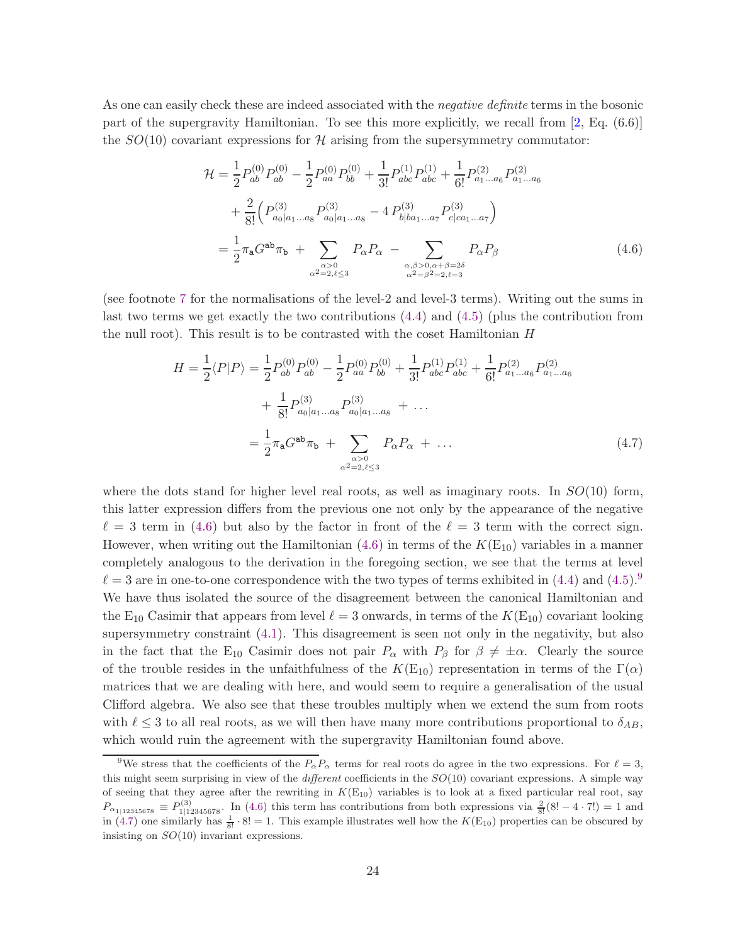As one can easily check these are indeed associated with the *negative definite* terms in the bosonic part of the supergravity Hamiltonian. To see this more explicitly, we recall from [\[2,](#page-37-1) Eq. (6.6)] the  $SO(10)$  covariant expressions for H arising from the supersymmetry commutator:

<span id="page-24-0"></span>
$$
\mathcal{H} = \frac{1}{2} P_{ab}^{(0)} P_{ab}^{(0)} - \frac{1}{2} P_{aa}^{(0)} P_{bb}^{(0)} + \frac{1}{3!} P_{abc}^{(1)} P_{abc}^{(1)} + \frac{1}{6!} P_{a_1...a_6}^{(2)} P_{a_1...a_6}^{(2)}
$$

$$
+ \frac{2}{8!} \left( P_{a_0|a_1...a_8}^{(3)} P_{a_0|a_1...a_8}^{(3)} - 4 P_{b|ba_1...a_7}^{(3)} P_{c|ca_1...a_7}^{(3)} \right)
$$

$$
= \frac{1}{2} \pi_a G^{ab} \pi_b + \sum_{\substack{\alpha > 0 \\ \alpha^2 = 2, \ell \le 3}} P_{\alpha} P_{\alpha} - \sum_{\substack{\alpha, \beta > 0, \alpha + \beta = 2\delta \\ \alpha^2 = \beta^2 = 2, \ell = 3}} P_{\alpha} P_{\beta}
$$
(4.6)

(see footnote [7](#page-14-0) for the normalisations of the level-2 and level-3 terms). Writing out the sums in last two terms we get exactly the two contributions [\(4.4\)](#page-23-3) and [\(4.5\)](#page-23-4) (plus the contribution from the null root). This result is to be contrasted with the coset Hamiltonian H

<span id="page-24-2"></span>
$$
H = \frac{1}{2} \langle P|P \rangle = \frac{1}{2} P_{ab}^{(0)} P_{ab}^{(0)} - \frac{1}{2} P_{aa}^{(0)} P_{bb}^{(0)} + \frac{1}{3!} P_{abc}^{(1)} P_{abc}^{(1)} + \frac{1}{6!} P_{a_1...a_6}^{(2)} P_{a_1...a_6}^{(2)}
$$

$$
+ \frac{1}{8!} P_{a_0|a_1...a_8}^{(3)} P_{a_0|a_1...a_8}^{(3)} + \dots
$$

$$
= \frac{1}{2} \pi_a G^{ab} \pi_b + \sum_{\substack{\alpha > 0 \\ \alpha^2 = 2, \ell \le 3}} P_{\alpha} P_{\alpha} + \dots
$$
(4.7)

where the dots stand for higher level real roots, as well as imaginary roots. In  $SO(10)$  form, this latter expression differs from the previous one not only by the appearance of the negative  $\ell = 3$  term in [\(4.6\)](#page-24-0) but also by the factor in front of the  $\ell = 3$  term with the correct sign. However, when writing out the Hamiltonian  $(4.6)$  in terms of the  $K(E_{10})$  variables in a manner completely analogous to the derivation in the foregoing section, we see that the terms at level  $\ell = 3$  are in one-to-one correspondence with the two types of terms exhibited in [\(4.4\)](#page-23-3) and [\(4.5\)](#page-23-4).<sup>[9](#page-24-1)</sup> We have thus isolated the source of the disagreement between the canonical Hamiltonian and the  $E_{10}$  Casimir that appears from level  $\ell = 3$  onwards, in terms of the  $K(E_{10})$  covariant looking supersymmetry constraint  $(4.1)$ . This disagreement is seen not only in the negativity, but also in the fact that the E<sub>10</sub> Casimir does not pair  $P_{\alpha}$  with  $P_{\beta}$  for  $\beta \neq \pm \alpha$ . Clearly the source of the trouble resides in the unfaithfulness of the  $K(E_{10})$  representation in terms of the  $\Gamma(\alpha)$ matrices that we are dealing with here, and would seem to require a generalisation of the usual Clifford algebra. We also see that these troubles multiply when we extend the sum from roots with  $\ell \leq 3$  to all real roots, as we will then have many more contributions proportional to  $\delta_{AB}$ . which would ruin the agreement with the supergravity Hamiltonian found above.

<span id="page-24-1"></span><sup>&</sup>lt;sup>9</sup>We stress that the coefficients of the  $P_{\alpha}P_{\alpha}$  terms for real roots do agree in the two expressions. For  $\ell = 3$ , this might seem surprising in view of the *different* coefficients in the  $SO(10)$  covariant expressions. A simple way of seeing that they agree after the rewriting in  $K(E_{10})$  variables is to look at a fixed particular real root, say  $P_{\alpha_{1|12345678}} \equiv P_{1|12345678}^{(3)}$ . In [\(4.6\)](#page-24-0) this term has contributions from both expressions via  $\frac{2}{8!}(8!-4\cdot7!) = 1$  and in [\(4.7\)](#page-24-2) one similarly has  $\frac{1}{8!} \cdot 8! = 1$ . This example illustrates well how the  $K(E_{10})$  properties can be obscured by insisting on  $SO(10)$  invariant expressions.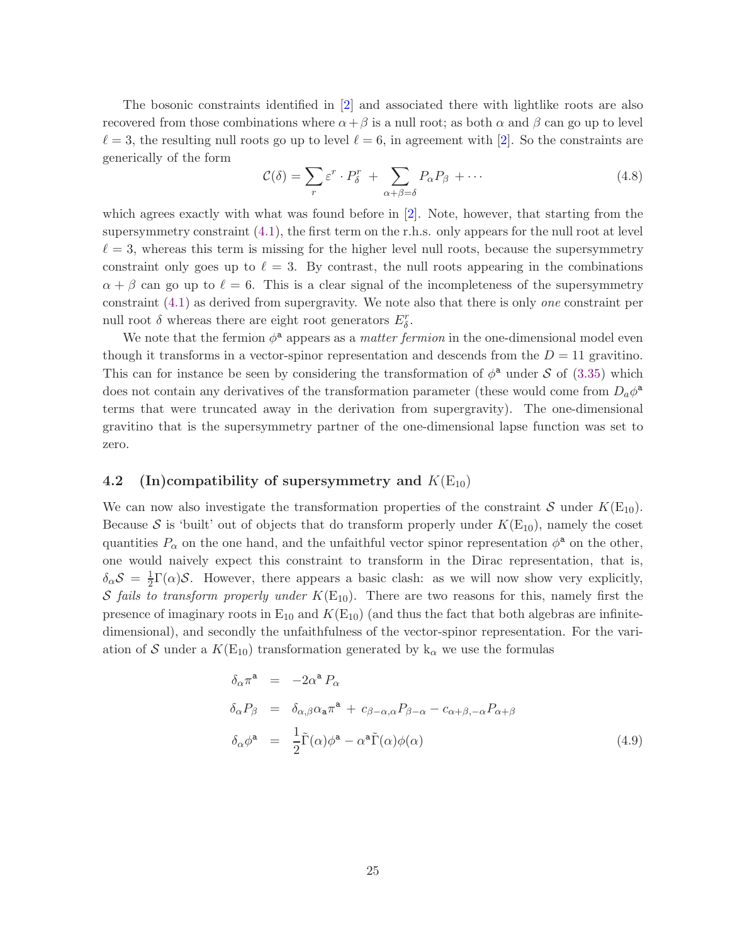The bosonic constraints identified in [\[2\]](#page-37-1) and associated there with lightlike roots are also recovered from those combinations where  $\alpha + \beta$  is a null root; as both  $\alpha$  and  $\beta$  can go up to level  $\ell = 3$ , the resulting null roots go up to level  $\ell = 6$ , in agreement with [\[2\]](#page-37-1). So the constraints are generically of the form

$$
\mathcal{C}(\delta) = \sum_{r} \varepsilon^{r} \cdot P_{\delta}^{r} + \sum_{\alpha + \beta = \delta} P_{\alpha} P_{\beta} + \cdots
$$
\n(4.8)

which agrees exactly with what was found before in [\[2\]](#page-37-1). Note, however, that starting from the supersymmetry constraint  $(4.1)$ , the first term on the r.h.s. only appears for the null root at level  $\ell = 3$ , whereas this term is missing for the higher level null roots, because the supersymmetry constraint only goes up to  $\ell = 3$ . By contrast, the null roots appearing in the combinations  $\alpha + \beta$  can go up to  $\ell = 6$ . This is a clear signal of the incompleteness of the supersymmetry constraint [\(4.1\)](#page-22-0) as derived from supergravity. We note also that there is only one constraint per null root $\delta$  whereas there are eight root generators  $E^r_\delta.$ 

We note that the fermion  $\phi^a$  appears as a *matter fermion* in the one-dimensional model even though it transforms in a vector-spinor representation and descends from the  $D = 11$  gravitino. This can for instance be seen by considering the transformation of  $\phi^a$  under S of [\(3.35\)](#page-21-2) which does not contain any derivatives of the transformation parameter (these would come from  $D_a\phi^a$ terms that were truncated away in the derivation from supergravity). The one-dimensional gravitino that is the supersymmetry partner of the one-dimensional lapse function was set to zero.

#### <span id="page-25-0"></span>4.2 (In)compatibility of supersymmetry and  $K(E_{10})$

We can now also investigate the transformation properties of the constraint S under  $K(E_{10})$ . Because S is 'built' out of objects that do transform properly under  $K(E_{10})$ , namely the coset quantities  $P_{\alpha}$  on the one hand, and the unfaithful vector spinor representation  $\phi^{\mathbf{a}}$  on the other, one would naively expect this constraint to transform in the Dirac representation, that is,  $\delta_\alpha S = \frac{1}{2}$  $\frac{1}{2}\Gamma(\alpha)$ S. However, there appears a basic clash: as we will now show very explicitly, S fails to transform properly under  $K(E_{10})$ . There are two reasons for this, namely first the presence of imaginary roots in  $E_{10}$  and  $K(E_{10})$  (and thus the fact that both algebras are infinitedimensional), and secondly the unfaithfulness of the vector-spinor representation. For the variation of S under a  $K(E_{10})$  transformation generated by  $k_{\alpha}$  we use the formulas

$$
\delta_{\alpha}\pi^{a} = -2\alpha^{a} P_{\alpha}
$$
\n
$$
\delta_{\alpha}P_{\beta} = \delta_{\alpha,\beta}\alpha_{a}\pi^{a} + c_{\beta-\alpha,\alpha}P_{\beta-\alpha} - c_{\alpha+\beta,-\alpha}P_{\alpha+\beta}
$$
\n
$$
\delta_{\alpha}\phi^{a} = \frac{1}{2}\tilde{\Gamma}(\alpha)\phi^{a} - \alpha^{a}\tilde{\Gamma}(\alpha)\phi(\alpha)
$$
\n(4.9)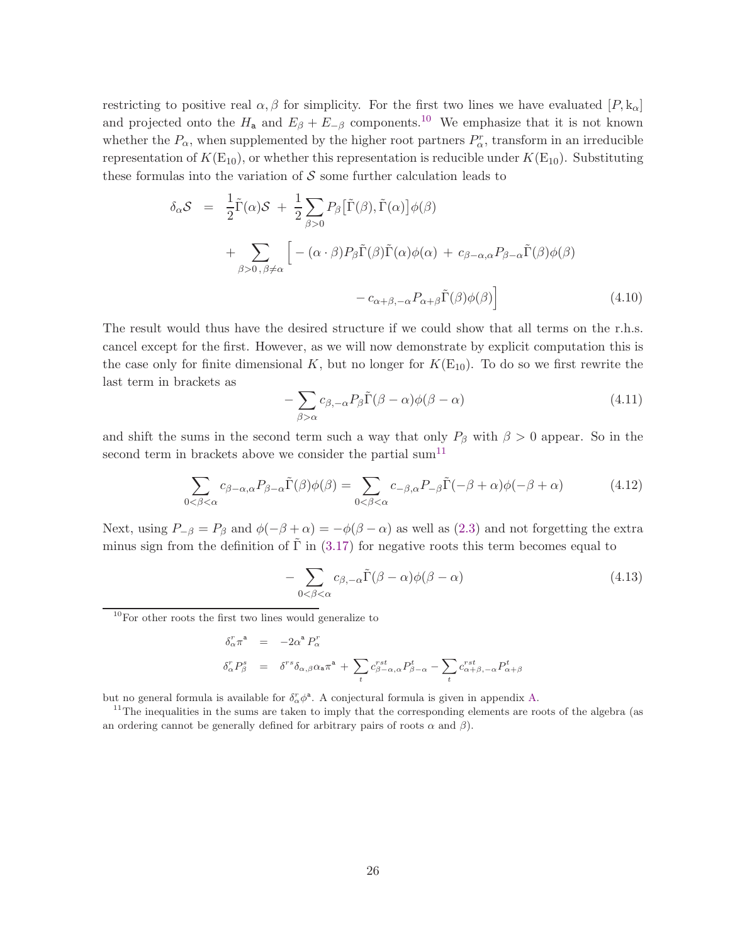restricting to positive real  $\alpha, \beta$  for simplicity. For the first two lines we have evaluated  $[P, k_{\alpha}]$ and projected onto the  $H_a$  and  $E_\beta + E_{-\beta}$  components.<sup>[10](#page-26-0)</sup> We emphasize that it is not known whether the  $P_{\alpha}$ , when supplemented by the higher root partners  $P_{\alpha}^{r}$ , transform in an irreducible representation of  $K(E_{10})$ , or whether this representation is reducible under  $K(E_{10})$ . Substituting these formulas into the variation of  $S$  some further calculation leads to

$$
\delta_{\alpha} S = \frac{1}{2} \tilde{\Gamma}(\alpha) S + \frac{1}{2} \sum_{\beta > 0} P_{\beta} [\tilde{\Gamma}(\beta), \tilde{\Gamma}(\alpha)] \phi(\beta)
$$
  
+ 
$$
\sum_{\beta > 0, \beta \neq \alpha} \left[ -(\alpha \cdot \beta) P_{\beta} \tilde{\Gamma}(\beta) \tilde{\Gamma}(\alpha) \phi(\alpha) + c_{\beta - \alpha, \alpha} P_{\beta - \alpha} \tilde{\Gamma}(\beta) \phi(\beta) - c_{\alpha + \beta, -\alpha} P_{\alpha + \beta} \tilde{\Gamma}(\beta) \phi(\beta) \right]
$$
(4.10)

The result would thus have the desired structure if we could show that all terms on the r.h.s. cancel except for the first. However, as we will now demonstrate by explicit computation this is the case only for finite dimensional K, but no longer for  $K(E_{10})$ . To do so we first rewrite the last term in brackets as

$$
-\sum_{\beta>\alpha}c_{\beta,-\alpha}P_{\beta}\tilde{\Gamma}(\beta-\alpha)\phi(\beta-\alpha) \tag{4.11}
$$

and shift the sums in the second term such a way that only  $P_\beta$  with  $\beta > 0$  appear. So in the second term in brackets above we consider the partial sum<sup>[11](#page-26-1)</sup>

$$
\sum_{0 < \beta < \alpha} c_{\beta - \alpha, \alpha} P_{\beta - \alpha} \tilde{\Gamma}(\beta) \phi(\beta) = \sum_{0 < \beta < \alpha} c_{-\beta, \alpha} P_{-\beta} \tilde{\Gamma}(-\beta + \alpha) \phi(-\beta + \alpha) \tag{4.12}
$$

Next, using  $P_{-\beta} = P_{\beta}$  and  $\phi(-\beta + \alpha) = -\phi(\beta - \alpha)$  as well as [\(2.3\)](#page-4-7) and not forgetting the extra minus sign from the definition of  $\tilde{\Gamma}$  in ([3.17\)](#page-17-0) for negative roots this term becomes equal to

$$
-\sum_{0<\beta<\alpha}c_{\beta,-\alpha}\tilde{\Gamma}(\beta-\alpha)\phi(\beta-\alpha) \tag{4.13}
$$

<span id="page-26-0"></span><sup>10</sup>For other roots the first two lines would generalize to

$$
\begin{array}{lll} \delta^r_\alpha\pi^{\mathtt{a}} & = & -2\alpha^{\mathtt{a}}\,P^r_\alpha\\ \\ \delta^r_\alpha P^s_\beta & = & \delta^{rs}\delta_{\alpha,\beta}\alpha_{\mathtt{a}}\pi^{\mathtt{a}} + \sum\limits_{t} c^{rst}_{\beta-\alpha,\alpha}P^t_{\beta-\alpha} - \sum\limits_{t} c^{rst}_{\alpha+\beta,-\alpha}P^t_{\alpha+\beta} \end{array}
$$

but no general formula is available for  $\delta_{\alpha}^r \phi^{\mathsf{a}}$ . A conjectural formula is given in appendix [A.](#page-32-0)

<span id="page-26-1"></span><sup>11</sup>The inequalities in the sums are taken to imply that the corresponding elements are roots of the algebra (as an ordering cannot be generally defined for arbitrary pairs of roots  $\alpha$  and  $\beta$ ).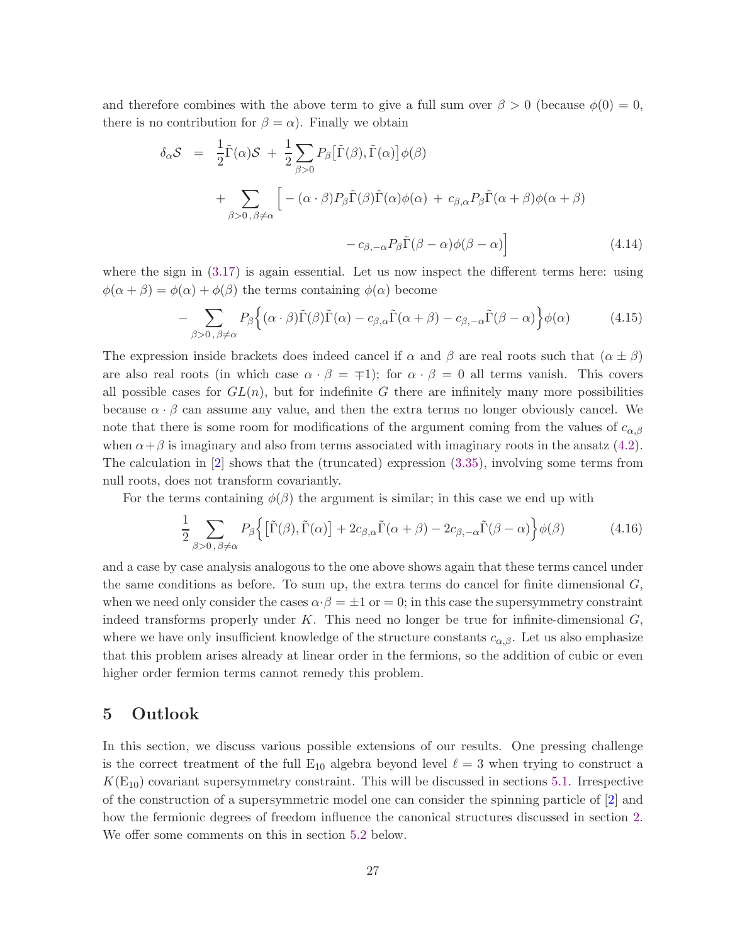and therefore combines with the above term to give a full sum over  $\beta > 0$  (because  $\phi(0) = 0$ , there is no contribution for  $\beta = \alpha$ ). Finally we obtain

$$
\delta_{\alpha} S = \frac{1}{2} \tilde{\Gamma}(\alpha) S + \frac{1}{2} \sum_{\beta > 0} P_{\beta} [\tilde{\Gamma}(\beta), \tilde{\Gamma}(\alpha)] \phi(\beta)
$$
  
+ 
$$
\sum_{\beta > 0, \beta \neq \alpha} \left[ -(\alpha \cdot \beta) P_{\beta} \tilde{\Gamma}(\beta) \tilde{\Gamma}(\alpha) \phi(\alpha) + c_{\beta, \alpha} P_{\beta} \tilde{\Gamma}(\alpha + \beta) \phi(\alpha + \beta) - c_{\beta, -\alpha} P_{\beta} \tilde{\Gamma}(\beta - \alpha) \phi(\beta - \alpha) \right]
$$
(4.14)

where the sign in  $(3.17)$  is again essential. Let us now inspect the different terms here: using  $\phi(\alpha + \beta) = \phi(\alpha) + \phi(\beta)$  the terms containing  $\phi(\alpha)$  become

$$
-\sum_{\beta>0,\,\beta\neq\alpha}P_{\beta}\Big\{(\alpha\cdot\beta)\tilde{\Gamma}(\beta)\tilde{\Gamma}(\alpha)-c_{\beta,\alpha}\tilde{\Gamma}(\alpha+\beta)-c_{\beta,-\alpha}\tilde{\Gamma}(\beta-\alpha)\Big\}\phi(\alpha)\tag{4.15}
$$

The expression inside brackets does indeed cancel if  $\alpha$  and  $\beta$  are real roots such that  $(\alpha \pm \beta)$ are also real roots (in which case  $\alpha \cdot \beta = \pm 1$ ); for  $\alpha \cdot \beta = 0$  all terms vanish. This covers all possible cases for  $GL(n)$ , but for indefinite G there are infinitely many more possibilities because  $\alpha \cdot \beta$  can assume any value, and then the extra terms no longer obviously cancel. We note that there is some room for modifications of the argument coming from the values of  $c_{\alpha,\beta}$ when  $\alpha + \beta$  is imaginary and also from terms associated with imaginary roots in the ansatz [\(4.2\)](#page-23-0). The calculation in [\[2\]](#page-37-1) shows that the (truncated) expression [\(3.35\)](#page-21-2), involving some terms from null roots, does not transform covariantly.

For the terms containing  $\phi(\beta)$  the argument is similar; in this case we end up with

$$
\frac{1}{2} \sum_{\beta>0,\,\beta\neq\alpha} P_{\beta} \Big\{ \big[\tilde{\Gamma}(\beta),\tilde{\Gamma}(\alpha)\big] + 2c_{\beta,\alpha}\tilde{\Gamma}(\alpha+\beta) - 2c_{\beta,-\alpha}\tilde{\Gamma}(\beta-\alpha) \Big\} \phi(\beta) \tag{4.16}
$$

and a case by case analysis analogous to the one above shows again that these terms cancel under the same conditions as before. To sum up, the extra terms do cancel for finite dimensional  $G$ , when we need only consider the cases  $\alpha \cdot \beta = \pm 1$  or  $= 0$ ; in this case the supersymmetry constraint indeed transforms properly under K. This need no longer be true for infinite-dimensional  $G$ , where we have only insufficient knowledge of the structure constants  $c_{\alpha,\beta}$ . Let us also emphasize that this problem arises already at linear order in the fermions, so the addition of cubic or even higher order fermion terms cannot remedy this problem.

### 5 Outlook

In this section, we discuss various possible extensions of our results. One pressing challenge is the correct treatment of the full  $E_{10}$  algebra beyond level  $\ell = 3$  when trying to construct a  $K(E_{10})$  covariant supersymmetry constraint. This will be discussed in sections [5.1.](#page-28-0) Irrespective of the construction of a supersymmetric model one can consider the spinning particle of [\[2\]](#page-37-1) and how the fermionic degrees of freedom influence the canonical structures discussed in section [2.](#page-3-2) We offer some comments on this in section [5.2](#page-29-0) below.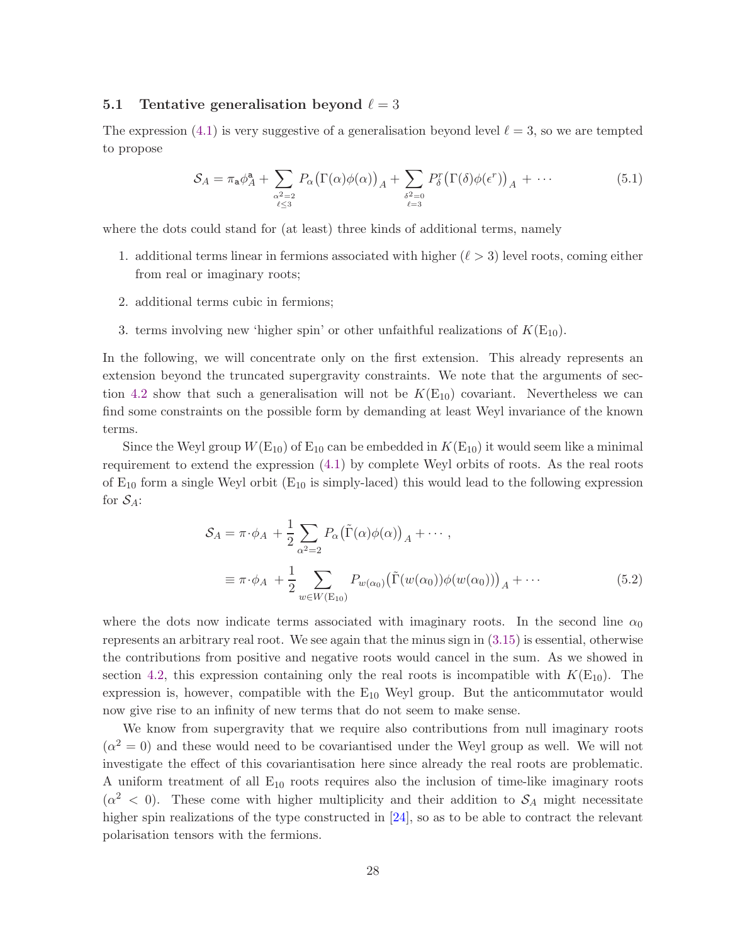#### <span id="page-28-0"></span>5.1 Tentative generalisation beyond  $\ell = 3$

The expression [\(4.1\)](#page-22-0) is very suggestive of a generalisation beyond level  $\ell = 3$ , so we are tempted to propose

$$
S_A = \pi_a \phi_A^a + \sum_{\substack{\alpha^2 = 2 \\ \ell \le 3}} P_\alpha (\Gamma(\alpha) \phi(\alpha))_A + \sum_{\substack{\delta^2 = 0 \\ \ell = 3}} P_\delta^r (\Gamma(\delta) \phi(\epsilon^r))_A + \cdots
$$
 (5.1)

where the dots could stand for (at least) three kinds of additional terms, namely

- 1. additional terms linear in fermions associated with higher  $(\ell > 3)$  level roots, coming either from real or imaginary roots;
- 2. additional terms cubic in fermions;
- 3. terms involving new 'higher spin' or other unfaithful realizations of  $K(E_{10})$ .

In the following, we will concentrate only on the first extension. This already represents an extension beyond the truncated supergravity constraints. We note that the arguments of sec-tion [4.2](#page-25-0) show that such a generalisation will not be  $K(E_{10})$  covariant. Nevertheless we can find some constraints on the possible form by demanding at least Weyl invariance of the known terms.

Since the Weyl group  $W(E_{10})$  of  $E_{10}$  can be embedded in  $K(E_{10})$  it would seem like a minimal requirement to extend the expression [\(4.1\)](#page-22-0) by complete Weyl orbits of roots. As the real roots of  $E_{10}$  form a single Weyl orbit ( $E_{10}$  is simply-laced) this would lead to the following expression for  $S_A$ :

$$
S_A = \pi \cdot \phi_A + \frac{1}{2} \sum_{\alpha^2 = 2} P_{\alpha} (\tilde{\Gamma}(\alpha) \phi(\alpha))_A + \cdots,
$$
  

$$
\equiv \pi \cdot \phi_A + \frac{1}{2} \sum_{w \in W(\text{E}_{10})} P_{w(\alpha_0)} (\tilde{\Gamma}(w(\alpha_0)) \phi(w(\alpha_0)))_A + \cdots
$$
(5.2)

where the dots now indicate terms associated with imaginary roots. In the second line  $\alpha_0$ represents an arbitrary real root. We see again that the minus sign in [\(3.15\)](#page-16-5) is essential, otherwise the contributions from positive and negative roots would cancel in the sum. As we showed in section [4.2,](#page-25-0) this expression containing only the real roots is incompatible with  $K(E_{10})$ . The expression is, however, compatible with the  $E_{10}$  Weyl group. But the anticommutator would now give rise to an infinity of new terms that do not seem to make sense.

We know from supergravity that we require also contributions from null imaginary roots  $(\alpha^2 = 0)$  and these would need to be covariantised under the Weyl group as well. We will not investigate the effect of this covariantisation here since already the real roots are problematic. A uniform treatment of all  $E_{10}$  roots requires also the inclusion of time-like imaginary roots  $(\alpha^2 \leq 0)$ . These come with higher multiplicity and their addition to  $S_A$  might necessitate higher spin realizations of the type constructed in  $[24]$ , so as to be able to contract the relevant polarisation tensors with the fermions.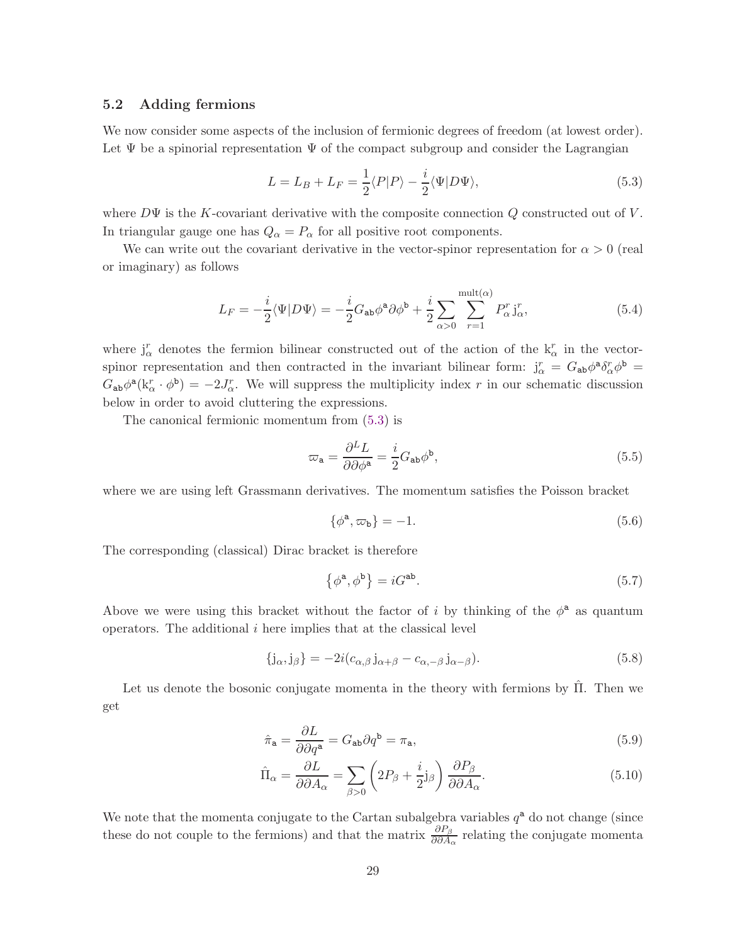#### <span id="page-29-0"></span>5.2 Adding fermions

We now consider some aspects of the inclusion of fermionic degrees of freedom (at lowest order). Let  $\Psi$  be a spinorial representation  $\Psi$  of the compact subgroup and consider the Lagrangian

<span id="page-29-1"></span>
$$
L = L_B + L_F = \frac{1}{2} \langle P|P \rangle - \frac{i}{2} \langle \Psi|D\Psi \rangle, \tag{5.3}
$$

where  $D\Psi$  is the K-covariant derivative with the composite connection Q constructed out of V. In triangular gauge one has  $Q_{\alpha} = P_{\alpha}$  for all positive root components.

We can write out the covariant derivative in the vector-spinor representation for  $\alpha > 0$  (real or imaginary) as follows

$$
L_F = -\frac{i}{2}\langle\Psi|D\Psi\rangle = -\frac{i}{2}G_{ab}\phi^a\partial\phi^b + \frac{i}{2}\sum_{\alpha>0}\sum_{r=1}^{\text{mult}(\alpha)}P^r_{\alpha}\mathbf{j}^r_{\alpha},\tag{5.4}
$$

where  $j_{\alpha}^{r}$  denotes the fermion bilinear constructed out of the action of the  $k_{\alpha}^{r}$  in the vectorspinor representation and then contracted in the invariant bilinear form:  $j_{\alpha}^r = G_{ab}\phi^a \delta_{\alpha}^r \phi^b =$  $G_{ab}\phi^a(k_\alpha^r \cdot \phi^b) = -2J_\alpha^r$ . We will suppress the multiplicity index r in our schematic discussion below in order to avoid cluttering the expressions.

The canonical fermionic momentum from [\(5.3\)](#page-29-1) is

$$
\varpi_{\mathbf{a}} = \frac{\partial^L L}{\partial \partial \phi^{\mathbf{a}}} = \frac{i}{2} G_{\mathbf{a}\mathbf{b}} \phi^{\mathbf{b}},\tag{5.5}
$$

where we are using left Grassmann derivatives. The momentum satisfies the Poisson bracket

$$
\{\phi^a, \varpi_b\} = -1.\tag{5.6}
$$

The corresponding (classical) Dirac bracket is therefore

<span id="page-29-2"></span>
$$
\{\phi^{\mathbf{a}}, \phi^{\mathbf{b}}\} = iG^{\mathbf{ab}}.\tag{5.7}
$$

Above we were using this bracket without the factor of i by thinking of the  $\phi^a$  as quantum operators. The additional  $i$  here implies that at the classical level

$$
\{j_{\alpha},j_{\beta}\} = -2i(c_{\alpha,\beta}j_{\alpha+\beta} - c_{\alpha,-\beta}j_{\alpha-\beta}).
$$
\n(5.8)

Let us denote the bosonic conjugate momenta in the theory with fermions by  $\hat{\Pi}$ . Then we get

$$
\hat{\pi}_{\mathbf{a}} = \frac{\partial L}{\partial \partial q^{\mathbf{a}}} = G_{\mathbf{a}\mathbf{b}} \partial q^{\mathbf{b}} = \pi_{\mathbf{a}},\tag{5.9}
$$

$$
\hat{\Pi}_{\alpha} = \frac{\partial L}{\partial \partial A_{\alpha}} = \sum_{\beta > 0} \left( 2P_{\beta} + \frac{i}{2} j_{\beta} \right) \frac{\partial P_{\beta}}{\partial \partial A_{\alpha}}.
$$
\n(5.10)

We note that the momenta conjugate to the Cartan subalgebra variables  $q^a$  do not change (since these do not couple to the fermions) and that the matrix  $\frac{\partial P_{\beta}}{\partial \partial A_{\alpha}}$  relating the conjugate momenta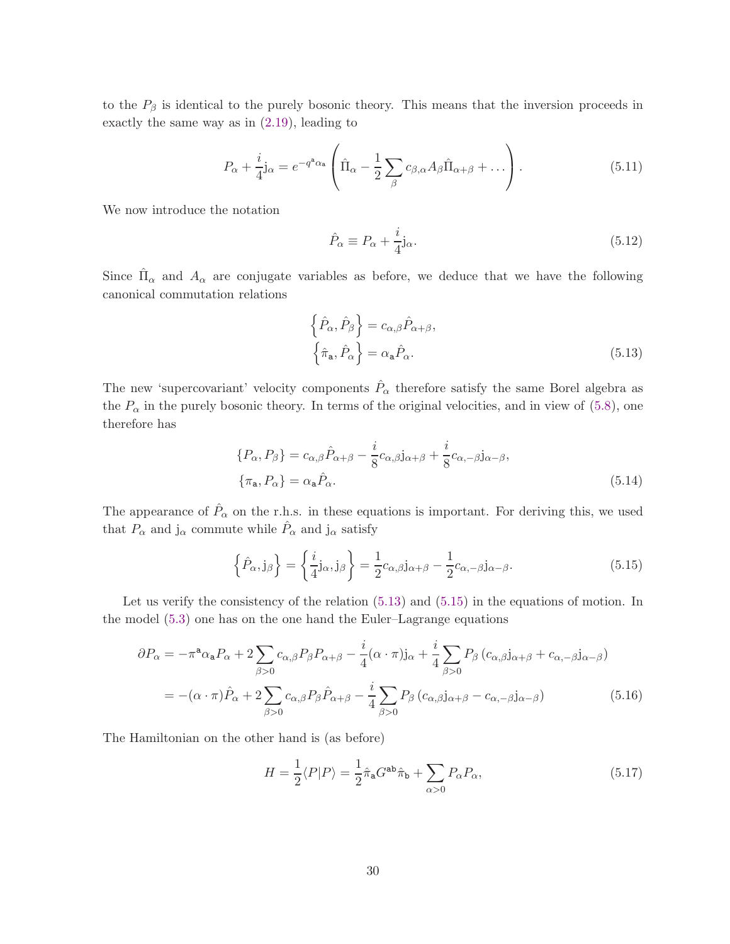to the  $P_\beta$  is identical to the purely bosonic theory. This means that the inversion proceeds in exactly the same way as in [\(2.19\)](#page-7-3), leading to

$$
P_{\alpha} + \frac{i}{4} \mathbf{j}_{\alpha} = e^{-q^{\mathbf{a}} \alpha_{\mathbf{a}}} \left( \hat{\Pi}_{\alpha} - \frac{1}{2} \sum_{\beta} c_{\beta, \alpha} A_{\beta} \hat{\Pi}_{\alpha + \beta} + \dots \right).
$$
 (5.11)

We now introduce the notation

$$
\hat{P}_{\alpha} \equiv P_{\alpha} + \frac{i}{4} \mathbf{j}_{\alpha}.\tag{5.12}
$$

Since  $\hat{\Pi}_{\alpha}$  and  $A_{\alpha}$  are conjugate variables as before, we deduce that we have the following canonical commutation relations

<span id="page-30-0"></span>
$$
\left\{\hat{P}_{\alpha}, \hat{P}_{\beta}\right\} = c_{\alpha,\beta} \hat{P}_{\alpha+\beta},
$$
\n
$$
\left\{\hat{\pi}_{\mathbf{a}}, \hat{P}_{\alpha}\right\} = \alpha_{\mathbf{a}} \hat{P}_{\alpha}.
$$
\n(5.13)

The new 'supercovariant' velocity components  $\hat{P}_{\alpha}$  therefore satisfy the same Borel algebra as the  $P_{\alpha}$  in the purely bosonic theory. In terms of the original velocities, and in view of [\(5.8\)](#page-29-2), one therefore has

$$
\{P_{\alpha}, P_{\beta}\} = c_{\alpha,\beta} \hat{P}_{\alpha+\beta} - \frac{i}{8} c_{\alpha,\beta} \mathbf{j}_{\alpha+\beta} + \frac{i}{8} c_{\alpha,-\beta} \mathbf{j}_{\alpha-\beta},
$$
  

$$
\{\pi_{\mathbf{a}}, P_{\alpha}\} = \alpha_{\mathbf{a}} \hat{P}_{\alpha}.
$$
 (5.14)

The appearance of  $\hat{P}_{\alpha}$  on the r.h.s. in these equations is important. For deriving this, we used that  $P_{\alpha}$  and  $j_{\alpha}$  commute while  $\hat{P}_{\alpha}$  and  $j_{\alpha}$  satisfy

<span id="page-30-1"></span>
$$
\left\{\hat{P}_{\alpha}, \mathbf{j}_{\beta}\right\} = \left\{\frac{i}{4}\mathbf{j}_{\alpha}, \mathbf{j}_{\beta}\right\} = \frac{1}{2}c_{\alpha,\beta}\mathbf{j}_{\alpha+\beta} - \frac{1}{2}c_{\alpha,-\beta}\mathbf{j}_{\alpha-\beta}.
$$
\n(5.15)

Let us verify the consistency of the relation  $(5.13)$  and  $(5.15)$  in the equations of motion. In the model [\(5.3\)](#page-29-1) one has on the one hand the Euler–Lagrange equations

$$
\partial P_{\alpha} = -\pi^{a} \alpha_{a} P_{\alpha} + 2 \sum_{\beta > 0} c_{\alpha,\beta} P_{\beta} P_{\alpha+\beta} - \frac{i}{4} (\alpha \cdot \pi) j_{\alpha} + \frac{i}{4} \sum_{\beta > 0} P_{\beta} (c_{\alpha,\beta} j_{\alpha+\beta} + c_{\alpha,-\beta} j_{\alpha-\beta})
$$
  
= -(\alpha \cdot \pi) \hat{P}\_{\alpha} + 2 \sum\_{\beta > 0} c\_{\alpha,\beta} P\_{\beta} \hat{P}\_{\alpha+\beta} - \frac{i}{4} \sum\_{\beta > 0} P\_{\beta} (c\_{\alpha,\beta} j\_{\alpha+\beta} - c\_{\alpha,-\beta} j\_{\alpha-\beta}) \tag{5.16}

The Hamiltonian on the other hand is (as before)

$$
H = \frac{1}{2} \langle P|P \rangle = \frac{1}{2} \hat{\pi}_a G^{ab} \hat{\pi}_b + \sum_{\alpha > 0} P_{\alpha} P_{\alpha}, \qquad (5.17)
$$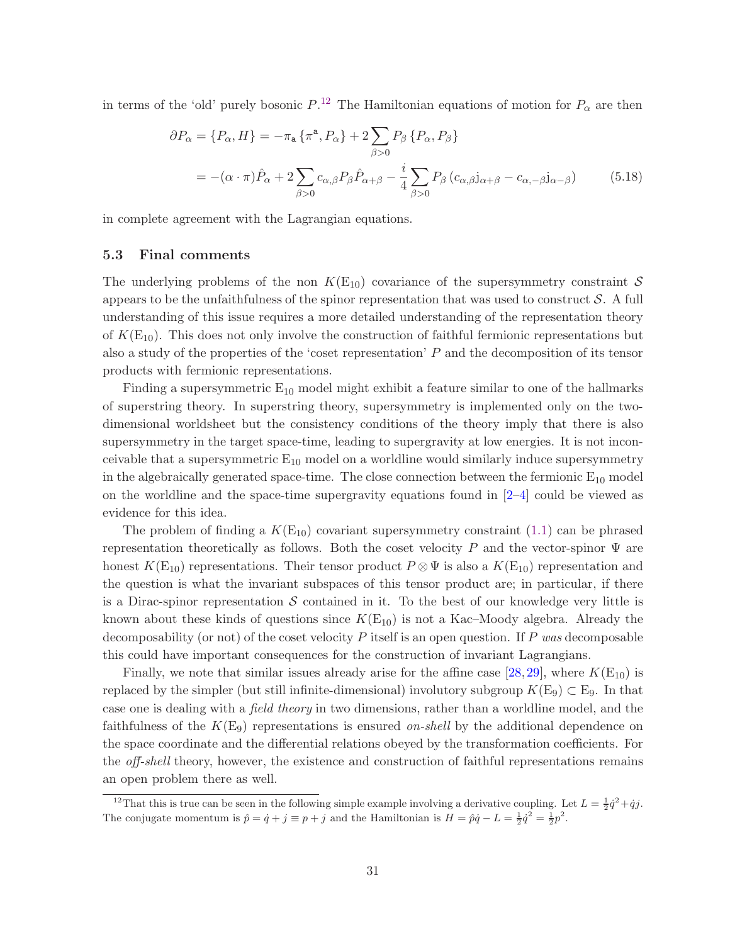in terms of the 'old' purely bosonic  $P^{12}$  $P^{12}$  $P^{12}$ . The Hamiltonian equations of motion for  $P_{\alpha}$  are then

$$
\partial P_{\alpha} = \{P_{\alpha}, H\} = -\pi_{\mathbf{a}} \{\pi^{\mathbf{a}}, P_{\alpha}\} + 2 \sum_{\beta > 0} P_{\beta} \{P_{\alpha}, P_{\beta}\}
$$

$$
= -(\alpha \cdot \pi) \hat{P}_{\alpha} + 2 \sum_{\beta > 0} c_{\alpha,\beta} P_{\beta} \hat{P}_{\alpha+\beta} - \frac{i}{4} \sum_{\beta > 0} P_{\beta} (c_{\alpha,\beta} j_{\alpha+\beta} - c_{\alpha,-\beta} j_{\alpha-\beta}) \tag{5.18}
$$

in complete agreement with the Lagrangian equations.

#### 5.3 Final comments

The underlying problems of the non  $K(E_{10})$  covariance of the supersymmetry constraint S appears to be the unfaithfulness of the spinor representation that was used to construct  $S$ . A full understanding of this issue requires a more detailed understanding of the representation theory of  $K(E_{10})$ . This does not only involve the construction of faithful fermionic representations but also a study of the properties of the 'coset representation' P and the decomposition of its tensor products with fermionic representations.

Finding a supersymmetric  $E_{10}$  model might exhibit a feature similar to one of the hallmarks of superstring theory. In superstring theory, supersymmetry is implemented only on the twodimensional worldsheet but the consistency conditions of the theory imply that there is also supersymmetry in the target space-time, leading to supergravity at low energies. It is not inconceivable that a supersymmetric  $E_{10}$  model on a worldline would similarly induce supersymmetry in the algebraically generated space-time. The close connection between the fermionic  $E_{10}$  model on the worldline and the space-time supergravity equations found in  $[2-4]$  could be viewed as evidence for this idea.

The problem of finding a  $K(E_{10})$  covariant supersymmetry constraint [\(1.1\)](#page-2-2) can be phrased representation theoretically as follows. Both the coset velocity P and the vector-spinor  $\Psi$  are honest  $K(E_{10})$  representations. Their tensor product  $P \otimes \Psi$  is also a  $K(E_{10})$  representation and the question is what the invariant subspaces of this tensor product are; in particular, if there is a Dirac-spinor representation  $S$  contained in it. To the best of our knowledge very little is known about these kinds of questions since  $K(E_{10})$  is not a Kac–Moody algebra. Already the decomposability (or not) of the coset velocity  $P$  itself is an open question. If  $P$  was decomposable this could have important consequences for the construction of invariant Lagrangians.

Finally, we note that similar issues already arise for the affine case  $[28,29]$  $[28,29]$ , where  $K(E_{10})$  is replaced by the simpler (but still infinite-dimensional) involutory subgroup  $K(E_9) \subset E_9$ . In that case one is dealing with a field theory in two dimensions, rather than a worldline model, and the faithfulness of the  $K(E_9)$  representations is ensured on-shell by the additional dependence on the space coordinate and the differential relations obeyed by the transformation coefficients. For the off-shell theory, however, the existence and construction of faithful representations remains an open problem there as well.

<span id="page-31-0"></span><sup>&</sup>lt;sup>12</sup>That this is true can be seen in the following simple example involving a derivative coupling. Let  $L = \frac{1}{2}\dot{q}^2 + \dot{q}j$ . The conjugate momentum is  $\hat{p} = \dot{q} + j \equiv p + j$  and the Hamiltonian is  $H = \hat{p}\dot{q} - L = \frac{1}{2}\dot{q}^2 = \frac{1}{2}p^2$ .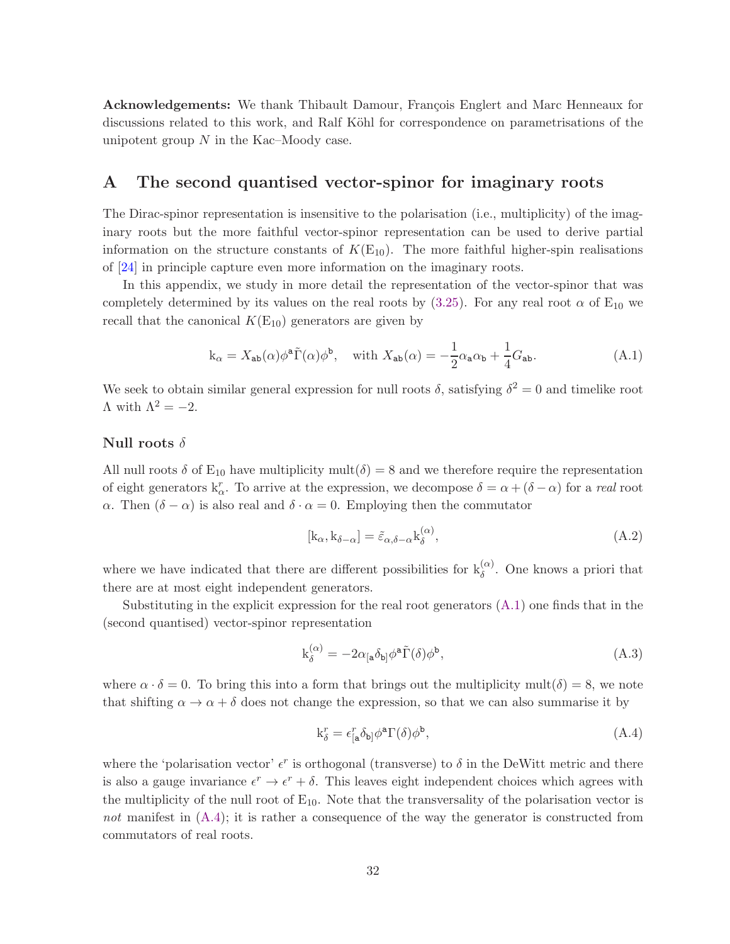Acknowledgements: We thank Thibault Damour, François Englert and Marc Henneaux for discussions related to this work, and Ralf Köhl for correspondence on parametrisations of the unipotent group  $N$  in the Kac–Moody case.

# <span id="page-32-0"></span>A The second quantised vector-spinor for imaginary roots

The Dirac-spinor representation is insensitive to the polarisation (i.e., multiplicity) of the imaginary roots but the more faithful vector-spinor representation can be used to derive partial information on the structure constants of  $K(E_{10})$ . The more faithful higher-spin realisations of [\[24\]](#page-38-11) in principle capture even more information on the imaginary roots.

In this appendix, we study in more detail the representation of the vector-spinor that was completely determined by its values on the real roots by [\(3.25\)](#page-18-2). For any real root  $\alpha$  of E<sub>10</sub> we recall that the canonical  $K(E_{10})$  generators are given by

$$
k_{\alpha} = X_{ab}(\alpha)\phi^{a}\tilde{\Gamma}(\alpha)\phi^{b}, \quad \text{with } X_{ab}(\alpha) = -\frac{1}{2}\alpha_{a}\alpha_{b} + \frac{1}{4}G_{ab}.
$$
 (A.1)

We seek to obtain similar general expression for null roots  $\delta$ , satisfying  $\delta^2 = 0$  and timelike root  $Λ$  with  $Λ<sup>2</sup> = -2$ .

#### Null roots  $\delta$

All null roots  $\delta$  of E<sub>10</sub> have multiplicity mult $(\delta) = 8$  and we therefore require the representation of eight generators  $k_{\alpha}^{r}$ . To arrive at the expression, we decompose  $\delta = \alpha + (\delta - \alpha)$  for a real root α. Then  $(δ - α)$  is also real and  $δ · α = 0$ . Employing then the commutator

<span id="page-32-1"></span>
$$
[k_{\alpha}, k_{\delta - \alpha}] = \tilde{\varepsilon}_{\alpha, \delta - \alpha} k_{\delta}^{(\alpha)}, \tag{A.2}
$$

where we have indicated that there are different possibilities for  $k_{\delta}^{(\alpha)}$ . One knows a priori that there are at most eight independent generators.

Substituting in the explicit expression for the real root generators  $(A.1)$  one finds that in the (second quantised) vector-spinor representation

$$
k_{\delta}^{(\alpha)} = -2\alpha_{[a}\delta_{b]}\phi^{a}\tilde{\Gamma}(\delta)\phi^{b},\tag{A.3}
$$

where  $\alpha \cdot \delta = 0$ . To bring this into a form that brings out the multiplicity mult $(\delta) = 8$ , we note that shifting  $\alpha \to \alpha + \delta$  does not change the expression, so that we can also summarise it by

<span id="page-32-2"></span>
$$
k_{\delta}^r = \epsilon_{[a}^r \delta_{b]} \phi^a \Gamma(\delta) \phi^b, \tag{A.4}
$$

where the 'polarisation vector'  $\epsilon^r$  is orthogonal (transverse) to  $\delta$  in the DeWitt metric and there is also a gauge invariance  $\epsilon^r \to \epsilon^r + \delta$ . This leaves eight independent choices which agrees with the multiplicity of the null root of  $E_{10}$ . Note that the transversality of the polarisation vector is not manifest in  $(A.4)$ ; it is rather a consequence of the way the generator is constructed from commutators of real roots.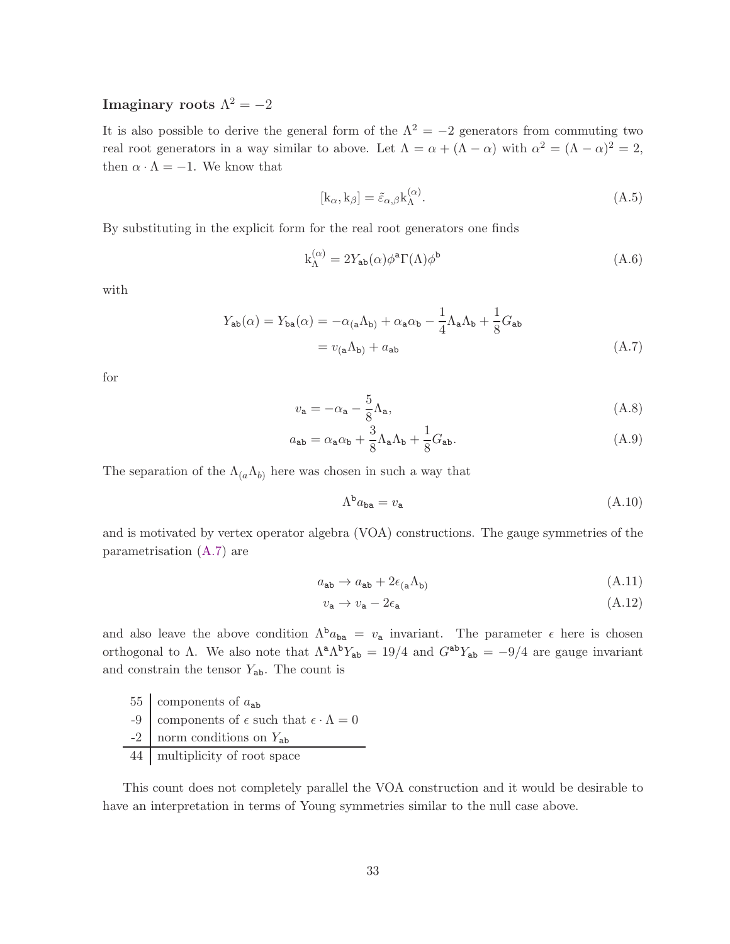# Imaginary roots  $\Lambda^2=-2$

It is also possible to derive the general form of the  $\Lambda^2 = -2$  generators from commuting two real root generators in a way similar to above. Let  $\Lambda = \alpha + (\Lambda - \alpha)$  with  $\alpha^2 = (\Lambda - \alpha)^2 = 2$ , then  $\alpha \cdot \Lambda = -1$ . We know that

$$
[k_{\alpha}, k_{\beta}] = \tilde{\varepsilon}_{\alpha,\beta} k_{\Lambda}^{(\alpha)}.
$$
\n(A.5)

By substituting in the explicit form for the real root generators one finds

$$
k_{\Lambda}^{(\alpha)} = 2Y_{ab}(\alpha)\phi^a \Gamma(\Lambda)\phi^b \tag{A.6}
$$

with

$$
Y_{ab}(\alpha) = Y_{ba}(\alpha) = -\alpha_{(a}\Lambda_{b)} + \alpha_{a}\alpha_{b} - \frac{1}{4}\Lambda_{a}\Lambda_{b} + \frac{1}{8}G_{ab}
$$

$$
= v_{(a}\Lambda_{b)} + a_{ab} \tag{A.7}
$$

for

$$
v_{\mathbf{a}} = -\alpha_{\mathbf{a}} - \frac{5}{8} \Lambda_{\mathbf{a}},\tag{A.8}
$$

$$
a_{ab} = \alpha_a \alpha_b + \frac{3}{8} \Lambda_a \Lambda_b + \frac{1}{8} G_{ab}.
$$
 (A.9)

The separation of the  $\Lambda_{(a}\Lambda_{b)}$  here was chosen in such a way that

<span id="page-33-0"></span>
$$
\Lambda^{\mathbf{b}} a_{\mathbf{ba}} = v_{\mathbf{a}} \tag{A.10}
$$

and is motivated by vertex operator algebra (VOA) constructions. The gauge symmetries of the parametrisation [\(A.7\)](#page-33-0) are

$$
a_{ab} \to a_{ab} + 2\epsilon_{(a}\Lambda_{b)} \tag{A.11}
$$

$$
v_{\mathbf{a}} \to v_{\mathbf{a}} - 2\epsilon_{\mathbf{a}} \tag{A.12}
$$

and also leave the above condition  $\Lambda^b a_{ba} = v_a$  invariant. The parameter  $\epsilon$  here is chosen orthogonal to  $\Lambda$ . We also note that  $\Lambda^a \Lambda^b Y_{ab} = 19/4$  and  $G^{ab} Y_{ab} = -9/4$  are gauge invariant and constrain the tensor  $Y_{ab}$ . The count is

- 55 components of  $a_{ab}$ -9  $\vert$  components of  $\epsilon$  such that  $\epsilon \cdot \Lambda = 0$  $-2$  norm conditions on  $Y_{ab}$
- 44 multiplicity of root space

This count does not completely parallel the VOA construction and it would be desirable to have an interpretation in terms of Young symmetries similar to the null case above.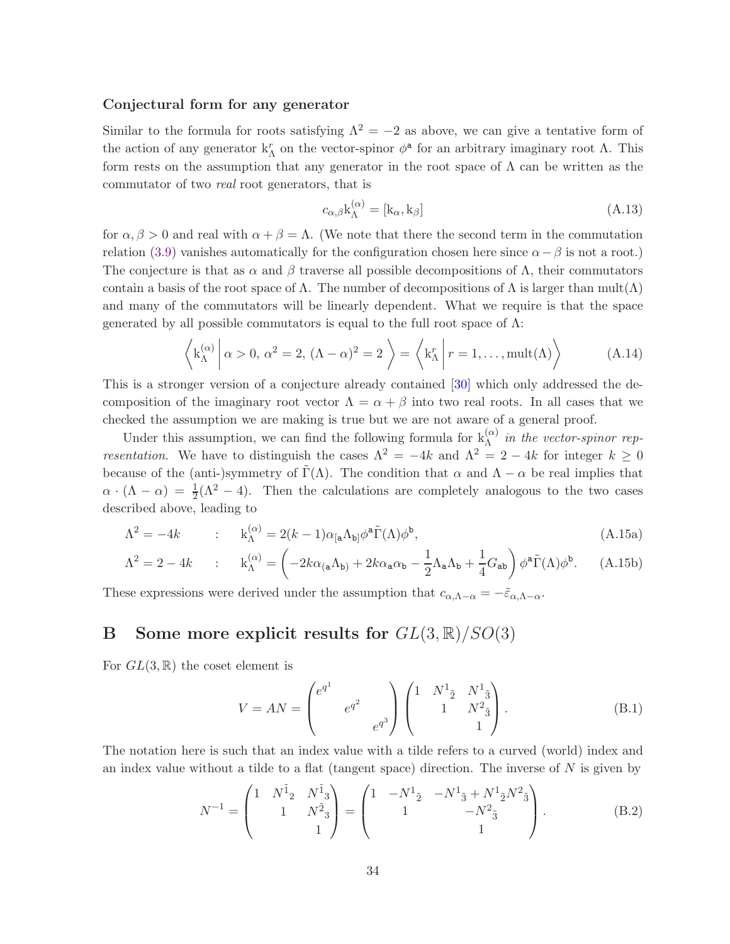#### Conjectural form for any generator

Similar to the formula for roots satisfying  $\Lambda^2 = -2$  as above, we can give a tentative form of the action of any generator  $k_{\Lambda}^r$  on the vector-spinor  $\phi^a$  for an arbitrary imaginary root  $\Lambda$ . This form rests on the assumption that any generator in the root space of  $\Lambda$  can be written as the commutator of two real root generators, that is

$$
c_{\alpha,\beta} \mathbf{k}_{\Lambda}^{(\alpha)} = [\mathbf{k}_{\alpha}, \mathbf{k}_{\beta}] \tag{A.13}
$$

for  $\alpha, \beta > 0$  and real with  $\alpha + \beta = \Lambda$ . (We note that there the second term in the commutation relation [\(3.9\)](#page-16-4) vanishes automatically for the configuration chosen here since  $\alpha - \beta$  is not a root.) The conjecture is that as  $\alpha$  and  $\beta$  traverse all possible decompositions of  $\Lambda$ , their commutators contain a basis of the root space of  $\Lambda$ . The number of decompositions of  $\Lambda$  is larger than mult $(\Lambda)$ and many of the commutators will be linearly dependent. What we require is that the space generated by all possible commutators is equal to the full root space of  $\Lambda$ :

$$
\left\langle k_{\Lambda}^{(\alpha)} \middle| \alpha > 0, \alpha^2 = 2, (\Lambda - \alpha)^2 = 2 \right\rangle = \left\langle k_{\Lambda}^r \middle| r = 1, \dots, \text{mult}(\Lambda) \right\rangle \tag{A.14}
$$

This is a stronger version of a conjecture already contained [\[30\]](#page-39-2) which only addressed the decomposition of the imaginary root vector  $\Lambda = \alpha + \beta$  into two real roots. In all cases that we checked the assumption we are making is true but we are not aware of a general proof.

Under this assumption, we can find the following formula for  $k_{\Lambda}^{(\alpha)}$  in the vector-spinor representation. We have to distinguish the cases  $\Lambda^2 = -4k$  and  $\Lambda^2 = 2 - 4k$  for integer  $k \geq 0$ because of the (anti-)symmetry of  $\tilde{\Gamma}(\Lambda)$ . The condition that  $\alpha$  and  $\Lambda - \alpha$  be real implies that  $\alpha \cdot (\Lambda - \alpha) = \frac{1}{2}(\Lambda^2 - 4)$ . Then the calculations are completely analogous to the two cases described above, leading to

$$
\Lambda^2 = -4k \qquad : \qquad k_{\Lambda}^{(\alpha)} = 2(k-1)\alpha_{\left[a\Lambda_{b\right]}}\phi^a\tilde{\Gamma}(\Lambda)\phi^b,\tag{A.15a}
$$

$$
\Lambda^2 = 2 - 4k \qquad : \qquad k_{\Lambda}^{(\alpha)} = \left( -2k\alpha_{(a}\Lambda_{b)} + 2k\alpha_{a}\alpha_{b} - \frac{1}{2}\Lambda_{a}\Lambda_{b} + \frac{1}{4}G_{ab} \right) \phi^a \tilde{\Gamma}(\Lambda)\phi^b. \tag{A.15b}
$$

<span id="page-34-0"></span>These expressions were derived under the assumption that  $c_{\alpha,\Lambda-\alpha} = -\tilde{\varepsilon}_{\alpha,\Lambda-\alpha}$ .

# B Some more explicit results for  $GL(3,\mathbb{R})/SO(3)$

For  $GL(3,\mathbb{R})$  the coset element is

$$
V = AN = \begin{pmatrix} e^{q^1} & & \\ & e^{q^2} & \\ & & e^{q^3} \end{pmatrix} \begin{pmatrix} 1 & N^1 \frac{1}{2} & N^1 \frac{1}{3} \\ & 1 & N^2 \frac{1}{3} \\ & & 1 \end{pmatrix}.
$$
 (B.1)

The notation here is such that an index value with a tilde refers to a curved (world) index and an index value without a tilde to a flat (tangent space) direction. The inverse of  $N$  is given by

$$
N^{-1} = \begin{pmatrix} 1 & N^{\tilde{1}}_{2} & N^{\tilde{1}}_{3} \\ & 1 & N^{\tilde{2}}_{3} \\ & & 1 \end{pmatrix} = \begin{pmatrix} 1 & -N^{1}_{\tilde{2}} & -N^{1}_{\tilde{3}} + N^{1}_{\tilde{2}}N^{2}_{\tilde{3}} \\ & 1 & -N^{2}_{\tilde{3}} \\ & & 1 \end{pmatrix}.
$$
 (B.2)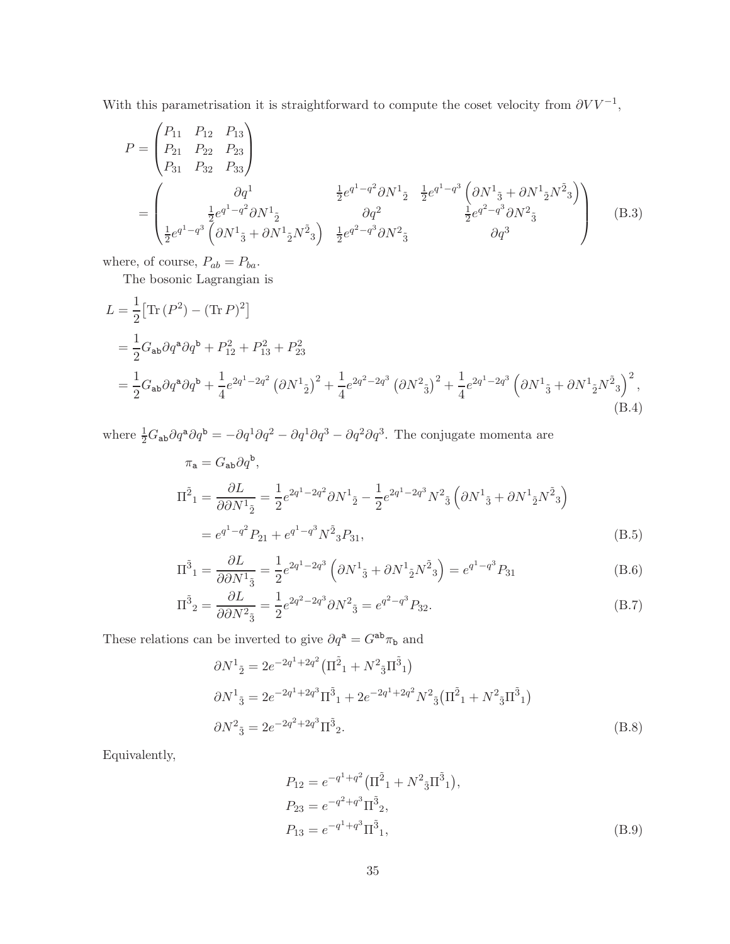With this parametrisation it is straightforward to compute the coset velocity from  $\partial V V^{-1}$ ,

$$
P = \begin{pmatrix} P_{11} & P_{12} & P_{13} \\ P_{21} & P_{22} & P_{23} \\ P_{31} & P_{32} & P_{33} \end{pmatrix}
$$
  
= 
$$
\begin{pmatrix} \partial q^{1} & \frac{1}{2} e^{q^{1} - q^{2}} \partial N^{1} \frac{1}{2} e^{q^{1} - q^{3}} \left( \partial N^{1} \frac{1}{3} + \partial N^{1} \frac{1}{2} N^{2} \frac{1}{3} \right) \\ \frac{1}{2} e^{q^{1} - q^{3}} \left( \partial N^{1} \frac{1}{3} + \partial N^{1} \frac{1}{2} N^{2} \frac{1}{3} \right) & \frac{1}{2} e^{q^{2} - q^{3}} \partial N^{2} \frac{1}{3} e^{q^{2} - q^{3}} \partial N^{2} \frac{1}{3} \end{pmatrix}
$$
(B.3)

where, of course,  $P_{ab} = P_{ba}$ .

The bosonic Lagrangian is

$$
L = \frac{1}{2} [\text{Tr} (P^2) - (\text{Tr} P)^2]
$$
  
=  $\frac{1}{2} G_{ab} \partial q^a \partial q^b + P_{12}^2 + P_{13}^2 + P_{23}^2$   
=  $\frac{1}{2} G_{ab} \partial q^a \partial q^b + \frac{1}{4} e^{2q^1 - 2q^2} (\partial N^1_{\tilde{2}})^2 + \frac{1}{4} e^{2q^2 - 2q^3} (\partial N^2_{\tilde{3}})^2 + \frac{1}{4} e^{2q^1 - 2q^3} (\partial N^1_{\tilde{3}} + \partial N^1_{\tilde{2}} N^{\tilde{2}}_{\tilde{3}})^2,$   
(B.4)

where  $\frac{1}{2}G_{ab}\partial q^a\partial q^b = -\partial q^1\partial q^2 - \partial q^1\partial q^3 - \partial q^2\partial q^3$ . The conjugate momenta are

$$
\pi_{\mathbf{a}} = G_{\mathbf{a}\mathbf{b}} \partial q^{\mathbf{b}},
$$
\n
$$
\Pi^{\tilde{2}}{}_{1} = \frac{\partial L}{\partial \partial N^{1}{}_{\tilde{2}}} = \frac{1}{2} e^{2q^{1} - 2q^{2}} \partial N^{1}{}_{\tilde{2}} - \frac{1}{2} e^{2q^{1} - 2q^{3}} N^{2}{}_{\tilde{3}} \left( \partial N^{1}{}_{\tilde{3}} + \partial N^{1}{}_{\tilde{2}} N^{\tilde{2}}{}_{3} \right)
$$
\n
$$
= e^{q^{1} - q^{2}} P_{21} + e^{q^{1} - q^{3}} N^{\tilde{2}}{}_{3} P_{31},
$$
\n(B.5)

$$
\Pi^{\tilde{3}}{}_{1} = \frac{\partial L}{\partial \partial N^{1}{}_{\tilde{3}}} = \frac{1}{2} e^{2q^{1} - 2q^{3}} \left( \partial N^{1}{}_{\tilde{3}} + \partial N^{1}{}_{\tilde{2}} N^{\tilde{2}}{}_{3} \right) = e^{q^{1} - q^{3}} P_{31}
$$
\n(B.6)

$$
\Pi^{\tilde{3}}{}_{2} = \frac{\partial L}{\partial \partial N^{2}{}_{\tilde{3}}} = \frac{1}{2} e^{2q^{2} - 2q^{3}} \partial N^{2}{}_{\tilde{3}} = e^{q^{2} - q^{3}} P_{32}.
$$
\n(B.7)

These relations can be inverted to give  $\partial q^{\tt a}=G^{{\tt ab}}\pi_{\tt b}$  and

$$
\partial N^{1}_{\ \tilde{2}} = 2e^{-2q^{1} + 2q^{2}} \left( \Pi^{\tilde{2}}{}_{1} + N^{2}{}_{\tilde{3}} \Pi^{\tilde{3}}{}_{1} \right)
$$
  
\n
$$
\partial N^{1}_{\ \tilde{3}} = 2e^{-2q^{1} + 2q^{3}} \Pi^{\tilde{3}}{}_{1} + 2e^{-2q^{1} + 2q^{2}} N^{2}{}_{\tilde{3}} \left( \Pi^{\tilde{2}}{}_{1} + N^{2}{}_{\tilde{3}} \Pi^{\tilde{3}}{}_{1} \right)
$$
  
\n
$$
\partial N^{2}_{\ \tilde{3}} = 2e^{-2q^{2} + 2q^{3}} \Pi^{\tilde{3}}{}_{2}.
$$
\n(B.8)

Equivalently,

$$
P_{12} = e^{-q^1 + q^2} (\Pi^{\tilde{2}}_1 + N^2 \bar{3} \Pi^{\tilde{3}}_1),
$$
  
\n
$$
P_{23} = e^{-q^2 + q^3} \Pi^{\tilde{3}}_2,
$$
  
\n
$$
P_{13} = e^{-q^1 + q^3} \Pi^{\tilde{3}}_1,
$$
\n(B.9)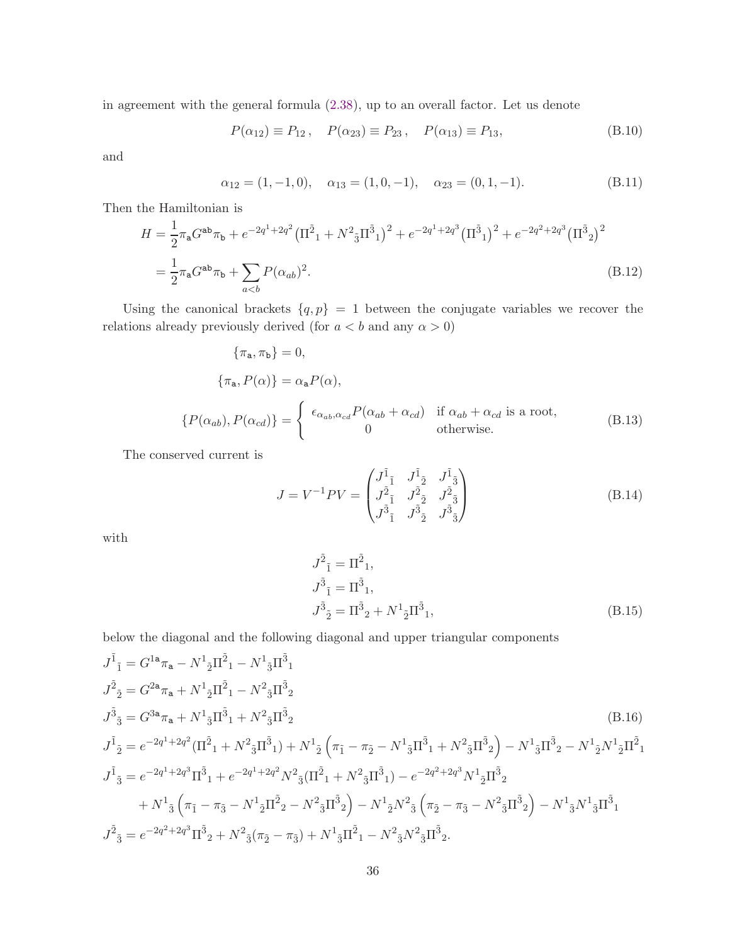in agreement with the general formula [\(2.38\)](#page-11-1), up to an overall factor. Let us denote

$$
P(\alpha_{12}) \equiv P_{12}, \quad P(\alpha_{23}) \equiv P_{23}, \quad P(\alpha_{13}) \equiv P_{13},
$$
 (B.10)

and

$$
\alpha_{12} = (1, -1, 0), \quad \alpha_{13} = (1, 0, -1), \quad \alpha_{23} = (0, 1, -1). \tag{B.11}
$$

Then the Hamiltonian is

$$
H = \frac{1}{2}\pi_{a}G^{ab}\pi_{b} + e^{-2q^{1}+2q^{2}}\left(\Pi^{2}{}_{1} + N^{2}{}_{3}\Pi^{3}{}_{1}\right)^{2} + e^{-2q^{1}+2q^{3}}\left(\Pi^{3}{}_{1}\right)^{2} + e^{-2q^{2}+2q^{3}}\left(\Pi^{3}{}_{2}\right)^{2}
$$

$$
= \frac{1}{2}\pi_{a}G^{ab}\pi_{b} + \sum_{a(B.12)
$$

Using the canonical brackets  ${q, p} = 1$  between the conjugate variables we recover the relations already previously derived (for  $a < b$  and any  $\alpha > 0$ )

$$
\{\pi_{\mathbf{a}}, \pi_{\mathbf{b}}\} = 0,
$$
  
\n
$$
\{\pi_{\mathbf{a}}, P(\alpha)\} = \alpha_{\mathbf{a}} P(\alpha),
$$
  
\n
$$
\{P(\alpha_{ab}), P(\alpha_{cd})\} = \begin{cases} \epsilon_{\alpha_{ab}, \alpha_{cd}} P(\alpha_{ab} + \alpha_{cd}) & \text{if } \alpha_{ab} + \alpha_{cd} \text{ is a root,} \\ 0 & \text{otherwise.} \end{cases}
$$
 (B.13)

The conserved current is

$$
J = V^{-1}PV = \begin{pmatrix} J_{\tilde{1}} & J_{\tilde{2}} & J_{\tilde{3}} \\ J_{\tilde{2}} & J_{\tilde{2}} & J_{\tilde{2}}^{\tilde{2}} \\ J_{\tilde{3}} & J_{\tilde{2}} & J_{\tilde{3}}^{\tilde{3}} \end{pmatrix}
$$
(B.14)

with

$$
J^{\tilde{2}}{}_{\tilde{1}} = \Pi^{\tilde{2}}{}_{1},
$$
  
\n
$$
J^{\tilde{3}}{}_{\tilde{1}} = \Pi^{\tilde{3}}{}_{1},
$$
  
\n
$$
J^{\tilde{3}}{}_{\tilde{2}} = \Pi^{\tilde{3}}{}_{2} + N^{1}{}_{\tilde{2}}\Pi^{\tilde{3}}{}_{1},
$$
\n(B.15)

below the diagonal and the following diagonal and upper triangular components

$$
\begin{split} &J^{\tilde{1}}{}_{\tilde{1}}=G^{1\mathbf{a}}\pi_{\mathbf{a}}-N^{1}{}_{\tilde{2}}\Pi^{\tilde{2}}{}_{1}-N^{1}{}_{\tilde{3}}\Pi^{\tilde{3}}{}_{1}\\ &J^{\tilde{2}}{}_{\tilde{2}}=G^{2\mathbf{a}}\pi_{\mathbf{a}}+N^{1}{}_{\tilde{2}}\Pi^{\tilde{2}}{}_{1}-N^{2}{}_{\tilde{3}}\Pi^{\tilde{3}}{}_{2}\\ &J^{\tilde{3}}{}_{\tilde{3}}=G^{3\mathbf{a}}\pi_{\mathbf{a}}+N^{1}{}_{\tilde{3}}\Pi^{\tilde{3}}{}_{1}+N^{2}{}_{\tilde{3}}\Pi^{\tilde{3}}{}_{2}\qquad \qquad (B.16)\\ &J^{\tilde{1}}{}_{\tilde{2}}=e^{-2q^{1}+2q^{2}}(\Pi^{\tilde{2}}{}_{1}+N^{2}{}_{\tilde{3}}\Pi^{\tilde{3}}{}_{1})+N^{1}{}_{\tilde{2}}\left(\pi_{\tilde{1}}-\pi_{\tilde{2}}-N^{1}{}_{\tilde{3}}\Pi^{\tilde{3}}{}_{1}+N^{2}{}_{\tilde{3}}\Pi^{\tilde{3}}{}_{2}\right)-N^{1}{}_{\tilde{3}}\Pi^{\tilde{3}}{}_{2}-N^{1}{}_{\tilde{2}}N^{1}{}_{\tilde{2}}\Pi^{\tilde{2}}{}_{1}\\ &J^{\tilde{1}}{}_{\tilde{3}}=e^{-2q^{1}+2q^{3}}\Pi^{\tilde{3}}{}_{1}+e^{-2q^{1}+2q^{2}}N^{2}{}_{\tilde{3}}(\Pi^{\tilde{2}}{}_{1}+N^{2}{}_{\tilde{3}}\Pi^{\tilde{3}}{}_{1})-e^{-2q^{2}+2q^{3}}N^{1}{}_{\tilde{2}}\Pi^{\tilde{3}}{}_{2}\\ &+N^{1}{}_{\tilde{3}}\left(\pi_{\tilde{1}}-\pi_{\tilde{3}}-N^{1}{}_{\tilde{2}}\Pi^{\tilde{2}}{}_{2}-N^{2}{}_{\tilde{3}}\Pi^{\tilde{3}}{}_{2}\right)-N^{1}{}_{\tilde{2}}N^{2}{}_{\tilde{3}}\left(\
$$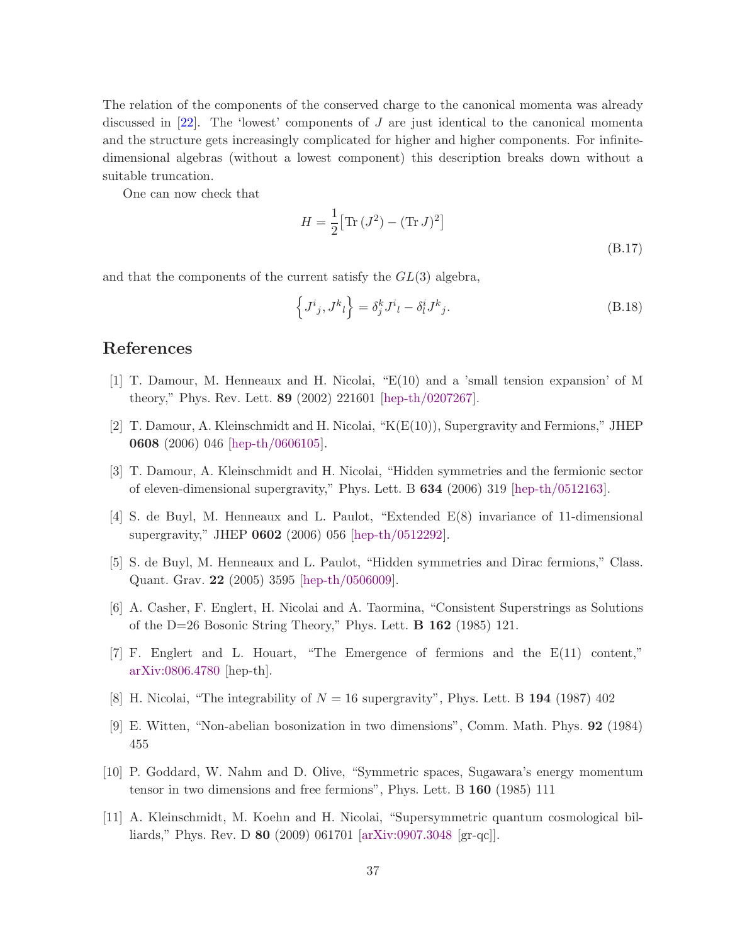The relation of the components of the conserved charge to the canonical momenta was already discussed in  $[22]$ . The 'lowest' components of J are just identical to the canonical momenta and the structure gets increasingly complicated for higher and higher components. For infinitedimensional algebras (without a lowest component) this description breaks down without a suitable truncation.

One can now check that

$$
H = \frac{1}{2} \left[ \text{Tr} \left( J^2 \right) - (\text{Tr} \, J)^2 \right]
$$
\n(B.17)

and that the components of the current satisfy the  $GL(3)$  algebra,

$$
\left\{J^i{}_j,J^k{}_l\right\} = \delta^k_j J^i{}_l - \delta^i_l J^k{}_j. \tag{B.18}
$$

# <span id="page-37-0"></span>References

- <span id="page-37-1"></span>[1] T. Damour, M. Henneaux and H. Nicolai, "E(10) and a 'small tension expansion' of M theory," Phys. Rev. Lett. 89 (2002) 221601 [\[hep-th/0207267\]](http://arxiv.org/abs/hep-th/0207267).
- <span id="page-37-9"></span>[2] T. Damour, A. Kleinschmidt and H. Nicolai, "K(E(10)), Supergravity and Fermions," JHEP 0608 (2006) 046 [\[hep-th/0606105\]](http://arxiv.org/abs/hep-th/0606105).
- <span id="page-37-10"></span>[3] T. Damour, A. Kleinschmidt and H. Nicolai, "Hidden symmetries and the fermionic sector of eleven-dimensional supergravity," Phys. Lett. B 634 (2006) 319 [\[hep-th/0512163\]](http://arxiv.org/abs/hep-th/0512163).
- <span id="page-37-2"></span>[4] S. de Buyl, M. Henneaux and L. Paulot, "Extended E(8) invariance of 11-dimensional supergravity," JHEP 0602 (2006) 056 [\[hep-th/0512292\]](http://arxiv.org/abs/hep-th/0512292).
- <span id="page-37-3"></span>[5] S. de Buyl, M. Henneaux and L. Paulot, "Hidden symmetries and Dirac fermions," Class. Quant. Grav. 22 (2005) 3595 [\[hep-th/0506009\]](http://arxiv.org/abs/hep-th/0506009).
- <span id="page-37-4"></span>[6] A. Casher, F. Englert, H. Nicolai and A. Taormina, "Consistent Superstrings as Solutions of the D=26 Bosonic String Theory," Phys. Lett. B 162 (1985) 121.
- <span id="page-37-5"></span>[7] F. Englert and L. Houart, "The Emergence of fermions and the E(11) content," [arXiv:0806.4780](http://arxiv.org/abs/0806.4780) [hep-th].
- <span id="page-37-6"></span>[8] H. Nicolai, "The integrability of  $N = 16$  supergravity", Phys. Lett. B 194 (1987) 402
- <span id="page-37-7"></span>[9] E. Witten, "Non-abelian bosonization in two dimensions", Comm. Math. Phys. 92 (1984) 455
- <span id="page-37-8"></span>[10] P. Goddard, W. Nahm and D. Olive, "Symmetric spaces, Sugawara's energy momentum tensor in two dimensions and free fermions", Phys. Lett. B 160 (1985) 111
- [11] A. Kleinschmidt, M. Koehn and H. Nicolai, "Supersymmetric quantum cosmological billiards," Phys. Rev. D 80 (2009) 061701 [\[arXiv:0907.3048](http://arxiv.org/abs/0907.3048) [gr-qc]].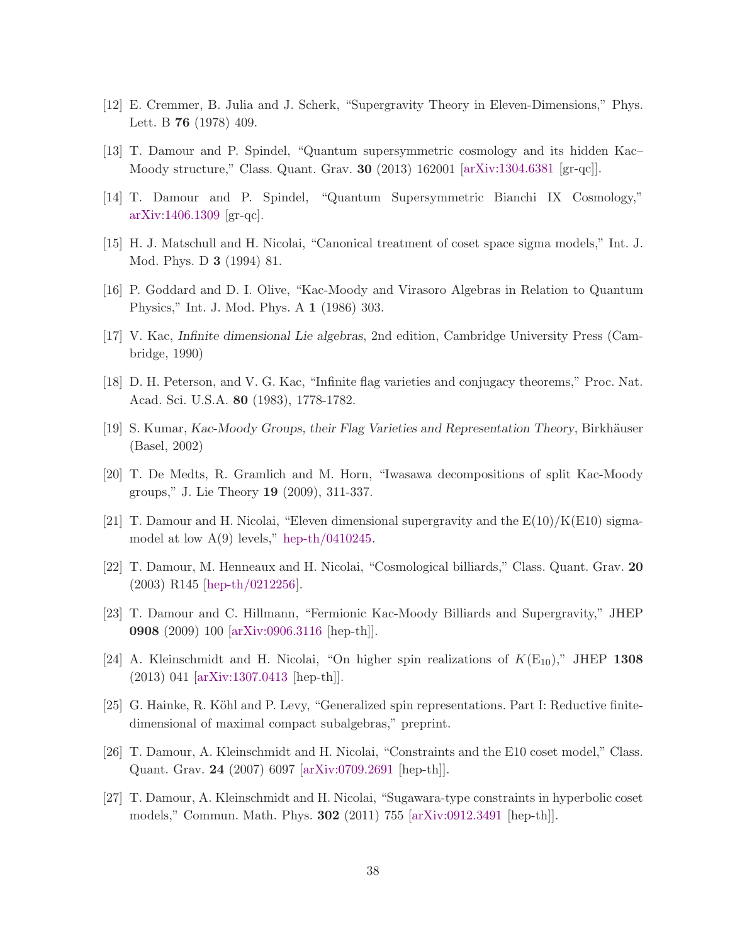- <span id="page-38-1"></span><span id="page-38-0"></span>[12] E. Cremmer, B. Julia and J. Scherk, "Supergravity Theory in Eleven-Dimensions," Phys. Lett. B 76 (1978) 409.
- <span id="page-38-2"></span>[13] T. Damour and P. Spindel, "Quantum supersymmetric cosmology and its hidden Kac– Moody structure," Class. Quant. Grav. 30 (2013) 162001 [\[arXiv:1304.6381](http://arxiv.org/abs/1304.6381) [gr-qc]].
- <span id="page-38-3"></span>[14] T. Damour and P. Spindel, "Quantum Supersymmetric Bianchi IX Cosmology," [arXiv:1406.1309](http://arxiv.org/abs/1406.1309) [gr-qc].
- <span id="page-38-4"></span>[15] H. J. Matschull and H. Nicolai, "Canonical treatment of coset space sigma models," Int. J. Mod. Phys. D 3 (1994) 81.
- <span id="page-38-6"></span>[16] P. Goddard and D. I. Olive, "Kac-Moody and Virasoro Algebras in Relation to Quantum Physics," Int. J. Mod. Phys. A 1 (1986) 303.
- <span id="page-38-7"></span>[17] V. Kac, Infinite dimensional Lie algebras, 2nd edition, Cambridge University Press (Cambridge, 1990)
- <span id="page-38-8"></span>[18] D. H. Peterson, and V. G. Kac, "Infinite flag varieties and conjugacy theorems," Proc. Nat. Acad. Sci. U.S.A. 80 (1983), 1778-1782.
- [19] S. Kumar, Kac-Moody Groups, their Flag Varieties and Representation Theory, Birkh¨auser (Basel, 2002)
- <span id="page-38-9"></span>[20] T. De Medts, R. Gramlich and M. Horn, "Iwasawa decompositions of split Kac-Moody groups," J. Lie Theory 19 (2009), 311-337.
- <span id="page-38-5"></span>[21] T. Damour and H. Nicolai, "Eleven dimensional supergravity and the  $E(10)/K(E10)$  sigmamodel at low  $A(9)$  levels," [hep-th/0410245.](http://arxiv.org/abs/hep-th/0410245)
- <span id="page-38-10"></span>[22] T. Damour, M. Henneaux and H. Nicolai, "Cosmological billiards," Class. Quant. Grav. 20 (2003) R145 [\[hep-th/0212256\]](http://arxiv.org/abs/hep-th/0212256).
- <span id="page-38-11"></span>[23] T. Damour and C. Hillmann, "Fermionic Kac-Moody Billiards and Supergravity," JHEP 0908 (2009) 100 [\[arXiv:0906.3116](http://arxiv.org/abs/0906.3116) [hep-th]].
- <span id="page-38-12"></span>[24] A. Kleinschmidt and H. Nicolai, "On higher spin realizations of  $K(E_{10})$ ," JHEP 1308 (2013) 041 [\[arXiv:1307.0413](http://arxiv.org/abs/1307.0413) [hep-th]].
- <span id="page-38-13"></span>[25] G. Hainke, R. Köhl and P. Levy, "Generalized spin representations. Part I: Reductive finitedimensional of maximal compact subalgebras," preprint.
- <span id="page-38-14"></span>[26] T. Damour, A. Kleinschmidt and H. Nicolai, "Constraints and the E10 coset model," Class. Quant. Grav. 24 (2007) 6097 [\[arXiv:0709.2691](http://arxiv.org/abs/0709.2691) [hep-th]].
- [27] T. Damour, A. Kleinschmidt and H. Nicolai, "Sugawara-type constraints in hyperbolic coset models," Commun. Math. Phys. 302 (2011) 755 [\[arXiv:0912.3491](http://arxiv.org/abs/0912.3491) [hep-th]].